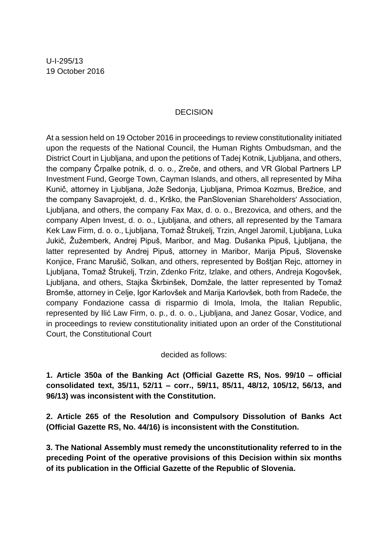## **DECISION**

At a session held on 19 October 2016 in proceedings to review constitutionality initiated upon the requests of the National Council, the Human Rights Ombudsman, and the District Court in Ljubljana, and upon the petitions of Tadej Kotnik, Ljubljana, and others, the company Črpalke potnik, d. o. o., Zreče, and others, and VR Global Partners LP Investment Fund, George Town, Cayman Islands, and others, all represented by Miha Kunič, attorney in Ljubljana, Jože Sedonja, Ljubljana, Primoa Kozmus, Brežice, and the company Savaprojekt, d. d., Krško, the PanSlovenian Shareholders' Association, Ljubljana, and others, the company Fax Max, d. o. o., Brezovica, and others, and the company Alpen Invest, d. o. o., Ljubljana, and others, all represented by the Tamara Kek Law Firm, d. o. o., Ljubljana, Tomaž Štrukelj, Trzin, Angel Jaromil, Ljubljana, Luka Jukič, Žužemberk, Andrej Pipuš, Maribor, and Mag. Dušanka Pipuš, Ljubljana, the latter represented by Andrej Pipuš, attorney in Maribor, Marija Pipuš, Slovenske Konjice, Franc Marušič, Solkan, and others, represented by Boštjan Rejc, attorney in Ljubljana, Tomaž Štrukelj, Trzin, Zdenko Fritz, Izlake, and others, Andreja Kogovšek, Ljubljana, and others, Stajka Škrbinšek, Domžale, the latter represented by Tomaž Bromše, attorney in Celje, Igor Karlovšek and Marija Karlovšek, both from Radeče, the company Fondazione cassa di risparmio di Imola, Imola, the Italian Republic, represented by Ilić Law Firm, o. p., d. o. o., Ljubljana, and Janez Gosar, Vodice, and in proceedings to review constitutionality initiated upon an order of the Constitutional Court, the Constitutional Court

decided as follows:

**1. Article 350a of the Banking Act (Official Gazette RS, Nos. 99/10 – official consolidated text, 35/11, 52/11 – corr., 59/11, 85/11, 48/12, 105/12, 56/13, and 96/13) was inconsistent with the Constitution.**

**2. Article 265 of the Resolution and Compulsory Dissolution of Banks Act (Official Gazette RS, No. 44/16) is inconsistent with the Constitution.**

**3. The National Assembly must remedy the unconstitutionality referred to in the preceding Point of the operative provisions of this Decision within six months of its publication in the Official Gazette of the Republic of Slovenia.**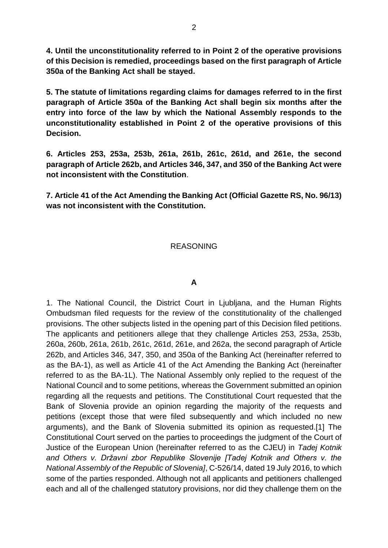**4. Until the unconstitutionality referred to in Point 2 of the operative provisions of this Decision is remedied, proceedings based on the first paragraph of Article 350a of the Banking Act shall be stayed.**

**5. The statute of limitations regarding claims for damages referred to in the first paragraph of Article 350a of the Banking Act shall begin six months after the entry into force of the law by which the National Assembly responds to the unconstitutionality established in Point 2 of the operative provisions of this Decision.**

**6. Articles 253, 253a, 253b, 261a, 261b, 261c, 261d, and 261e, the second paragraph of Article 262b, and Articles 346, 347, and 350 of the Banking Act were not inconsistent with the Constitution**.

**7. Article 41 of the Act Amending the Banking Act (Official Gazette RS, No. 96/13) was not inconsistent with the Constitution.**

## REASONING

#### **A**

1. The National Council, the District Court in Ljubljana, and the Human Rights Ombudsman filed requests for the review of the constitutionality of the challenged provisions. The other subjects listed in the opening part of this Decision filed petitions. The applicants and petitioners allege that they challenge Articles 253, 253a, 253b, 260a, 260b, 261a, 261b, 261c, 261d, 261e, and 262a, the second paragraph of Article 262b, and Articles 346, 347, 350, and 350a of the Banking Act (hereinafter referred to as the BA-1), as well as Article 41 of the Act Amending the Banking Act (hereinafter referred to as the BA-1L). The National Assembly only replied to the request of the National Council and to some petitions, whereas the Government submitted an opinion regarding all the requests and petitions. The Constitutional Court requested that the Bank of Slovenia provide an opinion regarding the majority of the requests and petitions (except those that were filed subsequently and which included no new arguments), and the Bank of Slovenia submitted its opinion as requested.[1] The Constitutional Court served on the parties to proceedings the judgment of the Court of Justice of the European Union (hereinafter referred to as the CJEU) in *Tadej Kotnik and Others v. Državni zbor Republike Slovenije [Tadej Kotnik and Others v. the National Assembly of the Republic of Slovenia]*, C-526/14, dated 19 July 2016, to which some of the parties responded. Although not all applicants and petitioners challenged each and all of the challenged statutory provisions, nor did they challenge them on the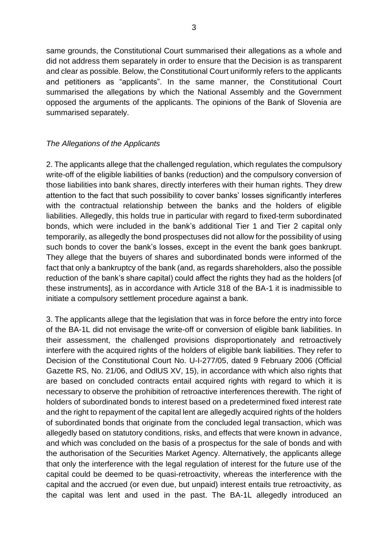same grounds, the Constitutional Court summarised their allegations as a whole and did not address them separately in order to ensure that the Decision is as transparent and clear as possible. Below, the Constitutional Court uniformly refers to the applicants and petitioners as "applicants". In the same manner, the Constitutional Court summarised the allegations by which the National Assembly and the Government opposed the arguments of the applicants. The opinions of the Bank of Slovenia are summarised separately.

## *The Allegations of the Applicants*

2. The applicants allege that the challenged regulation, which regulates the compulsory write-off of the eligible liabilities of banks (reduction) and the compulsory conversion of those liabilities into bank shares, directly interferes with their human rights. They drew attention to the fact that such possibility to cover banks' losses significantly interferes with the contractual relationship between the banks and the holders of eligible liabilities. Allegedly, this holds true in particular with regard to fixed-term subordinated bonds, which were included in the bank's additional Tier 1 and Tier 2 capital only temporarily, as allegedly the bond prospectuses did not allow for the possibility of using such bonds to cover the bank's losses, except in the event the bank goes bankrupt. They allege that the buyers of shares and subordinated bonds were informed of the fact that only a bankruptcy of the bank (and, as regards shareholders, also the possible reduction of the bank's share capital) could affect the rights they had as the holders [of these instruments], as in accordance with Article 318 of the BA-1 it is inadmissible to initiate a compulsory settlement procedure against a bank.

3. The applicants allege that the legislation that was in force before the entry into force of the BA-1L did not envisage the write-off or conversion of eligible bank liabilities. In their assessment, the challenged provisions disproportionately and retroactively interfere with the acquired rights of the holders of eligible bank liabilities. They refer to Decision of the Constitutional Court No. U-I-277/05, dated 9 February 2006 (Official Gazette RS, No. 21/06, and OdlUS XV, 15), in accordance with which also rights that are based on concluded contracts entail acquired rights with regard to which it is necessary to observe the prohibition of retroactive interferences therewith. The right of holders of subordinated bonds to interest based on a predetermined fixed interest rate and the right to repayment of the capital lent are allegedly acquired rights of the holders of subordinated bonds that originate from the concluded legal transaction, which was allegedly based on statutory conditions, risks, and effects that were known in advance, and which was concluded on the basis of a prospectus for the sale of bonds and with the authorisation of the Securities Market Agency. Alternatively, the applicants allege that only the interference with the legal regulation of interest for the future use of the capital could be deemed to be quasi-retroactivity, whereas the interference with the capital and the accrued (or even due, but unpaid) interest entails true retroactivity, as the capital was lent and used in the past. The BA-1L allegedly introduced an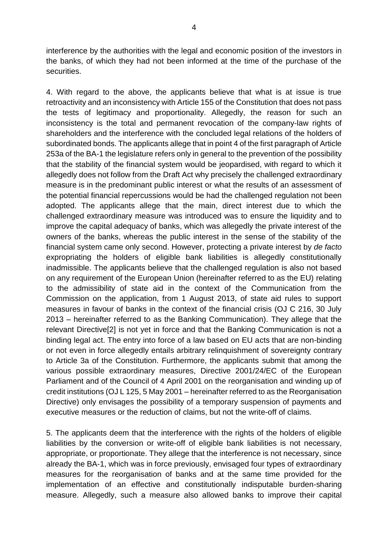interference by the authorities with the legal and economic position of the investors in the banks, of which they had not been informed at the time of the purchase of the securities.

4. With regard to the above, the applicants believe that what is at issue is true retroactivity and an inconsistency with Article 155 of the Constitution that does not pass the tests of legitimacy and proportionality. Allegedly, the reason for such an inconsistency is the total and permanent revocation of the company-law rights of shareholders and the interference with the concluded legal relations of the holders of subordinated bonds. The applicants allege that in point 4 of the first paragraph of Article 253a of the BA-1 the legislature refers only in general to the prevention of the possibility that the stability of the financial system would be jeopardised, with regard to which it allegedly does not follow from the Draft Act why precisely the challenged extraordinary measure is in the predominant public interest or what the results of an assessment of the potential financial repercussions would be had the challenged regulation not been adopted. The applicants allege that the main, direct interest due to which the challenged extraordinary measure was introduced was to ensure the liquidity and to improve the capital adequacy of banks, which was allegedly the private interest of the owners of the banks, whereas the public interest in the sense of the stability of the financial system came only second. However, protecting a private interest by *de facto* expropriating the holders of eligible bank liabilities is allegedly constitutionally inadmissible. The applicants believe that the challenged regulation is also not based on any requirement of the European Union (hereinafter referred to as the EU) relating to the admissibility of state aid in the context of the Communication from the Commission on the application, from 1 August 2013, of state aid rules to support measures in favour of banks in the context of the financial crisis (OJ C 216, 30 July 2013 – hereinafter referred to as the Banking Communication). They allege that the relevant Directive[2] is not yet in force and that the Banking Communication is not a binding legal act. The entry into force of a law based on EU acts that are non-binding or not even in force allegedly entails arbitrary relinquishment of sovereignty contrary to Article 3a of the Constitution. Furthermore, the applicants submit that among the various possible extraordinary measures, Directive 2001/24/EC of the European Parliament and of the Council of 4 April 2001 on the reorganisation and winding up of credit institutions (OJ L 125, 5 May 2001 – hereinafter referred to as the Reorganisation Directive) only envisages the possibility of a temporary suspension of payments and executive measures or the reduction of claims, but not the write-off of claims.

5. The applicants deem that the interference with the rights of the holders of eligible liabilities by the conversion or write-off of eligible bank liabilities is not necessary, appropriate, or proportionate. They allege that the interference is not necessary, since already the BA-1, which was in force previously, envisaged four types of extraordinary measures for the reorganisation of banks and at the same time provided for the implementation of an effective and constitutionally indisputable burden-sharing measure. Allegedly, such a measure also allowed banks to improve their capital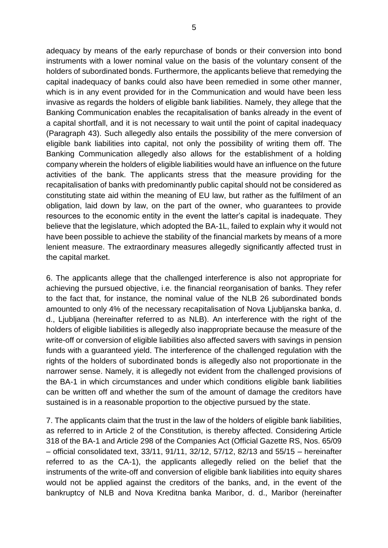adequacy by means of the early repurchase of bonds or their conversion into bond instruments with a lower nominal value on the basis of the voluntary consent of the holders of subordinated bonds. Furthermore, the applicants believe that remedying the capital inadequacy of banks could also have been remedied in some other manner, which is in any event provided for in the Communication and would have been less invasive as regards the holders of eligible bank liabilities. Namely, they allege that the Banking Communication enables the recapitalisation of banks already in the event of a capital shortfall, and it is not necessary to wait until the point of capital inadequacy (Paragraph 43). Such allegedly also entails the possibility of the mere conversion of eligible bank liabilities into capital, not only the possibility of writing them off. The Banking Communication allegedly also allows for the establishment of a holding company wherein the holders of eligible liabilities would have an influence on the future activities of the bank. The applicants stress that the measure providing for the recapitalisation of banks with predominantly public capital should not be considered as constituting state aid within the meaning of EU law, but rather as the fulfilment of an obligation, laid down by law, on the part of the owner, who guarantees to provide resources to the economic entity in the event the latter's capital is inadequate. They believe that the legislature, which adopted the BA-1L, failed to explain why it would not have been possible to achieve the stability of the financial markets by means of a more lenient measure. The extraordinary measures allegedly significantly affected trust in the capital market.

6. The applicants allege that the challenged interference is also not appropriate for achieving the pursued objective, i.e. the financial reorganisation of banks. They refer to the fact that, for instance, the nominal value of the NLB 26 subordinated bonds amounted to only 4% of the necessary recapitalisation of Nova Ljubljanska banka, d. d., Ljubljana (hereinafter referred to as NLB). An interference with the right of the holders of eligible liabilities is allegedly also inappropriate because the measure of the write-off or conversion of eligible liabilities also affected savers with savings in pension funds with a guaranteed yield. The interference of the challenged regulation with the rights of the holders of subordinated bonds is allegedly also not proportionate in the narrower sense. Namely, it is allegedly not evident from the challenged provisions of the BA-1 in which circumstances and under which conditions eligible bank liabilities can be written off and whether the sum of the amount of damage the creditors have sustained is in a reasonable proportion to the objective pursued by the state.

7. The applicants claim that the trust in the law of the holders of eligible bank liabilities, as referred to in Article 2 of the Constitution, is thereby affected. Considering Article 318 of the BA-1 and Article 298 of the Companies Act (Official Gazette RS, Nos. 65/09 – official consolidated text, 33/11, 91/11, 32/12, 57/12, 82/13 and 55/15 – hereinafter referred to as the CA-1), the applicants allegedly relied on the belief that the instruments of the write-off and conversion of eligible bank liabilities into equity shares would not be applied against the creditors of the banks, and, in the event of the bankruptcy of NLB and Nova Kreditna banka Maribor, d. d., Maribor (hereinafter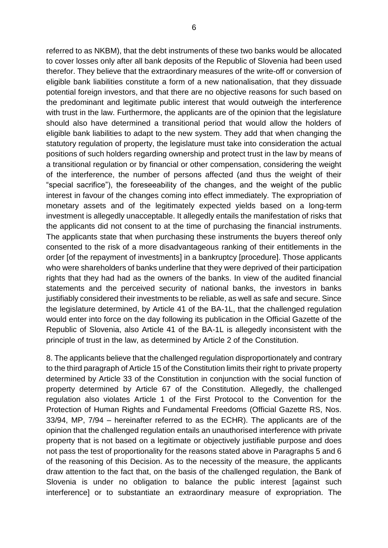referred to as NKBM), that the debt instruments of these two banks would be allocated to cover losses only after all bank deposits of the Republic of Slovenia had been used therefor. They believe that the extraordinary measures of the write-off or conversion of eligible bank liabilities constitute a form of a new nationalisation, that they dissuade potential foreign investors, and that there are no objective reasons for such based on the predominant and legitimate public interest that would outweigh the interference with trust in the law. Furthermore, the applicants are of the opinion that the legislature should also have determined a transitional period that would allow the holders of eligible bank liabilities to adapt to the new system. They add that when changing the statutory regulation of property, the legislature must take into consideration the actual positions of such holders regarding ownership and protect trust in the law by means of a transitional regulation or by financial or other compensation, considering the weight of the interference, the number of persons affected (and thus the weight of their "special sacrifice"), the foreseeability of the changes, and the weight of the public interest in favour of the changes coming into effect immediately. The expropriation of monetary assets and of the legitimately expected yields based on a long-term investment is allegedly unacceptable. It allegedly entails the manifestation of risks that the applicants did not consent to at the time of purchasing the financial instruments. The applicants state that when purchasing these instruments the buyers thereof only consented to the risk of a more disadvantageous ranking of their entitlements in the order [of the repayment of investments] in a bankruptcy [procedure]. Those applicants who were shareholders of banks underline that they were deprived of their participation rights that they had had as the owners of the banks. In view of the audited financial statements and the perceived security of national banks, the investors in banks justifiably considered their investments to be reliable, as well as safe and secure. Since the legislature determined, by Article 41 of the BA-1L, that the challenged regulation would enter into force on the day following its publication in the Official Gazette of the Republic of Slovenia, also Article 41 of the BA-1L is allegedly inconsistent with the principle of trust in the law, as determined by Article 2 of the Constitution.

8. The applicants believe that the challenged regulation disproportionately and contrary to the third paragraph of Article 15 of the Constitution limits their right to private property determined by Article 33 of the Constitution in conjunction with the social function of property determined by Article 67 of the Constitution. Allegedly, the challenged regulation also violates Article 1 of the First Protocol to the Convention for the Protection of Human Rights and Fundamental Freedoms (Official Gazette RS, Nos. 33/94, MP, 7/94 – hereinafter referred to as the ECHR). The applicants are of the opinion that the challenged regulation entails an unauthorised interference with private property that is not based on a legitimate or objectively justifiable purpose and does not pass the test of proportionality for the reasons stated above in Paragraphs 5 and 6 of the reasoning of this Decision. As to the necessity of the measure, the applicants draw attention to the fact that, on the basis of the challenged regulation, the Bank of Slovenia is under no obligation to balance the public interest [against such interference] or to substantiate an extraordinary measure of expropriation. The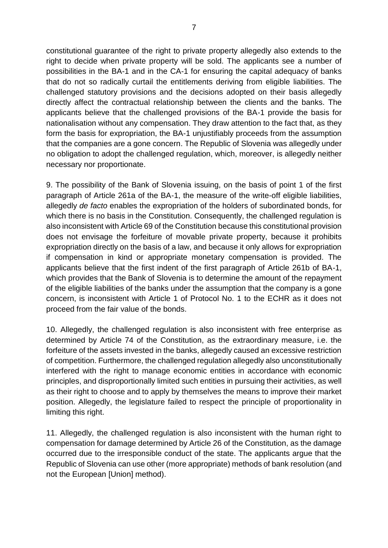constitutional guarantee of the right to private property allegedly also extends to the right to decide when private property will be sold. The applicants see a number of possibilities in the BA-1 and in the CA-1 for ensuring the capital adequacy of banks that do not so radically curtail the entitlements deriving from eligible liabilities. The challenged statutory provisions and the decisions adopted on their basis allegedly directly affect the contractual relationship between the clients and the banks. The applicants believe that the challenged provisions of the BA-1 provide the basis for nationalisation without any compensation. They draw attention to the fact that, as they form the basis for expropriation, the BA-1 unjustifiably proceeds from the assumption that the companies are a gone concern. The Republic of Slovenia was allegedly under no obligation to adopt the challenged regulation, which, moreover, is allegedly neither necessary nor proportionate.

9. The possibility of the Bank of Slovenia issuing, on the basis of point 1 of the first paragraph of Article 261a of the BA-1, the measure of the write-off eligible liabilities, allegedly *de facto* enables the expropriation of the holders of subordinated bonds, for which there is no basis in the Constitution. Consequently, the challenged regulation is also inconsistent with Article 69 of the Constitution because this constitutional provision does not envisage the forfeiture of movable private property, because it prohibits expropriation directly on the basis of a law, and because it only allows for expropriation if compensation in kind or appropriate monetary compensation is provided. The applicants believe that the first indent of the first paragraph of Article 261b of BA-1, which provides that the Bank of Slovenia is to determine the amount of the repayment of the eligible liabilities of the banks under the assumption that the company is a gone concern, is inconsistent with Article 1 of Protocol No. 1 to the ECHR as it does not proceed from the fair value of the bonds.

10. Allegedly, the challenged regulation is also inconsistent with free enterprise as determined by Article 74 of the Constitution, as the extraordinary measure, i.e. the forfeiture of the assets invested in the banks, allegedly caused an excessive restriction of competition. Furthermore, the challenged regulation allegedly also unconstitutionally interfered with the right to manage economic entities in accordance with economic principles, and disproportionally limited such entities in pursuing their activities, as well as their right to choose and to apply by themselves the means to improve their market position. Allegedly, the legislature failed to respect the principle of proportionality in limiting this right.

11. Allegedly, the challenged regulation is also inconsistent with the human right to compensation for damage determined by Article 26 of the Constitution, as the damage occurred due to the irresponsible conduct of the state. The applicants argue that the Republic of Slovenia can use other (more appropriate) methods of bank resolution (and not the European [Union] method).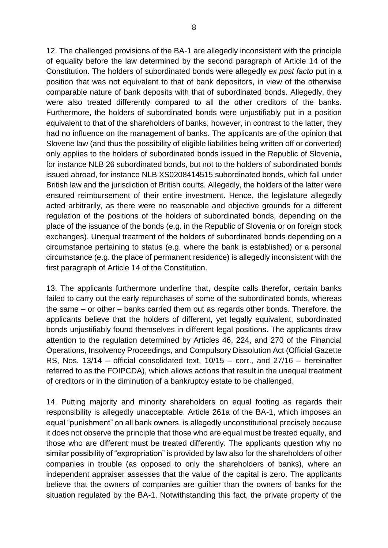12. The challenged provisions of the BA-1 are allegedly inconsistent with the principle of equality before the law determined by the second paragraph of Article 14 of the Constitution. The holders of subordinated bonds were allegedly *ex post facto* put in a position that was not equivalent to that of bank depositors, in view of the otherwise comparable nature of bank deposits with that of subordinated bonds. Allegedly, they were also treated differently compared to all the other creditors of the banks. Furthermore, the holders of subordinated bonds were unjustifiably put in a position equivalent to that of the shareholders of banks, however, in contrast to the latter, they had no influence on the management of banks. The applicants are of the opinion that Slovene law (and thus the possibility of eligible liabilities being written off or converted) only applies to the holders of subordinated bonds issued in the Republic of Slovenia, for instance NLB 26 subordinated bonds, but not to the holders of subordinated bonds issued abroad, for instance NLB XS0208414515 subordinated bonds, which fall under British law and the jurisdiction of British courts. Allegedly, the holders of the latter were ensured reimbursement of their entire investment. Hence, the legislature allegedly acted arbitrarily, as there were no reasonable and objective grounds for a different regulation of the positions of the holders of subordinated bonds, depending on the place of the issuance of the bonds (e.g. in the Republic of Slovenia or on foreign stock exchanges). Unequal treatment of the holders of subordinated bonds depending on a circumstance pertaining to status (e.g. where the bank is established) or a personal circumstance (e.g. the place of permanent residence) is allegedly inconsistent with the first paragraph of Article 14 of the Constitution.

13. The applicants furthermore underline that, despite calls therefor, certain banks failed to carry out the early repurchases of some of the subordinated bonds, whereas the same – or other – banks carried them out as regards other bonds. Therefore, the applicants believe that the holders of different, yet legally equivalent, subordinated bonds unjustifiably found themselves in different legal positions. The applicants draw attention to the regulation determined by Articles 46, 224, and 270 of the Financial Operations, Insolvency Proceedings, and Compulsory Dissolution Act (Official Gazette RS, Nos. 13/14 – official consolidated text, 10/15 – corr., and 27/16 – hereinafter referred to as the FOIPCDA), which allows actions that result in the unequal treatment of creditors or in the diminution of a bankruptcy estate to be challenged.

14. Putting majority and minority shareholders on equal footing as regards their responsibility is allegedly unacceptable. Article 261a of the BA-1, which imposes an equal "punishment" on all bank owners, is allegedly unconstitutional precisely because it does not observe the principle that those who are equal must be treated equally, and those who are different must be treated differently. The applicants question why no similar possibility of "expropriation" is provided by law also for the shareholders of other companies in trouble (as opposed to only the shareholders of banks), where an independent appraiser assesses that the value of the capital is zero. The applicants believe that the owners of companies are guiltier than the owners of banks for the situation regulated by the BA-1. Notwithstanding this fact, the private property of the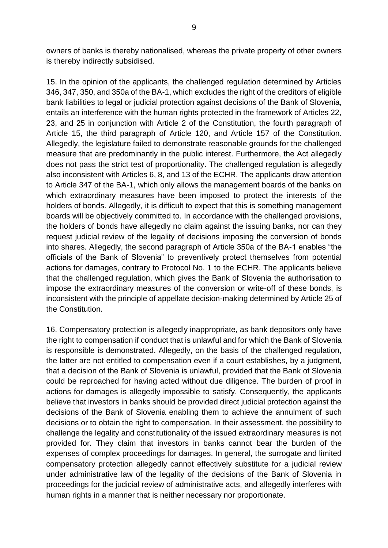owners of banks is thereby nationalised, whereas the private property of other owners is thereby indirectly subsidised.

15. In the opinion of the applicants, the challenged regulation determined by Articles 346, 347, 350, and 350a of the BA-1, which excludes the right of the creditors of eligible bank liabilities to legal or judicial protection against decisions of the Bank of Slovenia, entails an interference with the human rights protected in the framework of Articles 22, 23, and 25 in conjunction with Article 2 of the Constitution, the fourth paragraph of Article 15, the third paragraph of Article 120, and Article 157 of the Constitution. Allegedly, the legislature failed to demonstrate reasonable grounds for the challenged measure that are predominantly in the public interest. Furthermore, the Act allegedly does not pass the strict test of proportionality. The challenged regulation is allegedly also inconsistent with Articles 6, 8, and 13 of the ECHR. The applicants draw attention to Article 347 of the BA-1, which only allows the management boards of the banks on which extraordinary measures have been imposed to protect the interests of the holders of bonds. Allegedly, it is difficult to expect that this is something management boards will be objectively committed to. In accordance with the challenged provisions, the holders of bonds have allegedly no claim against the issuing banks, nor can they request judicial review of the legality of decisions imposing the conversion of bonds into shares. Allegedly, the second paragraph of Article 350a of the BA-1 enables "the officials of the Bank of Slovenia" to preventively protect themselves from potential actions for damages, contrary to Protocol No. 1 to the ECHR. The applicants believe that the challenged regulation, which gives the Bank of Slovenia the authorisation to impose the extraordinary measures of the conversion or write-off of these bonds, is inconsistent with the principle of appellate decision-making determined by Article 25 of the Constitution.

16. Compensatory protection is allegedly inappropriate, as bank depositors only have the right to compensation if conduct that is unlawful and for which the Bank of Slovenia is responsible is demonstrated. Allegedly, on the basis of the challenged regulation, the latter are not entitled to compensation even if a court establishes, by a judgment, that a decision of the Bank of Slovenia is unlawful, provided that the Bank of Slovenia could be reproached for having acted without due diligence. The burden of proof in actions for damages is allegedly impossible to satisfy. Consequently, the applicants believe that investors in banks should be provided direct judicial protection against the decisions of the Bank of Slovenia enabling them to achieve the annulment of such decisions or to obtain the right to compensation. In their assessment, the possibility to challenge the legality and constitutionality of the issued extraordinary measures is not provided for. They claim that investors in banks cannot bear the burden of the expenses of complex proceedings for damages. In general, the surrogate and limited compensatory protection allegedly cannot effectively substitute for a judicial review under administrative law of the legality of the decisions of the Bank of Slovenia in proceedings for the judicial review of administrative acts, and allegedly interferes with human rights in a manner that is neither necessary nor proportionate.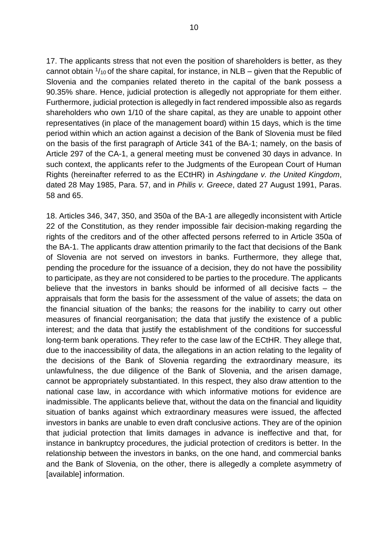17. The applicants stress that not even the position of shareholders is better, as they cannot obtain  $\frac{1}{10}$  of the share capital, for instance, in NLB – given that the Republic of Slovenia and the companies related thereto in the capital of the bank possess a 90.35% share. Hence, judicial protection is allegedly not appropriate for them either. Furthermore, judicial protection is allegedly in fact rendered impossible also as regards shareholders who own 1/10 of the share capital, as they are unable to appoint other representatives (in place of the management board) within 15 days, which is the time period within which an action against a decision of the Bank of Slovenia must be filed on the basis of the first paragraph of Article 341 of the BA-1; namely, on the basis of Article 297 of the CA-1, a general meeting must be convened 30 days in advance. In such context, the applicants refer to the Judgments of the European Court of Human Rights (hereinafter referred to as the ECtHR) in *Ashingdane v. the United Kingdom*, dated 28 May 1985, Para. 57, and in *Philis v. Greece*, dated 27 August 1991, Paras. 58 and 65.

18. Articles 346, 347, 350, and 350a of the BA-1 are allegedly inconsistent with Article 22 of the Constitution, as they render impossible fair decision-making regarding the rights of the creditors and of the other affected persons referred to in Article 350a of the BA-1. The applicants draw attention primarily to the fact that decisions of the Bank of Slovenia are not served on investors in banks. Furthermore, they allege that, pending the procedure for the issuance of a decision, they do not have the possibility to participate, as they are not considered to be parties to the procedure. The applicants believe that the investors in banks should be informed of all decisive facts – the appraisals that form the basis for the assessment of the value of assets; the data on the financial situation of the banks; the reasons for the inability to carry out other measures of financial reorganisation; the data that justify the existence of a public interest; and the data that justify the establishment of the conditions for successful long-term bank operations. They refer to the case law of the ECtHR. They allege that, due to the inaccessibility of data, the allegations in an action relating to the legality of the decisions of the Bank of Slovenia regarding the extraordinary measure, its unlawfulness, the due diligence of the Bank of Slovenia, and the arisen damage, cannot be appropriately substantiated. In this respect, they also draw attention to the national case law, in accordance with which informative motions for evidence are inadmissible. The applicants believe that, without the data on the financial and liquidity situation of banks against which extraordinary measures were issued, the affected investors in banks are unable to even draft conclusive actions. They are of the opinion that judicial protection that limits damages in advance is ineffective and that, for instance in bankruptcy procedures, the judicial protection of creditors is better. In the relationship between the investors in banks, on the one hand, and commercial banks and the Bank of Slovenia, on the other, there is allegedly a complete asymmetry of [available] information.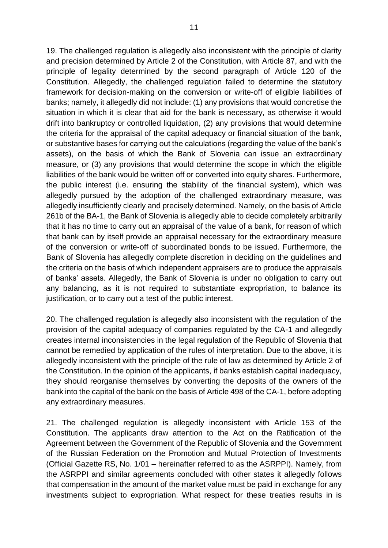19. The challenged regulation is allegedly also inconsistent with the principle of clarity and precision determined by Article 2 of the Constitution, with Article 87, and with the principle of legality determined by the second paragraph of Article 120 of the Constitution. Allegedly, the challenged regulation failed to determine the statutory framework for decision-making on the conversion or write-off of eligible liabilities of banks; namely, it allegedly did not include: (1) any provisions that would concretise the situation in which it is clear that aid for the bank is necessary, as otherwise it would drift into bankruptcy or controlled liquidation, (2) any provisions that would determine the criteria for the appraisal of the capital adequacy or financial situation of the bank, or substantive bases for carrying out the calculations (regarding the value of the bank's assets), on the basis of which the Bank of Slovenia can issue an extraordinary measure, or (3) any provisions that would determine the scope in which the eligible liabilities of the bank would be written off or converted into equity shares. Furthermore, the public interest (i.e. ensuring the stability of the financial system), which was allegedly pursued by the adoption of the challenged extraordinary measure, was allegedly insufficiently clearly and precisely determined. Namely, on the basis of Article 261b of the BA-1, the Bank of Slovenia is allegedly able to decide completely arbitrarily that it has no time to carry out an appraisal of the value of a bank, for reason of which that bank can by itself provide an appraisal necessary for the extraordinary measure of the conversion or write-off of subordinated bonds to be issued. Furthermore, the Bank of Slovenia has allegedly complete discretion in deciding on the guidelines and the criteria on the basis of which independent appraisers are to produce the appraisals of banks' assets. Allegedly, the Bank of Slovenia is under no obligation to carry out any balancing, as it is not required to substantiate expropriation, to balance its justification, or to carry out a test of the public interest.

20. The challenged regulation is allegedly also inconsistent with the regulation of the provision of the capital adequacy of companies regulated by the CA-1 and allegedly creates internal inconsistencies in the legal regulation of the Republic of Slovenia that cannot be remedied by application of the rules of interpretation. Due to the above, it is allegedly inconsistent with the principle of the rule of law as determined by Article 2 of the Constitution. In the opinion of the applicants, if banks establish capital inadequacy, they should reorganise themselves by converting the deposits of the owners of the bank into the capital of the bank on the basis of Article 498 of the CA-1, before adopting any extraordinary measures.

21. The challenged regulation is allegedly inconsistent with Article 153 of the Constitution. The applicants draw attention to the Act on the Ratification of the Agreement between the Government of the Republic of Slovenia and the Government of the Russian Federation on the Promotion and Mutual Protection of Investments (Official Gazette RS, No. 1/01 – hereinafter referred to as the ASRPPI). Namely, from the ASRPPI and similar agreements concluded with other states it allegedly follows that compensation in the amount of the market value must be paid in exchange for any investments subject to expropriation. What respect for these treaties results in is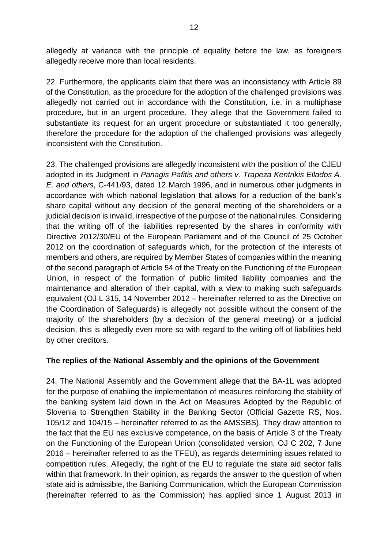allegedly at variance with the principle of equality before the law, as foreigners allegedly receive more than local residents.

22. Furthermore, the applicants claim that there was an inconsistency with Article 89 of the Constitution, as the procedure for the adoption of the challenged provisions was allegedly not carried out in accordance with the Constitution, i.e. in a multiphase procedure, but in an urgent procedure. They allege that the Government failed to substantiate its request for an urgent procedure or substantiated it too generally, therefore the procedure for the adoption of the challenged provisions was allegedly inconsistent with the Constitution.

23. The challenged provisions are allegedly inconsistent with the position of the CJEU adopted in its Judgment in *Panagis Pafitis and others v. Trapeza Kentrikis Ellados A. E. and others*, C-441/93, dated 12 March 1996, and in numerous other judgments in accordance with which national legislation that allows for a reduction of the bank's share capital without any decision of the general meeting of the shareholders or a judicial decision is invalid, irrespective of the purpose of the national rules. Considering that the writing off of the liabilities represented by the shares in conformity with Directive 2012/30/EU of the European Parliament and of the Council of 25 October 2012 on the coordination of safeguards which, for the protection of the interests of members and others, are required by Member States of companies within the meaning of the second paragraph of Article 54 of the Treaty on the Functioning of the European Union, in respect of the formation of public limited liability companies and the maintenance and alteration of their capital, with a view to making such safeguards equivalent (OJ L 315, 14 November 2012 – hereinafter referred to as the Directive on the Coordination of Safeguards) is allegedly not possible without the consent of the majority of the shareholders (by a decision of the general meeting) or a judicial decision, this is allegedly even more so with regard to the writing off of liabilities held by other creditors.

## **The replies of the National Assembly and the opinions of the Government**

24. The National Assembly and the Government allege that the BA-1L was adopted for the purpose of enabling the implementation of measures reinforcing the stability of the banking system laid down in the Act on Measures Adopted by the Republic of Slovenia to Strengthen Stability in the Banking Sector (Official Gazette RS, Nos. 105/12 and 104/15 – hereinafter referred to as the AMSSBS). They draw attention to the fact that the EU has exclusive competence, on the basis of Article 3 of the Treaty on the Functioning of the European Union (consolidated version, OJ C 202, 7 June 2016 – hereinafter referred to as the TFEU), as regards determining issues related to competition rules. Allegedly, the right of the EU to regulate the state aid sector falls within that framework. In their opinion, as regards the answer to the question of when state aid is admissible, the Banking Communication, which the European Commission (hereinafter referred to as the Commission) has applied since 1 August 2013 in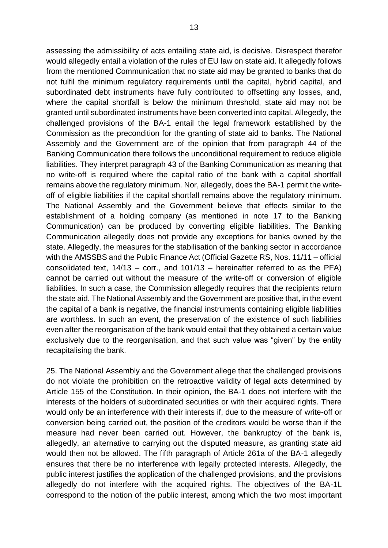assessing the admissibility of acts entailing state aid, is decisive. Disrespect therefor would allegedly entail a violation of the rules of EU law on state aid. It allegedly follows from the mentioned Communication that no state aid may be granted to banks that do not fulfil the minimum regulatory requirements until the capital, hybrid capital, and subordinated debt instruments have fully contributed to offsetting any losses, and, where the capital shortfall is below the minimum threshold, state aid may not be granted until subordinated instruments have been converted into capital. Allegedly, the challenged provisions of the BA-1 entail the legal framework established by the Commission as the precondition for the granting of state aid to banks. The National Assembly and the Government are of the opinion that from paragraph 44 of the Banking Communication there follows the unconditional requirement to reduce eligible liabilities. They interpret paragraph 43 of the Banking Communication as meaning that no write-off is required where the capital ratio of the bank with a capital shortfall remains above the regulatory minimum. Nor, allegedly, does the BA-1 permit the writeoff of eligible liabilities if the capital shortfall remains above the regulatory minimum. The National Assembly and the Government believe that effects similar to the establishment of a holding company (as mentioned in note 17 to the Banking Communication) can be produced by converting eligible liabilities. The Banking Communication allegedly does not provide any exceptions for banks owned by the state. Allegedly, the measures for the stabilisation of the banking sector in accordance with the AMSSBS and the Public Finance Act (Official Gazette RS, Nos. 11/11 – official consolidated text, 14/13 – corr., and 101/13 – hereinafter referred to as the PFA) cannot be carried out without the measure of the write-off or conversion of eligible liabilities. In such a case, the Commission allegedly requires that the recipients return the state aid. The National Assembly and the Government are positive that, in the event the capital of a bank is negative, the financial instruments containing eligible liabilities are worthless. In such an event, the preservation of the existence of such liabilities even after the reorganisation of the bank would entail that they obtained a certain value exclusively due to the reorganisation, and that such value was "given" by the entity recapitalising the bank.

25. The National Assembly and the Government allege that the challenged provisions do not violate the prohibition on the retroactive validity of legal acts determined by Article 155 of the Constitution. In their opinion, the BA-1 does not interfere with the interests of the holders of subordinated securities or with their acquired rights. There would only be an interference with their interests if, due to the measure of write-off or conversion being carried out, the position of the creditors would be worse than if the measure had never been carried out. However, the bankruptcy of the bank is, allegedly, an alternative to carrying out the disputed measure, as granting state aid would then not be allowed. The fifth paragraph of Article 261a of the BA-1 allegedly ensures that there be no interference with legally protected interests. Allegedly, the public interest justifies the application of the challenged provisions, and the provisions allegedly do not interfere with the acquired rights. The objectives of the BA-1L correspond to the notion of the public interest, among which the two most important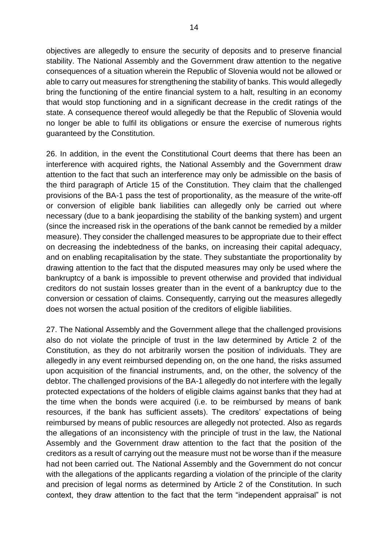objectives are allegedly to ensure the security of deposits and to preserve financial stability. The National Assembly and the Government draw attention to the negative consequences of a situation wherein the Republic of Slovenia would not be allowed or able to carry out measures for strengthening the stability of banks. This would allegedly bring the functioning of the entire financial system to a halt, resulting in an economy that would stop functioning and in a significant decrease in the credit ratings of the state. A consequence thereof would allegedly be that the Republic of Slovenia would no longer be able to fulfil its obligations or ensure the exercise of numerous rights guaranteed by the Constitution.

26. In addition, in the event the Constitutional Court deems that there has been an interference with acquired rights, the National Assembly and the Government draw attention to the fact that such an interference may only be admissible on the basis of the third paragraph of Article 15 of the Constitution. They claim that the challenged provisions of the BA-1 pass the test of proportionality, as the measure of the write-off or conversion of eligible bank liabilities can allegedly only be carried out where necessary (due to a bank jeopardising the stability of the banking system) and urgent (since the increased risk in the operations of the bank cannot be remedied by a milder measure). They consider the challenged measures to be appropriate due to their effect on decreasing the indebtedness of the banks, on increasing their capital adequacy, and on enabling recapitalisation by the state. They substantiate the proportionality by drawing attention to the fact that the disputed measures may only be used where the bankruptcy of a bank is impossible to prevent otherwise and provided that individual creditors do not sustain losses greater than in the event of a bankruptcy due to the conversion or cessation of claims. Consequently, carrying out the measures allegedly does not worsen the actual position of the creditors of eligible liabilities.

27. The National Assembly and the Government allege that the challenged provisions also do not violate the principle of trust in the law determined by Article 2 of the Constitution, as they do not arbitrarily worsen the position of individuals. They are allegedly in any event reimbursed depending on, on the one hand, the risks assumed upon acquisition of the financial instruments, and, on the other, the solvency of the debtor. The challenged provisions of the BA-1 allegedly do not interfere with the legally protected expectations of the holders of eligible claims against banks that they had at the time when the bonds were acquired (i.e. to be reimbursed by means of bank resources, if the bank has sufficient assets). The creditors' expectations of being reimbursed by means of public resources are allegedly not protected. Also as regards the allegations of an inconsistency with the principle of trust in the law, the National Assembly and the Government draw attention to the fact that the position of the creditors as a result of carrying out the measure must not be worse than if the measure had not been carried out. The National Assembly and the Government do not concur with the allegations of the applicants regarding a violation of the principle of the clarity and precision of legal norms as determined by Article 2 of the Constitution. In such context, they draw attention to the fact that the term "independent appraisal" is not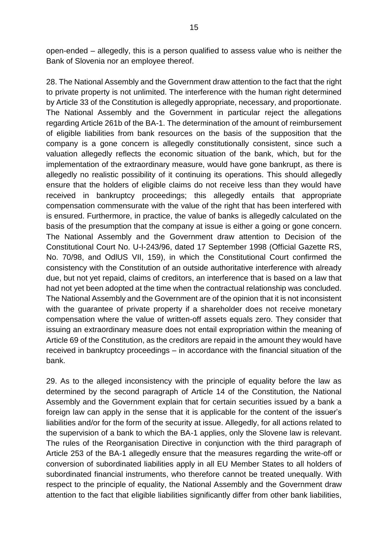open-ended – allegedly, this is a person qualified to assess value who is neither the Bank of Slovenia nor an employee thereof.

28. The National Assembly and the Government draw attention to the fact that the right to private property is not unlimited. The interference with the human right determined by Article 33 of the Constitution is allegedly appropriate, necessary, and proportionate. The National Assembly and the Government in particular reject the allegations regarding Article 261b of the BA-1. The determination of the amount of reimbursement of eligible liabilities from bank resources on the basis of the supposition that the company is a gone concern is allegedly constitutionally consistent, since such a valuation allegedly reflects the economic situation of the bank, which, but for the implementation of the extraordinary measure, would have gone bankrupt, as there is allegedly no realistic possibility of it continuing its operations. This should allegedly ensure that the holders of eligible claims do not receive less than they would have received in bankruptcy proceedings; this allegedly entails that appropriate compensation commensurate with the value of the right that has been interfered with is ensured. Furthermore, in practice, the value of banks is allegedly calculated on the basis of the presumption that the company at issue is either a going or gone concern. The National Assembly and the Government draw attention to Decision of the Constitutional Court No. U-I-243/96, dated 17 September 1998 (Official Gazette RS, No. 70/98, and OdlUS VII, 159), in which the Constitutional Court confirmed the consistency with the Constitution of an outside authoritative interference with already due, but not yet repaid, claims of creditors, an interference that is based on a law that had not yet been adopted at the time when the contractual relationship was concluded. The National Assembly and the Government are of the opinion that it is not inconsistent with the guarantee of private property if a shareholder does not receive monetary compensation where the value of written-off assets equals zero. They consider that issuing an extraordinary measure does not entail expropriation within the meaning of Article 69 of the Constitution, as the creditors are repaid in the amount they would have received in bankruptcy proceedings – in accordance with the financial situation of the bank.

29. As to the alleged inconsistency with the principle of equality before the law as determined by the second paragraph of Article 14 of the Constitution, the National Assembly and the Government explain that for certain securities issued by a bank a foreign law can apply in the sense that it is applicable for the content of the issuer's liabilities and/or for the form of the security at issue. Allegedly, for all actions related to the supervision of a bank to which the BA-1 applies, only the Slovene law is relevant. The rules of the Reorganisation Directive in conjunction with the third paragraph of Article 253 of the BA-1 allegedly ensure that the measures regarding the write-off or conversion of subordinated liabilities apply in all EU Member States to all holders of subordinated financial instruments, who therefore cannot be treated unequally. With respect to the principle of equality, the National Assembly and the Government draw attention to the fact that eligible liabilities significantly differ from other bank liabilities,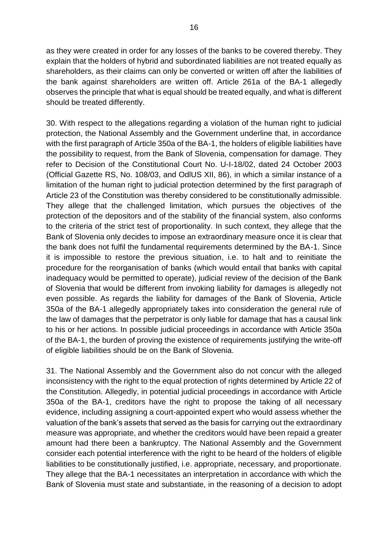as they were created in order for any losses of the banks to be covered thereby. They explain that the holders of hybrid and subordinated liabilities are not treated equally as shareholders, as their claims can only be converted or written off after the liabilities of the bank against shareholders are written off. Article 261a of the BA-1 allegedly observes the principle that what is equal should be treated equally, and what is different should be treated differently.

30. With respect to the allegations regarding a violation of the human right to judicial protection, the National Assembly and the Government underline that, in accordance with the first paragraph of Article 350a of the BA-1, the holders of eligible liabilities have the possibility to request, from the Bank of Slovenia, compensation for damage. They refer to Decision of the Constitutional Court No. U-I-18/02, dated 24 October 2003 (Official Gazette RS, No. 108/03, and OdlUS XII, 86), in which a similar instance of a limitation of the human right to judicial protection determined by the first paragraph of Article 23 of the Constitution was thereby considered to be constitutionally admissible. They allege that the challenged limitation, which pursues the objectives of the protection of the depositors and of the stability of the financial system, also conforms to the criteria of the strict test of proportionality. In such context, they allege that the Bank of Slovenia only decides to impose an extraordinary measure once it is clear that the bank does not fulfil the fundamental requirements determined by the BA-1. Since it is impossible to restore the previous situation, i.e. to halt and to reinitiate the procedure for the reorganisation of banks (which would entail that banks with capital inadequacy would be permitted to operate), judicial review of the decision of the Bank of Slovenia that would be different from invoking liability for damages is allegedly not even possible. As regards the liability for damages of the Bank of Slovenia, Article 350a of the BA-1 allegedly appropriately takes into consideration the general rule of the law of damages that the perpetrator is only liable for damage that has a causal link to his or her actions. In possible judicial proceedings in accordance with Article 350a of the BA-1, the burden of proving the existence of requirements justifying the write-off of eligible liabilities should be on the Bank of Slovenia.

31. The National Assembly and the Government also do not concur with the alleged inconsistency with the right to the equal protection of rights determined by Article 22 of the Constitution. Allegedly, in potential judicial proceedings in accordance with Article 350a of the BA-1, creditors have the right to propose the taking of all necessary evidence, including assigning a court-appointed expert who would assess whether the valuation of the bank's assets that served as the basis for carrying out the extraordinary measure was appropriate, and whether the creditors would have been repaid a greater amount had there been a bankruptcy. The National Assembly and the Government consider each potential interference with the right to be heard of the holders of eligible liabilities to be constitutionally justified, i.e. appropriate, necessary, and proportionate. They allege that the BA-1 necessitates an interpretation in accordance with which the Bank of Slovenia must state and substantiate, in the reasoning of a decision to adopt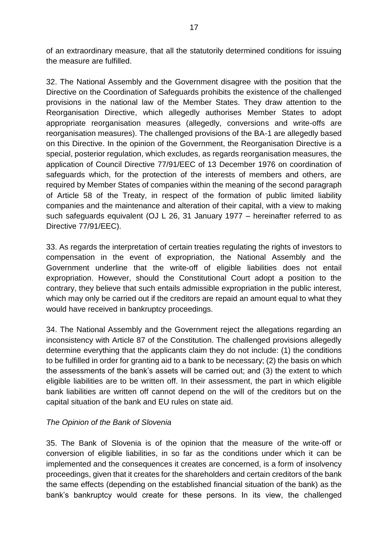of an extraordinary measure, that all the statutorily determined conditions for issuing the measure are fulfilled.

32. The National Assembly and the Government disagree with the position that the Directive on the Coordination of Safeguards prohibits the existence of the challenged provisions in the national law of the Member States. They draw attention to the Reorganisation Directive, which allegedly authorises Member States to adopt appropriate reorganisation measures (allegedly, conversions and write-offs are reorganisation measures). The challenged provisions of the BA-1 are allegedly based on this Directive. In the opinion of the Government, the Reorganisation Directive is a special, posterior regulation, which excludes, as regards reorganisation measures, the application of Council Directive 77/91/EEC of 13 December 1976 on coordination of safeguards which, for the protection of the interests of members and others, are required by Member States of companies within the meaning of the second paragraph of Article 58 of the Treaty, in respect of the formation of public limited liability companies and the maintenance and alteration of their capital, with a view to making such safeguards equivalent (OJ L 26, 31 January 1977 – hereinafter referred to as Directive 77/91/EEC).

33. As regards the interpretation of certain treaties regulating the rights of investors to compensation in the event of expropriation, the National Assembly and the Government underline that the write-off of eligible liabilities does not entail expropriation. However, should the Constitutional Court adopt a position to the contrary, they believe that such entails admissible expropriation in the public interest, which may only be carried out if the creditors are repaid an amount equal to what they would have received in bankruptcy proceedings.

34. The National Assembly and the Government reject the allegations regarding an inconsistency with Article 87 of the Constitution. The challenged provisions allegedly determine everything that the applicants claim they do not include: (1) the conditions to be fulfilled in order for granting aid to a bank to be necessary; (2) the basis on which the assessments of the bank's assets will be carried out; and (3) the extent to which eligible liabilities are to be written off. In their assessment, the part in which eligible bank liabilities are written off cannot depend on the will of the creditors but on the capital situation of the bank and EU rules on state aid.

## *The Opinion of the Bank of Slovenia*

35. The Bank of Slovenia is of the opinion that the measure of the write-off or conversion of eligible liabilities, in so far as the conditions under which it can be implemented and the consequences it creates are concerned, is a form of insolvency proceedings, given that it creates for the shareholders and certain creditors of the bank the same effects (depending on the established financial situation of the bank) as the bank's bankruptcy would create for these persons. In its view, the challenged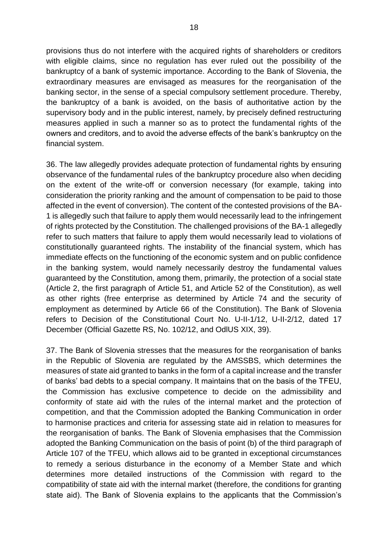provisions thus do not interfere with the acquired rights of shareholders or creditors with eligible claims, since no regulation has ever ruled out the possibility of the bankruptcy of a bank of systemic importance. According to the Bank of Slovenia, the extraordinary measures are envisaged as measures for the reorganisation of the banking sector, in the sense of a special compulsory settlement procedure. Thereby, the bankruptcy of a bank is avoided, on the basis of authoritative action by the supervisory body and in the public interest, namely, by precisely defined restructuring measures applied in such a manner so as to protect the fundamental rights of the owners and creditors, and to avoid the adverse effects of the bank's bankruptcy on the financial system.

36. The law allegedly provides adequate protection of fundamental rights by ensuring observance of the fundamental rules of the bankruptcy procedure also when deciding on the extent of the write-off or conversion necessary (for example, taking into consideration the priority ranking and the amount of compensation to be paid to those affected in the event of conversion). The content of the contested provisions of the BA-1 is allegedly such that failure to apply them would necessarily lead to the infringement of rights protected by the Constitution. The challenged provisions of the BA-1 allegedly refer to such matters that failure to apply them would necessarily lead to violations of constitutionally guaranteed rights. The instability of the financial system, which has immediate effects on the functioning of the economic system and on public confidence in the banking system, would namely necessarily destroy the fundamental values guaranteed by the Constitution, among them, primarily, the protection of a social state (Article 2, the first paragraph of Article 51, and Article 52 of the Constitution), as well as other rights (free enterprise as determined by Article 74 and the security of employment as determined by Article 66 of the Constitution). The Bank of Slovenia refers to Decision of the Constitutional Court No. U-II-1/12, U-II-2/12, dated 17 December (Official Gazette RS, No. 102/12, and OdlUS XIX, 39).

37. The Bank of Slovenia stresses that the measures for the reorganisation of banks in the Republic of Slovenia are regulated by the AMSSBS, which determines the measures of state aid granted to banks in the form of a capital increase and the transfer of banks' bad debts to a special company. It maintains that on the basis of the TFEU, the Commission has exclusive competence to decide on the admissibility and conformity of state aid with the rules of the internal market and the protection of competition, and that the Commission adopted the Banking Communication in order to harmonise practices and criteria for assessing state aid in relation to measures for the reorganisation of banks. The Bank of Slovenia emphasises that the Commission adopted the Banking Communication on the basis of point (b) of the third paragraph of Article 107 of the TFEU, which allows aid to be granted in exceptional circumstances to remedy a serious disturbance in the economy of a Member State and which determines more detailed instructions of the Commission with regard to the compatibility of state aid with the internal market (therefore, the conditions for granting state aid). The Bank of Slovenia explains to the applicants that the Commission's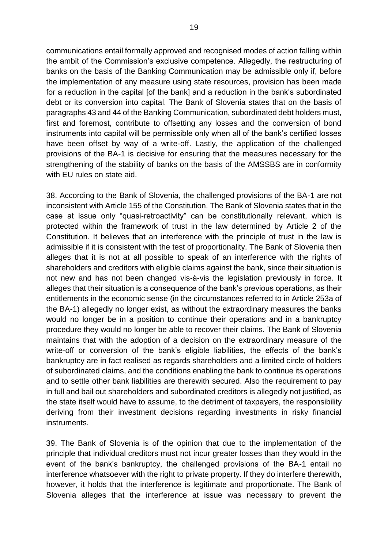communications entail formally approved and recognised modes of action falling within the ambit of the Commission's exclusive competence. Allegedly, the restructuring of banks on the basis of the Banking Communication may be admissible only if, before the implementation of any measure using state resources, provision has been made for a reduction in the capital [of the bank] and a reduction in the bank's subordinated debt or its conversion into capital. The Bank of Slovenia states that on the basis of paragraphs 43 and 44 of the Banking Communication, subordinated debt holders must, first and foremost, contribute to offsetting any losses and the conversion of bond instruments into capital will be permissible only when all of the bank's certified losses have been offset by way of a write-off. Lastly, the application of the challenged provisions of the BA-1 is decisive for ensuring that the measures necessary for the strengthening of the stability of banks on the basis of the AMSSBS are in conformity with EU rules on state aid.

38. According to the Bank of Slovenia, the challenged provisions of the BA-1 are not inconsistent with Article 155 of the Constitution. The Bank of Slovenia states that in the case at issue only "quasi-retroactivity" can be constitutionally relevant, which is protected within the framework of trust in the law determined by Article 2 of the Constitution. It believes that an interference with the principle of trust in the law is admissible if it is consistent with the test of proportionality. The Bank of Slovenia then alleges that it is not at all possible to speak of an interference with the rights of shareholders and creditors with eligible claims against the bank, since their situation is not new and has not been changed vis-à-vis the legislation previously in force. It alleges that their situation is a consequence of the bank's previous operations, as their entitlements in the economic sense (in the circumstances referred to in Article 253a of the BA-1) allegedly no longer exist, as without the extraordinary measures the banks would no longer be in a position to continue their operations and in a bankruptcy procedure they would no longer be able to recover their claims. The Bank of Slovenia maintains that with the adoption of a decision on the extraordinary measure of the write-off or conversion of the bank's eligible liabilities, the effects of the bank's bankruptcy are in fact realised as regards shareholders and a limited circle of holders of subordinated claims, and the conditions enabling the bank to continue its operations and to settle other bank liabilities are therewith secured. Also the requirement to pay in full and bail out shareholders and subordinated creditors is allegedly not justified, as the state itself would have to assume, to the detriment of taxpayers, the responsibility deriving from their investment decisions regarding investments in risky financial instruments.

39. The Bank of Slovenia is of the opinion that due to the implementation of the principle that individual creditors must not incur greater losses than they would in the event of the bank's bankruptcy, the challenged provisions of the BA-1 entail no interference whatsoever with the right to private property. If they do interfere therewith, however, it holds that the interference is legitimate and proportionate. The Bank of Slovenia alleges that the interference at issue was necessary to prevent the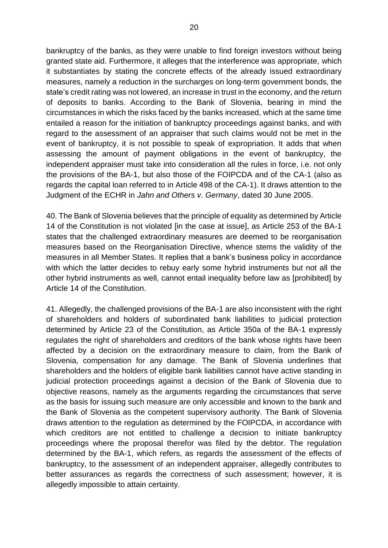bankruptcy of the banks, as they were unable to find foreign investors without being granted state aid. Furthermore, it alleges that the interference was appropriate, which it substantiates by stating the concrete effects of the already issued extraordinary measures, namely a reduction in the surcharges on long-term government bonds, the state's credit rating was not lowered, an increase in trust in the economy, and the return of deposits to banks. According to the Bank of Slovenia, bearing in mind the circumstances in which the risks faced by the banks increased, which at the same time entailed a reason for the initiation of bankruptcy proceedings against banks, and with regard to the assessment of an appraiser that such claims would not be met in the event of bankruptcy, it is not possible to speak of expropriation. It adds that when assessing the amount of payment obligations in the event of bankruptcy, the independent appraiser must take into consideration all the rules in force, i.e. not only the provisions of the BA-1, but also those of the FOIPCDA and of the CA-1 (also as regards the capital loan referred to in Article 498 of the CA-1). It draws attention to the Judgment of the ECHR in *Jahn and Others v*. *Germany*, dated 30 June 2005.

40. The Bank of Slovenia believes that the principle of equality as determined by Article 14 of the Constitution is not violated [in the case at issue], as Article 253 of the BA-1 states that the challenged extraordinary measures are deemed to be reorganisation measures based on the Reorganisation Directive, whence stems the validity of the measures in all Member States. It replies that a bank's business policy in accordance with which the latter decides to rebuy early some hybrid instruments but not all the other hybrid instruments as well, cannot entail inequality before law as [prohibited] by Article 14 of the Constitution.

41. Allegedly, the challenged provisions of the BA-1 are also inconsistent with the right of shareholders and holders of subordinated bank liabilities to judicial protection determined by Article 23 of the Constitution, as Article 350a of the BA-1 expressly regulates the right of shareholders and creditors of the bank whose rights have been affected by a decision on the extraordinary measure to claim, from the Bank of Slovenia, compensation for any damage. The Bank of Slovenia underlines that shareholders and the holders of eligible bank liabilities cannot have active standing in judicial protection proceedings against a decision of the Bank of Slovenia due to objective reasons, namely as the arguments regarding the circumstances that serve as the basis for issuing such measure are only accessible and known to the bank and the Bank of Slovenia as the competent supervisory authority. The Bank of Slovenia draws attention to the regulation as determined by the FOIPCDA, in accordance with which creditors are not entitled to challenge a decision to initiate bankruptcy proceedings where the proposal therefor was filed by the debtor. The regulation determined by the BA-1, which refers, as regards the assessment of the effects of bankruptcy, to the assessment of an independent appraiser, allegedly contributes to better assurances as regards the correctness of such assessment; however, it is allegedly impossible to attain certainty.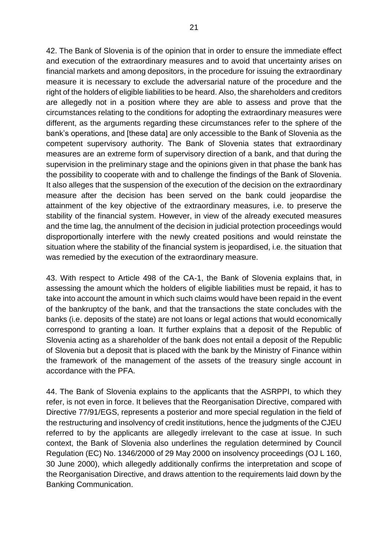42. The Bank of Slovenia is of the opinion that in order to ensure the immediate effect and execution of the extraordinary measures and to avoid that uncertainty arises on financial markets and among depositors, in the procedure for issuing the extraordinary measure it is necessary to exclude the adversarial nature of the procedure and the right of the holders of eligible liabilities to be heard. Also, the shareholders and creditors are allegedly not in a position where they are able to assess and prove that the circumstances relating to the conditions for adopting the extraordinary measures were different, as the arguments regarding these circumstances refer to the sphere of the bank's operations, and [these data] are only accessible to the Bank of Slovenia as the competent supervisory authority. The Bank of Slovenia states that extraordinary measures are an extreme form of supervisory direction of a bank, and that during the supervision in the preliminary stage and the opinions given in that phase the bank has the possibility to cooperate with and to challenge the findings of the Bank of Slovenia. It also alleges that the suspension of the execution of the decision on the extraordinary measure after the decision has been served on the bank could jeopardise the attainment of the key objective of the extraordinary measures, i.e. to preserve the stability of the financial system. However, in view of the already executed measures and the time lag, the annulment of the decision in judicial protection proceedings would disproportionally interfere with the newly created positions and would reinstate the situation where the stability of the financial system is jeopardised, i.e. the situation that was remedied by the execution of the extraordinary measure.

43. With respect to Article 498 of the CA-1, the Bank of Slovenia explains that, in assessing the amount which the holders of eligible liabilities must be repaid, it has to take into account the amount in which such claims would have been repaid in the event of the bankruptcy of the bank, and that the transactions the state concludes with the banks (i.e. deposits of the state) are not loans or legal actions that would economically correspond to granting a loan. It further explains that a deposit of the Republic of Slovenia acting as a shareholder of the bank does not entail a deposit of the Republic of Slovenia but a deposit that is placed with the bank by the Ministry of Finance within the framework of the management of the assets of the treasury single account in accordance with the PFA.

44. The Bank of Slovenia explains to the applicants that the ASRPPI, to which they refer, is not even in force. It believes that the Reorganisation Directive, compared with Directive 77/91/EGS, represents a posterior and more special regulation in the field of the restructuring and insolvency of credit institutions, hence the judgments of the CJEU referred to by the applicants are allegedly irrelevant to the case at issue. In such context, the Bank of Slovenia also underlines the regulation determined by Council Regulation (EC) No. 1346/2000 of 29 May 2000 on insolvency proceedings (OJ L 160, 30 June 2000), which allegedly additionally confirms the interpretation and scope of the Reorganisation Directive, and draws attention to the requirements laid down by the Banking Communication.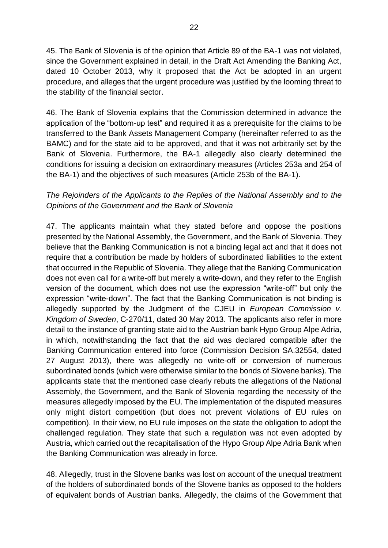45. The Bank of Slovenia is of the opinion that Article 89 of the BA-1 was not violated, since the Government explained in detail, in the Draft Act Amending the Banking Act, dated 10 October 2013, why it proposed that the Act be adopted in an urgent procedure, and alleges that the urgent procedure was justified by the looming threat to the stability of the financial sector.

46. The Bank of Slovenia explains that the Commission determined in advance the application of the "bottom-up test" and required it as a prerequisite for the claims to be transferred to the Bank Assets Management Company (hereinafter referred to as the BAMC) and for the state aid to be approved, and that it was not arbitrarily set by the Bank of Slovenia. Furthermore, the BA-1 allegedly also clearly determined the conditions for issuing a decision on extraordinary measures (Articles 253a and 254 of the BA-1) and the objectives of such measures (Article 253b of the BA-1).

# *The Rejoinders of the Applicants to the Replies of the National Assembly and to the Opinions of the Government and the Bank of Slovenia*

47. The applicants maintain what they stated before and oppose the positions presented by the National Assembly, the Government, and the Bank of Slovenia. They believe that the Banking Communication is not a binding legal act and that it does not require that a contribution be made by holders of subordinated liabilities to the extent that occurred in the Republic of Slovenia. They allege that the Banking Communication does not even call for a write-off but merely a write-down, and they refer to the English version of the document, which does not use the expression "write-off" but only the expression "write-down". The fact that the Banking Communication is not binding is allegedly supported by the Judgment of the CJEU in *European Commission v. Kingdom of Sweden*, C-270/11, dated 30 May 2013. The applicants also refer in more detail to the instance of granting state aid to the Austrian bank Hypo Group Alpe Adria, in which, notwithstanding the fact that the aid was declared compatible after the Banking Communication entered into force (Commission Decision SA.32554, dated 27 August 2013), there was allegedly no write-off or conversion of numerous subordinated bonds (which were otherwise similar to the bonds of Slovene banks). The applicants state that the mentioned case clearly rebuts the allegations of the National Assembly, the Government, and the Bank of Slovenia regarding the necessity of the measures allegedly imposed by the EU. The implementation of the disputed measures only might distort competition (but does not prevent violations of EU rules on competition). In their view, no EU rule imposes on the state the obligation to adopt the challenged regulation. They state that such a regulation was not even adopted by Austria, which carried out the recapitalisation of the Hypo Group Alpe Adria Bank when the Banking Communication was already in force.

48. Allegedly, trust in the Slovene banks was lost on account of the unequal treatment of the holders of subordinated bonds of the Slovene banks as opposed to the holders of equivalent bonds of Austrian banks. Allegedly, the claims of the Government that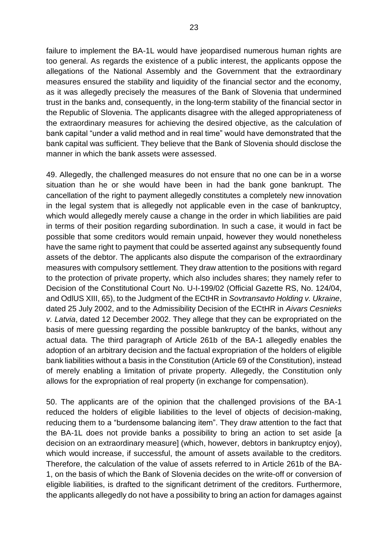failure to implement the BA-1L would have jeopardised numerous human rights are too general. As regards the existence of a public interest, the applicants oppose the allegations of the National Assembly and the Government that the extraordinary measures ensured the stability and liquidity of the financial sector and the economy, as it was allegedly precisely the measures of the Bank of Slovenia that undermined trust in the banks and, consequently, in the long-term stability of the financial sector in the Republic of Slovenia. The applicants disagree with the alleged appropriateness of the extraordinary measures for achieving the desired objective, as the calculation of bank capital "under a valid method and in real time" would have demonstrated that the bank capital was sufficient. They believe that the Bank of Slovenia should disclose the manner in which the bank assets were assessed.

49. Allegedly, the challenged measures do not ensure that no one can be in a worse situation than he or she would have been in had the bank gone bankrupt. The cancellation of the right to payment allegedly constitutes a completely new innovation in the legal system that is allegedly not applicable even in the case of bankruptcy, which would allegedly merely cause a change in the order in which liabilities are paid in terms of their position regarding subordination. In such a case, it would in fact be possible that some creditors would remain unpaid, however they would nonetheless have the same right to payment that could be asserted against any subsequently found assets of the debtor. The applicants also dispute the comparison of the extraordinary measures with compulsory settlement. They draw attention to the positions with regard to the protection of private property, which also includes shares; they namely refer to Decision of the Constitutional Court No. U-I-199/02 (Official Gazette RS, No. 124/04, and OdlUS XIII, 65), to the Judgment of the ECtHR in *Sovtransavto Holding v. Ukraine*, dated 25 July 2002, and to the Admissibility Decision of the ECtHR in *Aivars Cesnieks v. Latvia*, dated 12 December 2002. They allege that they can be expropriated on the basis of mere guessing regarding the possible bankruptcy of the banks, without any actual data. The third paragraph of Article 261b of the BA-1 allegedly enables the adoption of an arbitrary decision and the factual expropriation of the holders of eligible bank liabilities without a basis in the Constitution (Article 69 of the Constitution), instead of merely enabling a limitation of private property. Allegedly, the Constitution only allows for the expropriation of real property (in exchange for compensation).

50. The applicants are of the opinion that the challenged provisions of the BA-1 reduced the holders of eligible liabilities to the level of objects of decision-making, reducing them to a "burdensome balancing item". They draw attention to the fact that the BA-1L does not provide banks a possibility to bring an action to set aside [a decision on an extraordinary measure] (which, however, debtors in bankruptcy enjoy), which would increase, if successful, the amount of assets available to the creditors. Therefore, the calculation of the value of assets referred to in Article 261b of the BA-1, on the basis of which the Bank of Slovenia decides on the write-off or conversion of eligible liabilities, is drafted to the significant detriment of the creditors. Furthermore, the applicants allegedly do not have a possibility to bring an action for damages against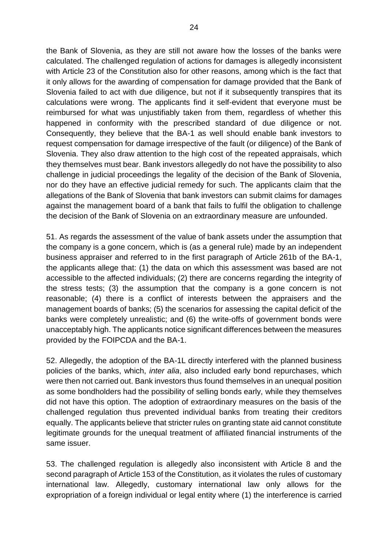the Bank of Slovenia, as they are still not aware how the losses of the banks were calculated. The challenged regulation of actions for damages is allegedly inconsistent with Article 23 of the Constitution also for other reasons, among which is the fact that it only allows for the awarding of compensation for damage provided that the Bank of Slovenia failed to act with due diligence, but not if it subsequently transpires that its calculations were wrong. The applicants find it self-evident that everyone must be reimbursed for what was unjustifiably taken from them, regardless of whether this happened in conformity with the prescribed standard of due diligence or not. Consequently, they believe that the BA-1 as well should enable bank investors to request compensation for damage irrespective of the fault (or diligence) of the Bank of Slovenia. They also draw attention to the high cost of the repeated appraisals, which they themselves must bear. Bank investors allegedly do not have the possibility to also challenge in judicial proceedings the legality of the decision of the Bank of Slovenia, nor do they have an effective judicial remedy for such. The applicants claim that the allegations of the Bank of Slovenia that bank investors can submit claims for damages against the management board of a bank that fails to fulfil the obligation to challenge the decision of the Bank of Slovenia on an extraordinary measure are unfounded.

51. As regards the assessment of the value of bank assets under the assumption that the company is a gone concern, which is (as a general rule) made by an independent business appraiser and referred to in the first paragraph of Article 261b of the BA-1, the applicants allege that: (1) the data on which this assessment was based are not accessible to the affected individuals; (2) there are concerns regarding the integrity of the stress tests; (3) the assumption that the company is a gone concern is not reasonable; (4) there is a conflict of interests between the appraisers and the management boards of banks; (5) the scenarios for assessing the capital deficit of the banks were completely unrealistic; and (6) the write-offs of government bonds were unacceptably high. The applicants notice significant differences between the measures provided by the FOIPCDA and the BA-1.

52. Allegedly, the adoption of the BA-1L directly interfered with the planned business policies of the banks, which, *inter alia*, also included early bond repurchases, which were then not carried out. Bank investors thus found themselves in an unequal position as some bondholders had the possibility of selling bonds early, while they themselves did not have this option. The adoption of extraordinary measures on the basis of the challenged regulation thus prevented individual banks from treating their creditors equally. The applicants believe that stricter rules on granting state aid cannot constitute legitimate grounds for the unequal treatment of affiliated financial instruments of the same issuer.

53. The challenged regulation is allegedly also inconsistent with Article 8 and the second paragraph of Article 153 of the Constitution, as it violates the rules of customary international law. Allegedly, customary international law only allows for the expropriation of a foreign individual or legal entity where (1) the interference is carried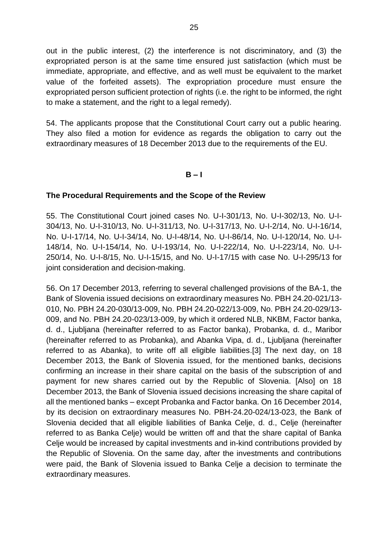out in the public interest, (2) the interference is not discriminatory, and (3) the expropriated person is at the same time ensured just satisfaction (which must be immediate, appropriate, and effective, and as well must be equivalent to the market value of the forfeited assets). The expropriation procedure must ensure the expropriated person sufficient protection of rights (i.e. the right to be informed, the right to make a statement, and the right to a legal remedy).

54. The applicants propose that the Constitutional Court carry out a public hearing. They also filed a motion for evidence as regards the obligation to carry out the extraordinary measures of 18 December 2013 due to the requirements of the EU.

#### **B – I**

#### **The Procedural Requirements and the Scope of the Review**

55. The Constitutional Court joined cases No. U-I-301/13, No. U-I-302/13, No. U-I-304/13, No. U-I-310/13, No. U-I-311/13, No. U-I-317/13, No. U-I-2/14, No. U-I-16/14, No. U-I-17/14, No. U-I-34/14, No. U-I-48/14, No. U-I-86/14, No. U-I-120/14, No. U-I-148/14, No. U-I-154/14, No. U-I-193/14, No. U-I-222/14, No. U-I-223/14, No. U-I-250/14, No. U-I-8/15, No. U-I-15/15, and No. U-I-17/15 with case No. U-I-295/13 for joint consideration and decision-making.

56. On 17 December 2013, referring to several challenged provisions of the BA-1, the Bank of Slovenia issued decisions on extraordinary measures No. PBH 24.20-021/13- 010, No. PBH 24.20-030/13-009, No. PBH 24.20-022/13-009, No. PBH 24.20-029/13- 009, and No. PBH 24.20-023/13-009, by which it ordered NLB, NKBM, Factor banka, d. d., Ljubljana (hereinafter referred to as Factor banka), Probanka, d. d., Maribor (hereinafter referred to as Probanka), and Abanka Vipa, d. d., Ljubljana (hereinafter referred to as Abanka), to write off all eligible liabilities.[3] The next day, on 18 December 2013, the Bank of Slovenia issued, for the mentioned banks, decisions confirming an increase in their share capital on the basis of the subscription of and payment for new shares carried out by the Republic of Slovenia. [Also] on 18 December 2013, the Bank of Slovenia issued decisions increasing the share capital of all the mentioned banks – except Probanka and Factor banka. On 16 December 2014, by its decision on extraordinary measures No. PBH-24.20-024/13-023, the Bank of Slovenia decided that all eligible liabilities of Banka Celje, d. d., Celje (hereinafter referred to as Banka Celje) would be written off and that the share capital of Banka Celje would be increased by capital investments and in-kind contributions provided by the Republic of Slovenia. On the same day, after the investments and contributions were paid, the Bank of Slovenia issued to Banka Celje a decision to terminate the extraordinary measures.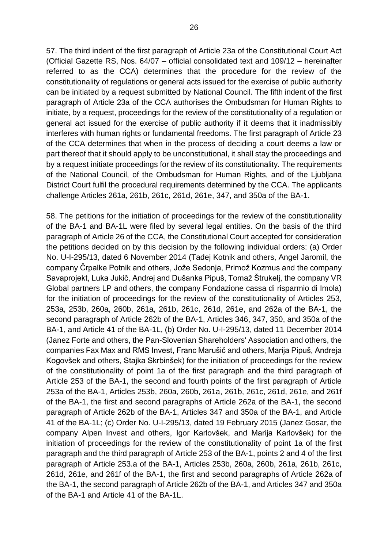57. The third indent of the first paragraph of Article 23a of the Constitutional Court Act (Official Gazette RS, Nos. 64/07 – official consolidated text and 109/12 – hereinafter referred to as the CCA) determines that the procedure for the review of the constitutionality of regulations or general acts issued for the exercise of public authority can be initiated by a request submitted by National Council. The fifth indent of the first paragraph of Article 23a of the CCA authorises the Ombudsman for Human Rights to initiate, by a request, proceedings for the review of the constitutionality of a regulation or general act issued for the exercise of public authority if it deems that it inadmissibly interferes with human rights or fundamental freedoms. The first paragraph of Article 23 of the CCA determines that when in the process of deciding a court deems a law or part thereof that it should apply to be unconstitutional, it shall stay the proceedings and by a request initiate proceedings for the review of its constitutionality. The requirements of the National Council, of the Ombudsman for Human Rights, and of the Ljubljana District Court fulfil the procedural requirements determined by the CCA. The applicants challenge Articles 261a, 261b, 261c, 261d, 261e, 347, and 350a of the BA-1.

58. The petitions for the initiation of proceedings for the review of the constitutionality of the BA-1 and BA-1L were filed by several legal entities. On the basis of the third paragraph of Article 26 of the CCA, the Constitutional Court accepted for consideration the petitions decided on by this decision by the following individual orders: (a) Order No. U-I-295/13, dated 6 November 2014 (Tadej Kotnik and others, Angel Jaromil, the company Črpalke Potnik and others, Jože Sedonja, Primož Kozmus and the company Savaprojekt, Luka Jukič, Andrej and Dušanka Pipuš, Tomaž Štrukelj, the company VR Global partners LP and others, the company Fondazione cassa di risparmio di Imola) for the initiation of proceedings for the review of the constitutionality of Articles 253, 253a, 253b, 260a, 260b, 261a, 261b, 261c, 261d, 261e, and 262a of the BA-1, the second paragraph of Article 262b of the BA-1, Articles 346, 347, 350, and 350a of the BA-1, and Article 41 of the BA-1L, (b) Order No. U-I-295/13, dated 11 December 2014 (Janez Forte and others, the Pan-Slovenian Shareholders' Association and others, the companies Fax Max and RMS Invest, Franc Marušič and others, Marija Pipuš, Andreja Kogovšek and others, Stajka Skrbinšek) for the initiation of proceedings for the review of the constitutionality of point 1a of the first paragraph and the third paragraph of Article 253 of the BA-1, the second and fourth points of the first paragraph of Article 253a of the BA-1, Articles 253b, 260a, 260b, 261a, 261b, 261c, 261d, 261e, and 261f of the BA-1, the first and second paragraphs of Article 262a of the BA-1, the second paragraph of Article 262b of the BA-1, Articles 347 and 350a of the BA-1, and Article 41 of the BA-1L; (c) Order No. U-I-295/13, dated 19 February 2015 (Janez Gosar, the company Alpen Invest and others, Igor Karlovšek, and Marija Karlovšek) for the initiation of proceedings for the review of the constitutionality of point 1a of the first paragraph and the third paragraph of Article 253 of the BA-1, points 2 and 4 of the first paragraph of Article 253.a of the BA-1, Articles 253b, 260a, 260b, 261a, 261b, 261c, 261d, 261e, and 261f of the BA-1, the first and second paragraphs of Article 262a of the BA-1, the second paragraph of Article 262b of the BA-1, and Articles 347 and 350a of the BA-1 and Article 41 of the BA-1L.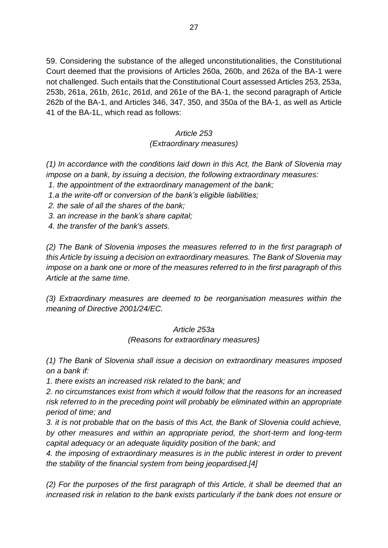59. Considering the substance of the alleged unconstitutionalities, the Constitutional Court deemed that the provisions of Articles 260a, 260b, and 262a of the BA-1 were not challenged. Such entails that the Constitutional Court assessed Articles 253, 253a, 253b, 261a, 261b, 261c, 261d, and 261e of the BA-1, the second paragraph of Article 262b of the BA-1, and Articles 346, 347, 350, and 350a of the BA-1, as well as Article 41 of the BA-1L, which read as follows:

# *Article 253 (Extraordinary measures)*

*(1) In accordance with the conditions laid down in this Act, the Bank of Slovenia may impose on a bank, by issuing a decision, the following extraordinary measures:*

*1. the appointment of the extraordinary management of the bank;*

*1.a the write-off or conversion of the bank's eligible liabilities;*

*2. the sale of all the shares of the bank;*

*3. an increase in the bank's share capital;* 

*4. the transfer of the bank's assets.*

*(2) The Bank of Slovenia imposes the measures referred to in the first paragraph of this Article by issuing a decision on extraordinary measures. The Bank of Slovenia may impose on a bank one or more of the measures referred to in the first paragraph of this Article at the same time.*

*(3) Extraordinary measures are deemed to be reorganisation measures within the meaning of Directive 2001/24/EC.*

# *Article 253a*

*(Reasons for extraordinary measures)*

*(1) The Bank of Slovenia shall issue a decision on extraordinary measures imposed on a bank if:*

*1. there exists an increased risk related to the bank; and* 

*2. no circumstances exist from which it would follow that the reasons for an increased risk referred to in the preceding point will probably be eliminated within an appropriate period of time; and*

*3. it is not probable that on the basis of this Act, the Bank of Slovenia could achieve, by other measures and within an appropriate period, the short-term and long-term capital adequacy or an adequate liquidity position of the bank; and*

*4. the imposing of extraordinary measures is in the public interest in order to prevent the stability of the financial system from being jeopardised.[4]*

*(2) For the purposes of the first paragraph of this Article, it shall be deemed that an increased risk in relation to the bank exists particularly if the bank does not ensure or*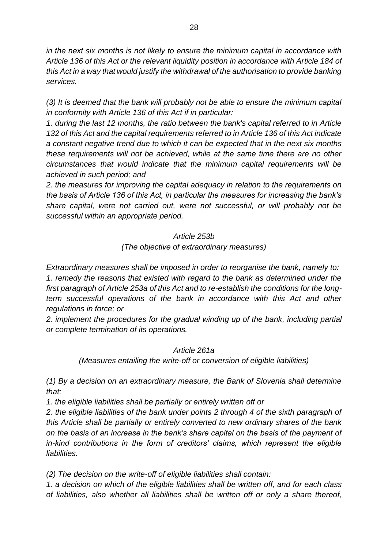*in the next six months is not likely to ensure the minimum capital in accordance with Article 136 of this Act or the relevant liquidity position in accordance with Article 184 of this Act in a way that would justify the withdrawal of the authorisation to provide banking services.*

*(3) It is deemed that the bank will probably not be able to ensure the minimum capital in conformity with Article 136 of this Act if in particular:*

*1. during the last 12 months, the ratio between the bank's capital referred to in Article 132 of this Act and the capital requirements referred to in Article 136 of this Act indicate a constant negative trend due to which it can be expected that in the next six months these requirements will not be achieved, while at the same time there are no other circumstances that would indicate that the minimum capital requirements will be achieved in such period; and*

*2. the measures for improving the capital adequacy in relation to the requirements on the basis of Article 136 of this Act, in particular the measures for increasing the bank's share capital, were not carried out, were not successful, or will probably not be successful within an appropriate period.*

#### *Article 253b*

*(The objective of extraordinary measures)*

*Extraordinary measures shall be imposed in order to reorganise the bank, namely to: 1. remedy the reasons that existed with regard to the bank as determined under the first paragraph of Article 253a of this Act and to re-establish the conditions for the longterm successful operations of the bank in accordance with this Act and other regulations in force; or*

*2. implement the procedures for the gradual winding up of the bank, including partial or complete termination of its operations.* 

#### *Article 261a*

*(Measures entailing the write-off or conversion of eligible liabilities)*

*(1) By a decision on an extraordinary measure, the Bank of Slovenia shall determine that:* 

*1. the eligible liabilities shall be partially or entirely written off or*

*2. the eligible liabilities of the bank under points 2 through 4 of the sixth paragraph of this Article shall be partially or entirely converted to new ordinary shares of the bank on the basis of an increase in the bank's share capital on the basis of the payment of in-kind contributions in the form of creditors' claims, which represent the eligible liabilities.*

*(2) The decision on the write-off of eligible liabilities shall contain:*

*1. a decision on which of the eligible liabilities shall be written off, and for each class of liabilities, also whether all liabilities shall be written off or only a share thereof,*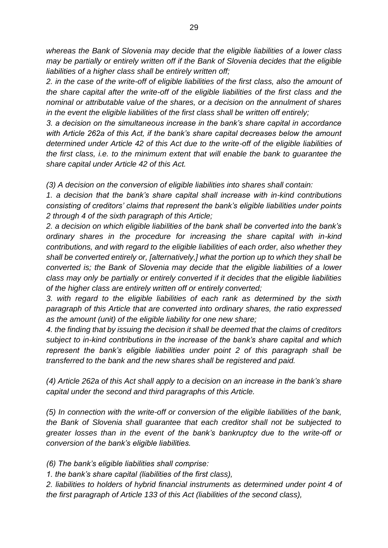*whereas the Bank of Slovenia may decide that the eligible liabilities of a lower class may be partially or entirely written off if the Bank of Slovenia decides that the eligible liabilities of a higher class shall be entirely written off;*

*2. in the case of the write-off of eligible liabilities of the first class, also the amount of the share capital after the write-off of the eligible liabilities of the first class and the nominal or attributable value of the shares, or a decision on the annulment of shares in the event the eligible liabilities of the first class shall be written off entirely;*

*3. a decision on the simultaneous increase in the bank's share capital in accordance with Article 262a of this Act, if the bank's share capital decreases below the amount determined under Article 42 of this Act due to the write-off of the eligible liabilities of the first class, i.e. to the minimum extent that will enable the bank to guarantee the share capital under Article 42 of this Act.*

*(3) A decision on the conversion of eligible liabilities into shares shall contain:* 

*1. a decision that the bank's share capital shall increase with in-kind contributions consisting of creditors' claims that represent the bank's eligible liabilities under points 2 through 4 of the sixth paragraph of this Article;*

*2. a decision on which eligible liabilities of the bank shall be converted into the bank's ordinary shares in the procedure for increasing the share capital with in-kind contributions, and with regard to the eligible liabilities of each order, also whether they shall be converted entirely or, [alternatively,] what the portion up to which they shall be converted is; the Bank of Slovenia may decide that the eligible liabilities of a lower class may only be partially or entirely converted if it decides that the eligible liabilities of the higher class are entirely written off or entirely converted;*

*3. with regard to the eligible liabilities of each rank as determined by the sixth paragraph of this Article that are converted into ordinary shares, the ratio expressed as the amount (unit) of the eligible liability for one new share;* 

*4. the finding that by issuing the decision it shall be deemed that the claims of creditors subject to in-kind contributions in the increase of the bank's share capital and which represent the bank's eligible liabilities under point 2 of this paragraph shall be transferred to the bank and the new shares shall be registered and paid.*

*(4) Article 262a of this Act shall apply to a decision on an increase in the bank's share capital under the second and third paragraphs of this Article.*

*(5) In connection with the write-off or conversion of the eligible liabilities of the bank, the Bank of Slovenia shall guarantee that each creditor shall not be subjected to greater losses than in the event of the bank's bankruptcy due to the write-off or conversion of the bank's eligible liabilities.*

*(6) The bank's eligible liabilities shall comprise:*

*1. the bank's share capital (liabilities of the first class),*

*2. liabilities to holders of hybrid financial instruments as determined under point 4 of the first paragraph of Article 133 of this Act (liabilities of the second class),*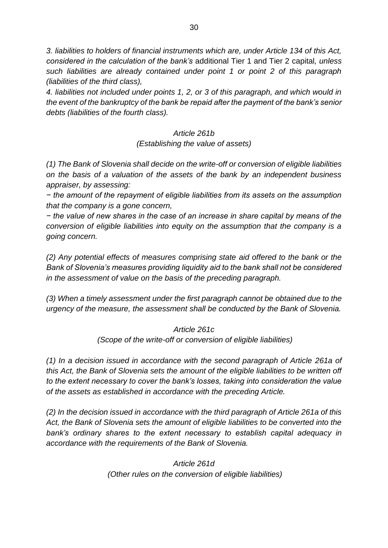*3. liabilities to holders of financial instruments which are, under Article 134 of this Act, considered in the calculation of the bank's* additional Tier 1 and Tier 2 capital*, unless such liabilities are already contained under point 1 or point 2 of this paragraph (liabilities of the third class),*

*4. liabilities not included under points 1, 2, or 3 of this paragraph, and which would in the event of the bankruptcy of the bank be repaid after the payment of the bank's senior debts (liabilities of the fourth class).* 

> *Article 261b (Establishing the value of assets)*

*(1) The Bank of Slovenia shall decide on the write-off or conversion of eligible liabilities on the basis of a valuation of the assets of the bank by an independent business appraiser, by assessing:*

*− the amount of the repayment of eligible liabilities from its assets on the assumption that the company is a gone concern,*

*− the value of new shares in the case of an increase in share capital by means of the conversion of eligible liabilities into equity on the assumption that the company is a going concern.*

*(2) Any potential effects of measures comprising state aid offered to the bank or the Bank of Slovenia's measures providing liquidity aid to the bank shall not be considered in the assessment of value on the basis of the preceding paragraph.*

*(3) When a timely assessment under the first paragraph cannot be obtained due to the urgency of the measure, the assessment shall be conducted by the Bank of Slovenia.*

> *Article 261c (Scope of the write-off or conversion of eligible liabilities)*

*(1) In a decision issued in accordance with the second paragraph of Article 261a of this Act, the Bank of Slovenia sets the amount of the eligible liabilities to be written off to the extent necessary to cover the bank's losses, taking into consideration the value of the assets as established in accordance with the preceding Article.*

*(2) In the decision issued in accordance with the third paragraph of Article 261a of this Act, the Bank of Slovenia sets the amount of eligible liabilities to be converted into the bank's ordinary shares to the extent necessary to establish capital adequacy in accordance with the requirements of the Bank of Slovenia.* 

> *Article 261d (Other rules on the conversion of eligible liabilities)*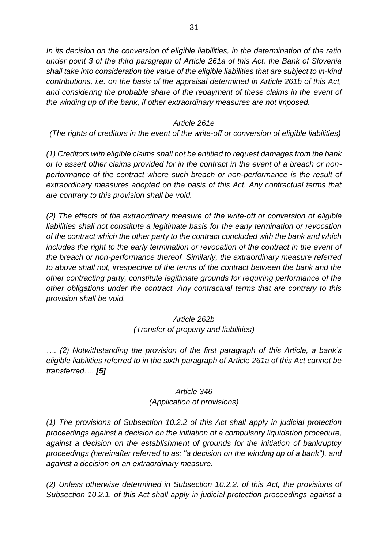*In its decision on the conversion of eligible liabilities, in the determination of the ratio under point 3 of the third paragraph of Article 261a of this Act, the Bank of Slovenia shall take into consideration the value of the eligible liabilities that are subject to in-kind contributions, i.e. on the basis of the appraisal determined in Article 261b of this Act, and considering the probable share of the repayment of these claims in the event of the winding up of the bank, if other extraordinary measures are not imposed.* 

#### *Article 261e*

*(The rights of creditors in the event of the write-off or conversion of eligible liabilities)*

*(1) Creditors with eligible claims shall not be entitled to request damages from the bank or to assert other claims provided for in the contract in the event of a breach or nonperformance of the contract where such breach or non-performance is the result of extraordinary measures adopted on the basis of this Act. Any contractual terms that are contrary to this provision shall be void.*

*(2) The effects of the extraordinary measure of the write-off or conversion of eligible liabilities shall not constitute a legitimate basis for the early termination or revocation of the contract which the other party to the contract concluded with the bank and which includes the right to the early termination or revocation of the contract in the event of the breach or non-performance thereof. Similarly, the extraordinary measure referred to above shall not, irrespective of the terms of the contract between the bank and the other contracting party, constitute legitimate grounds for requiring performance of the other obligations under the contract. Any contractual terms that are contrary to this provision shall be void.*

## *Article 262b (Transfer of property and liabilities)*

*…. (2) Notwithstanding the provision of the first paragraph of this Article, a bank's eligible liabilities referred to in the sixth paragraph of Article 261a of this Act cannot be transferred…. [\[5\]](https://usd-odlus/#_1ftn5)*

## *Article 346 (Application of provisions)*

*(1) The provisions of Subsection 10.2.2 of this Act shall apply in judicial protection proceedings against a decision on the initiation of a compulsory liquidation procedure, against a decision on the establishment of grounds for the initiation of bankruptcy proceedings (hereinafter referred to as: "a decision on the winding up of a bank"), and against a decision on an extraordinary measure.*

*(2) Unless otherwise determined in Subsection 10.2.2. of this Act, the provisions of Subsection 10.2.1. of this Act shall apply in judicial protection proceedings against a*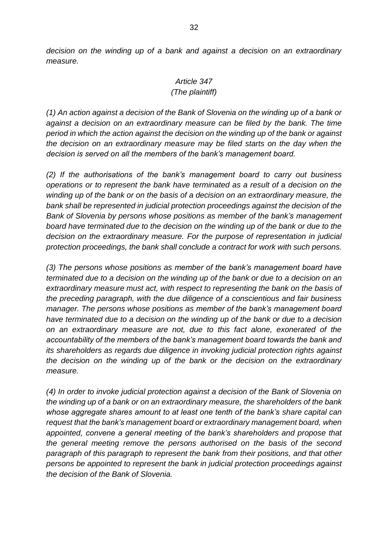*decision on the winding up of a bank and against a decision on an extraordinary measure.*

# *Article 347 (The plaintiff)*

*(1) An action against a decision of the Bank of Slovenia on the winding up of a bank or against a decision on an extraordinary measure can be filed by the bank. The time period in which the action against the decision on the winding up of the bank or against the decision on an extraordinary measure may be filed starts on the day when the decision is served on all the members of the bank's management board.*

*(2) If the authorisations of the bank's management board to carry out business operations or to represent the bank have terminated as a result of a decision on the winding up of the bank or on the basis of a decision on an extraordinary measure, the bank shall be represented in judicial protection proceedings against the decision of the Bank of Slovenia by persons whose positions as member of the bank's management board have terminated due to the decision on the winding up of the bank or due to the decision on the extraordinary measure. For the purpose of representation in judicial protection proceedings, the bank shall conclude a contract for work with such persons.*

*(3) The persons whose positions as member of the bank's management board have terminated due to a decision on the winding up of the bank or due to a decision on an extraordinary measure must act, with respect to representing the bank on the basis of the preceding paragraph, with the due diligence of a conscientious and fair business manager. The persons whose positions as member of the bank's management board have terminated due to a decision on the winding up of the bank or due to a decision on an extraordinary measure are not, due to this fact alone, exonerated of the accountability of the members of the bank's management board towards the bank and its shareholders as regards due diligence in invoking judicial protection rights against the decision on the winding up of the bank or the decision on the extraordinary measure.*

*(4) In order to invoke judicial protection against a decision of the Bank of Slovenia on the winding up of a bank or on an extraordinary measure, the shareholders of the bank whose aggregate shares amount to at least one tenth of the bank's share capital can request that the bank's management board or extraordinary management board, when appointed, convene a general meeting of the bank's shareholders and propose that the general meeting remove the persons authorised on the basis of the second paragraph of this paragraph to represent the bank from their positions, and that other persons be appointed to represent the bank in judicial protection proceedings against the decision of the Bank of Slovenia.*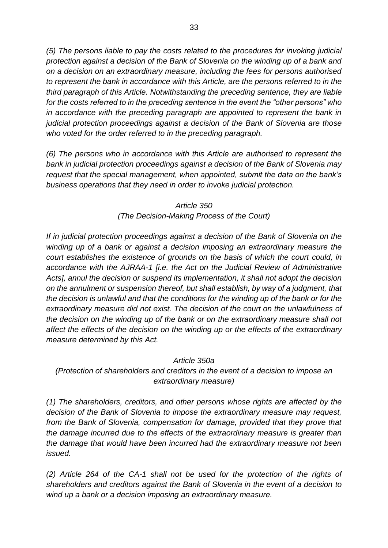*(5) The persons liable to pay the costs related to the procedures for invoking judicial protection against a decision of the Bank of Slovenia on the winding up of a bank and on a decision on an extraordinary measure, including the fees for persons authorised to represent the bank in accordance with this Article, are the persons referred to in the third paragraph of this Article. Notwithstanding the preceding sentence, they are liable for the costs referred to in the preceding sentence in the event the "other persons" who in accordance with the preceding paragraph are appointed to represent the bank in judicial protection proceedings against a decision of the Bank of Slovenia are those who voted for the order referred to in the preceding paragraph.*

*(6) The persons who in accordance with this Article are authorised to represent the bank in judicial protection proceedings against a decision of the Bank of Slovenia may request that the special management, when appointed, submit the data on the bank's business operations that they need in order to invoke judicial protection.*

#### *Article 350 (The Decision-Making Process of the Court)*

*If in judicial protection proceedings against a decision of the Bank of Slovenia on the winding up of a bank or against a decision imposing an extraordinary measure the court establishes the existence of grounds on the basis of which the court could, in accordance with the AJRAA-1 [i.e. the Act on the Judicial Review of Administrative Acts], annul the decision or suspend its implementation, it shall not adopt the decision on the annulment or suspension thereof, but shall establish, by way of a judgment, that the decision is unlawful and that the conditions for the winding up of the bank or for the extraordinary measure did not exist. The decision of the court on the unlawfulness of the decision on the winding up of the bank or on the extraordinary measure shall not affect the effects of the decision on the winding up or the effects of the extraordinary measure determined by this Act.*

## *Article 350a*

*(Protection of shareholders and creditors in the event of a decision to impose an extraordinary measure)*

*(1) The shareholders, creditors, and other persons whose rights are affected by the decision of the Bank of Slovenia to impose the extraordinary measure may request, from the Bank of Slovenia, compensation for damage, provided that they prove that the damage incurred due to the effects of the extraordinary measure is greater than the damage that would have been incurred had the extraordinary measure not been issued.*

*(2) Article 264 of the CA-1 shall not be used for the protection of the rights of shareholders and creditors against the Bank of Slovenia in the event of a decision to wind up a bank or a decision imposing an extraordinary measure.*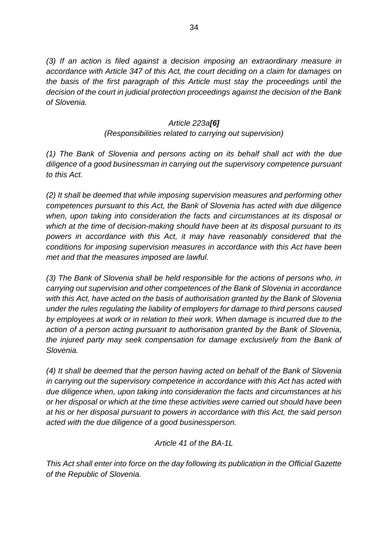*(3) If an action is filed against a decision imposing an extraordinary measure in accordance with Article 347 of this Act, the court deciding on a claim for damages on the basis of the first paragraph of this Article must stay the proceedings until the decision of the court in judicial protection proceedings against the decision of the Bank of Slovenia.*

#### *Article 223a[\[6\]](https://usd-odlus/#_1ftn6)*

#### *(Responsibilities related to carrying out supervision)*

*(1) The Bank of Slovenia and persons acting on its behalf shall act with the due diligence of a good businessman in carrying out the supervisory competence pursuant to this Act.*

*(2) It shall be deemed that while imposing supervision measures and performing other competences pursuant to this Act, the Bank of Slovenia has acted with due diligence when, upon taking into consideration the facts and circumstances at its disposal or which at the time of decision-making should have been at its disposal pursuant to its powers in accordance with this Act, it may have reasonably considered that the conditions for imposing supervision measures in accordance with this Act have been met and that the measures imposed are lawful.* 

*(3) The Bank of Slovenia shall be held responsible for the actions of persons who, in carrying out supervision and other competences of the Bank of Slovenia in accordance with this Act, have acted on the basis of authorisation granted by the Bank of Slovenia under the rules regulating the liability of employers for damage to third persons caused by employees at work or in relation to their work. When damage is incurred due to the action of a person acting pursuant to authorisation granted by the Bank of Slovenia, the injured party may seek compensation for damage exclusively from the Bank of Slovenia.*

*(4) It shall be deemed that the person having acted on behalf of the Bank of Slovenia in carrying out the supervisory competence in accordance with this Act has acted with due diligence when, upon taking into consideration the facts and circumstances at his or her disposal or which at the time these activities were carried out should have been at his or her disposal pursuant to powers in accordance with this Act, the said person acted with the due diligence of a good businessperson.*

#### *Article 41 of the BA-1L*

*This Act shall enter into force on the day following its publication in the Official Gazette of the Republic of Slovenia.*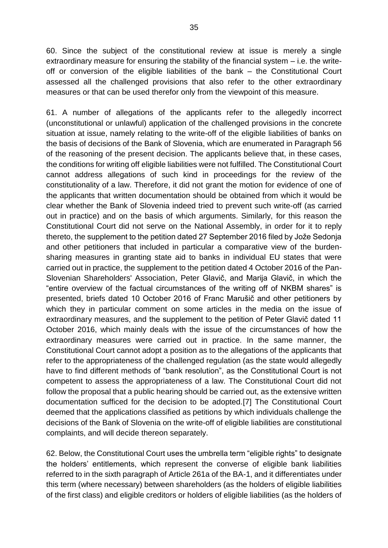60. Since the subject of the constitutional review at issue is merely a single extraordinary measure for ensuring the stability of the financial system – i.e. the writeoff or conversion of the eligible liabilities of the bank – the Constitutional Court assessed all the challenged provisions that also refer to the other extraordinary measures or that can be used therefor only from the viewpoint of this measure.

61. A number of allegations of the applicants refer to the allegedly incorrect (unconstitutional or unlawful) application of the challenged provisions in the concrete situation at issue, namely relating to the write-off of the eligible liabilities of banks on the basis of decisions of the Bank of Slovenia, which are enumerated in Paragraph 56 of the reasoning of the present decision. The applicants believe that, in these cases, the conditions for writing off eligible liabilities were not fulfilled. The Constitutional Court cannot address allegations of such kind in proceedings for the review of the constitutionality of a law. Therefore, it did not grant the motion for evidence of one of the applicants that written documentation should be obtained from which it would be clear whether the Bank of Slovenia indeed tried to prevent such write-off (as carried out in practice) and on the basis of which arguments. Similarly, for this reason the Constitutional Court did not serve on the National Assembly, in order for it to reply thereto, the supplement to the petition dated 27 September 2016 filed by Jože Sedonja and other petitioners that included in particular a comparative view of the burdensharing measures in granting state aid to banks in individual EU states that were carried out in practice, the supplement to the petition dated 4 October 2016 of the Pan-Slovenian Shareholders' Association, Peter Glavič, and Marija Glavič, in which the "entire overview of the factual circumstances of the writing off of NKBM shares" is presented, briefs dated 10 October 2016 of Franc Marušič and other petitioners by which they in particular comment on some articles in the media on the issue of extraordinary measures, and the supplement to the petition of Peter Glavič dated 11 October 2016, which mainly deals with the issue of the circumstances of how the extraordinary measures were carried out in practice. In the same manner, the Constitutional Court cannot adopt a position as to the allegations of the applicants that refer to the appropriateness of the challenged regulation (as the state would allegedly have to find different methods of "bank resolution", as the Constitutional Court is not competent to assess the appropriateness of a law. The Constitutional Court did not follow the proposal that a public hearing should be carried out, as the extensive written documentation sufficed for the decision to be adopted.[7] The Constitutional Court deemed that the applications classified as petitions by which individuals challenge the decisions of the Bank of Slovenia on the write-off of eligible liabilities are constitutional complaints, and will decide thereon separately.

62. Below, the Constitutional Court uses the umbrella term "eligible rights" to designate the holders' entitlements, which represent the converse of eligible bank liabilities referred to in the sixth paragraph of Article 261a of the BA-1, and it differentiates under this term (where necessary) between shareholders (as the holders of eligible liabilities of the first class) and eligible creditors or holders of eligible liabilities (as the holders of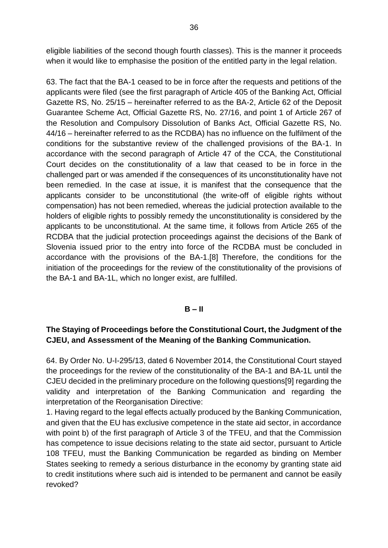eligible liabilities of the second though fourth classes). This is the manner it proceeds when it would like to emphasise the position of the entitled party in the legal relation.

63. The fact that the BA-1 ceased to be in force after the requests and petitions of the applicants were filed (see the first paragraph of Article 405 of the Banking Act, Official Gazette RS, No. 25/15 – hereinafter referred to as the BA-2, Article 62 of the Deposit Guarantee Scheme Act, Official Gazette RS, No. 27/16, and point 1 of Article 267 of the Resolution and Compulsory Dissolution of Banks Act, Official Gazette RS, No. 44/16 – hereinafter referred to as the RCDBA) has no influence on the fulfilment of the conditions for the substantive review of the challenged provisions of the BA-1. In accordance with the second paragraph of Article 47 of the CCA, the Constitutional Court decides on the constitutionality of a law that ceased to be in force in the challenged part or was amended if the consequences of its unconstitutionality have not been remedied. In the case at issue, it is manifest that the consequence that the applicants consider to be unconstitutional (the write-off of eligible rights without compensation) has not been remedied, whereas the judicial protection available to the holders of eligible rights to possibly remedy the unconstitutionality is considered by the applicants to be unconstitutional. At the same time, it follows from Article 265 of the RCDBA that the judicial protection proceedings against the decisions of the Bank of Slovenia issued prior to the entry into force of the RCDBA must be concluded in accordance with the provisions of the BA-1.[8] Therefore, the conditions for the initiation of the proceedings for the review of the constitutionality of the provisions of the BA-1 and BA-1L, which no longer exist, are fulfilled.

#### **B – II**

#### **The Staying of Proceedings before the Constitutional Court, the Judgment of the CJEU, and Assessment of the Meaning of the Banking Communication.**

64. By Order No. U-I-295/13, dated 6 November 2014, the Constitutional Court stayed the proceedings for the review of the constitutionality of the BA-1 and BA-1L until the CJEU decided in the preliminary procedure on the following questions[9] regarding the validity and interpretation of the Banking Communication and regarding the interpretation of the Reorganisation Directive:

1. Having regard to the legal effects actually produced by the Banking Communication, and given that the EU has exclusive competence in the state aid sector, in accordance with point b) of the first paragraph of Article 3 of the TFEU, and that the Commission has competence to issue decisions relating to the state aid sector, pursuant to Article 108 TFEU, must the Banking Communication be regarded as binding on Member States seeking to remedy a serious disturbance in the economy by granting state aid to credit institutions where such aid is intended to be permanent and cannot be easily revoked?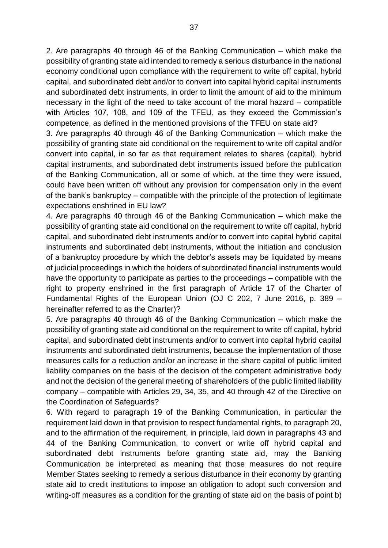2. Are paragraphs 40 through 46 of the Banking Communication – which make the possibility of granting state aid intended to remedy a serious disturbance in the national economy conditional upon compliance with the requirement to write off capital, hybrid capital, and subordinated debt and/or to convert into capital hybrid capital instruments and subordinated debt instruments, in order to limit the amount of aid to the minimum necessary in the light of the need to take account of the moral hazard – compatible with Articles 107, 108, and 109 of the TFEU, as they exceed the Commission's competence, as defined in the mentioned provisions of the TFEU on state aid?

3. Are paragraphs 40 through 46 of the Banking Communication – which make the possibility of granting state aid conditional on the requirement to write off capital and/or convert into capital, in so far as that requirement relates to shares (capital), hybrid capital instruments, and subordinated debt instruments issued before the publication of the Banking Communication, all or some of which, at the time they were issued, could have been written off without any provision for compensation only in the event of the bank's bankruptcy – compatible with the principle of the protection of legitimate expectations enshrined in EU law?

4. Are paragraphs 40 through 46 of the Banking Communication – which make the possibility of granting state aid conditional on the requirement to write off capital, hybrid capital, and subordinated debt instruments and/or to convert into capital hybrid capital instruments and subordinated debt instruments, without the initiation and conclusion of a bankruptcy procedure by which the debtor's assets may be liquidated by means of judicial proceedings in which the holders of subordinated financial instruments would have the opportunity to participate as parties to the proceedings – compatible with the right to property enshrined in the first paragraph of Article 17 of the Charter of Fundamental Rights of the European Union (OJ C 202, 7 June 2016, p. 389 – hereinafter referred to as the Charter)?

5. Are paragraphs 40 through 46 of the Banking Communication – which make the possibility of granting state aid conditional on the requirement to write off capital, hybrid capital, and subordinated debt instruments and/or to convert into capital hybrid capital instruments and subordinated debt instruments, because the implementation of those measures calls for a reduction and/or an increase in the share capital of public limited liability companies on the basis of the decision of the competent administrative body and not the decision of the general meeting of shareholders of the public limited liability company – compatible with Articles 29, 34, 35, and 40 through 42 of the Directive on the Coordination of Safeguards?

6. With regard to paragraph 19 of the Banking Communication, in particular the requirement laid down in that provision to respect fundamental rights, to paragraph 20, and to the affirmation of the requirement, in principle, laid down in paragraphs 43 and 44 of the Banking Communication, to convert or write off hybrid capital and subordinated debt instruments before granting state aid, may the Banking Communication be interpreted as meaning that those measures do not require Member States seeking to remedy a serious disturbance in their economy by granting state aid to credit institutions to impose an obligation to adopt such conversion and writing-off measures as a condition for the granting of state aid on the basis of point b)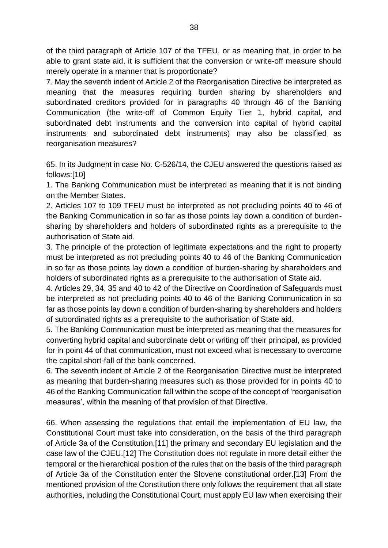of the third paragraph of Article 107 of the TFEU, or as meaning that, in order to be able to grant state aid, it is sufficient that the conversion or write-off measure should merely operate in a manner that is proportionate?

7. May the seventh indent of Article 2 of the Reorganisation Directive be interpreted as meaning that the measures requiring burden sharing by shareholders and subordinated creditors provided for in paragraphs 40 through 46 of the Banking Communication (the write-off of Common Equity Tier 1, hybrid capital, and subordinated debt instruments and the conversion into capital of hybrid capital instruments and subordinated debt instruments) may also be classified as reorganisation measures?

65. In its Judgment in case No. C-526/14, the CJEU answered the questions raised as follows:[10]

1. The Banking Communication must be interpreted as meaning that it is not binding on the Member States.

2. Articles 107 to 109 TFEU must be interpreted as not precluding points 40 to 46 of the Banking Communication in so far as those points lay down a condition of burdensharing by shareholders and holders of subordinated rights as a prerequisite to the authorisation of State aid.

3. The principle of the protection of legitimate expectations and the right to property must be interpreted as not precluding points 40 to 46 of the Banking Communication in so far as those points lay down a condition of burden-sharing by shareholders and holders of subordinated rights as a prerequisite to the authorisation of State aid.

4. Articles 29, 34, 35 and 40 to 42 of the Directive on Coordination of Safeguards must be interpreted as not precluding points 40 to 46 of the Banking Communication in so far as those points lay down a condition of burden-sharing by shareholders and holders of subordinated rights as a prerequisite to the authorisation of State aid.

5. The Banking Communication must be interpreted as meaning that the measures for converting hybrid capital and subordinate debt or writing off their principal, as provided for in point 44 of that communication, must not exceed what is necessary to overcome the capital short-fall of the bank concerned.

6. The seventh indent of Article 2 of the Reorganisation Directive must be interpreted as meaning that burden-sharing measures such as those provided for in points 40 to 46 of the Banking Communication fall within the scope of the concept of 'reorganisation measures', within the meaning of that provision of that Directive.

66. When assessing the regulations that entail the implementation of EU law, the Constitutional Court must take into consideration, on the basis of the third paragraph of Article 3a of the Constitution,[11] the primary and secondary EU legislation and the case law of the CJEU.[12] The Constitution does not regulate in more detail either the temporal or the hierarchical position of the rules that on the basis of the third paragraph of Article 3a of the Constitution enter the Slovene constitutional order.[13] From the mentioned provision of the Constitution there only follows the requirement that all state authorities, including the Constitutional Court, must apply EU law when exercising their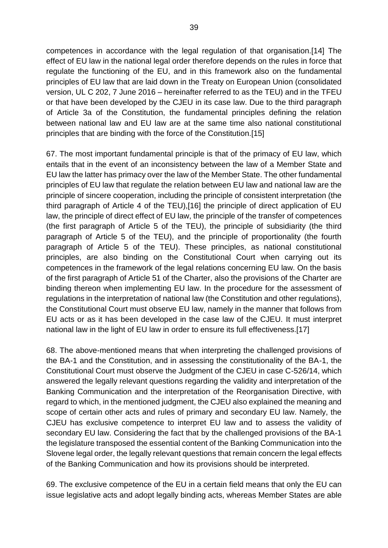competences in accordance with the legal regulation of that organisation.[14] The effect of EU law in the national legal order therefore depends on the rules in force that regulate the functioning of the EU, and in this framework also on the fundamental principles of EU law that are laid down in the Treaty on European Union (consolidated version, UL C 202, 7 June 2016 – hereinafter referred to as the TEU) and in the TFEU or that have been developed by the CJEU in its case law. Due to the third paragraph of Article 3a of the Constitution, the fundamental principles defining the relation between national law and EU law are at the same time also national constitutional principles that are binding with the force of the Constitution.[15]

67. The most important fundamental principle is that of the primacy of EU law, which entails that in the event of an inconsistency between the law of a Member State and EU law the latter has primacy over the law of the Member State. The other fundamental principles of EU law that regulate the relation between EU law and national law are the principle of sincere cooperation, including the principle of consistent interpretation (the third paragraph of Article 4 of the TEU),[16] the principle of direct application of EU law, the principle of direct effect of EU law, the principle of the transfer of competences (the first paragraph of Article 5 of the TEU), the principle of subsidiarity (the third paragraph of Article 5 of the TEU), and the principle of proportionality (the fourth paragraph of Article 5 of the TEU). These principles, as national constitutional principles, are also binding on the Constitutional Court when carrying out its competences in the framework of the legal relations concerning EU law. On the basis of the first paragraph of Article 51 of the Charter, also the provisions of the Charter are binding thereon when implementing EU law. In the procedure for the assessment of regulations in the interpretation of national law (the Constitution and other regulations), the Constitutional Court must observe EU law, namely in the manner that follows from EU acts or as it has been developed in the case law of the CJEU. It must interpret national law in the light of EU law in order to ensure its full effectiveness.[17]

68. The above-mentioned means that when interpreting the challenged provisions of the BA-1 and the Constitution, and in assessing the constitutionality of the BA-1, the Constitutional Court must observe the Judgment of the CJEU in case C-526/14, which answered the legally relevant questions regarding the validity and interpretation of the Banking Communication and the interpretation of the Reorganisation Directive, with regard to which, in the mentioned judgment, the CJEU also explained the meaning and scope of certain other acts and rules of primary and secondary EU law. Namely, the CJEU has exclusive competence to interpret EU law and to assess the validity of secondary EU law. Considering the fact that by the challenged provisions of the BA-1 the legislature transposed the essential content of the Banking Communication into the Slovene legal order, the legally relevant questions that remain concern the legal effects of the Banking Communication and how its provisions should be interpreted.

69. The exclusive competence of the EU in a certain field means that only the EU can issue legislative acts and adopt legally binding acts, whereas Member States are able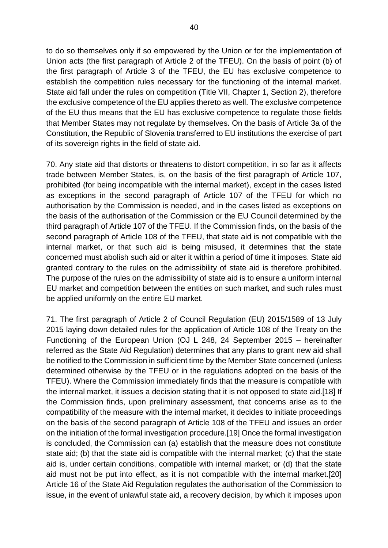to do so themselves only if so empowered by the Union or for the implementation of Union acts (the first paragraph of Article 2 of the TFEU). On the basis of point (b) of the first paragraph of Article 3 of the TFEU, the EU has exclusive competence to establish the competition rules necessary for the functioning of the internal market. State aid fall under the rules on competition (Title VII, Chapter 1, Section 2), therefore the exclusive competence of the EU applies thereto as well. The exclusive competence of the EU thus means that the EU has exclusive competence to regulate those fields that Member States may not regulate by themselves. On the basis of Article 3a of the Constitution, the Republic of Slovenia transferred to EU institutions the exercise of part of its sovereign rights in the field of state aid.

70. Any state aid that distorts or threatens to distort competition, in so far as it affects trade between Member States, is, on the basis of the first paragraph of Article 107, prohibited (for being incompatible with the internal market), except in the cases listed as exceptions in the second paragraph of Article 107 of the TFEU for which no authorisation by the Commission is needed, and in the cases listed as exceptions on the basis of the authorisation of the Commission or the EU Council determined by the third paragraph of Article 107 of the TFEU. If the Commission finds, on the basis of the second paragraph of Article 108 of the TFEU, that state aid is not compatible with the internal market, or that such aid is being misused, it determines that the state concerned must abolish such aid or alter it within a period of time it imposes. State aid granted contrary to the rules on the admissibility of state aid is therefore prohibited. The purpose of the rules on the admissibility of state aid is to ensure a uniform internal EU market and competition between the entities on such market, and such rules must be applied uniformly on the entire EU market.

71. The first paragraph of Article 2 of Council Regulation (EU) 2015/1589 of 13 July 2015 laying down detailed rules for the application of Article 108 of the Treaty on the Functioning of the European Union (OJ L 248, 24 September 2015 – hereinafter referred as the State Aid Regulation) determines that any plans to grant new aid shall be notified to the Commission in sufficient time by the Member State concerned (unless determined otherwise by the TFEU or in the regulations adopted on the basis of the TFEU). Where the Commission immediately finds that the measure is compatible with the internal market, it issues a decision stating that it is not opposed to state aid.[18] If the Commission finds, upon preliminary assessment, that concerns arise as to the compatibility of the measure with the internal market, it decides to initiate proceedings on the basis of the second paragraph of Article 108 of the TFEU and issues an order on the initiation of the formal investigation procedure.[19] Once the formal investigation is concluded, the Commission can (a) establish that the measure does not constitute state aid; (b) that the state aid is compatible with the internal market; (c) that the state aid is, under certain conditions, compatible with internal market; or (d) that the state aid must not be put into effect, as it is not compatible with the internal market.[20] Article 16 of the State Aid Regulation regulates the authorisation of the Commission to issue, in the event of unlawful state aid, a recovery decision, by which it imposes upon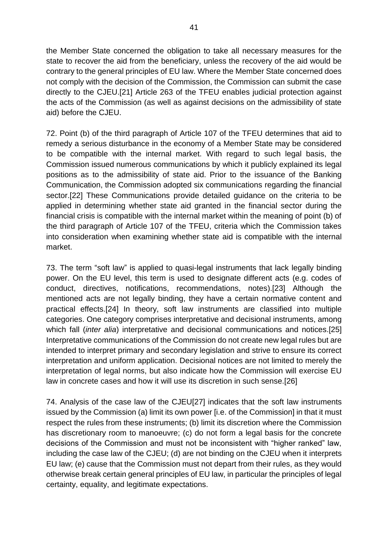the Member State concerned the obligation to take all necessary measures for the state to recover the aid from the beneficiary, unless the recovery of the aid would be contrary to the general principles of EU law. Where the Member State concerned does not comply with the decision of the Commission, the Commission can submit the case directly to the CJEU.[21] Article 263 of the TFEU enables judicial protection against the acts of the Commission (as well as against decisions on the admissibility of state aid) before the CJEU.

72. Point (b) of the third paragraph of Article 107 of the TFEU determines that aid to remedy a serious disturbance in the economy of a Member State may be considered to be compatible with the internal market. With regard to such legal basis, the Commission issued numerous communications by which it publicly explained its legal positions as to the admissibility of state aid. Prior to the issuance of the Banking Communication, the Commission adopted six communications regarding the financial sector.[22] These Communications provide detailed guidance on the criteria to be applied in determining whether state aid granted in the financial sector during the financial crisis is compatible with the internal market within the meaning of point (b) of the third paragraph of Article 107 of the TFEU, criteria which the Commission takes into consideration when examining whether state aid is compatible with the internal market.

73. The term "soft law" is applied to quasi-legal instruments that lack legally binding power. On the EU level, this term is used to designate different acts (e.g. codes of conduct, directives, notifications, recommendations, notes).[23] Although the mentioned acts are not legally binding, they have a certain normative content and practical effects.[24] In theory, soft law instruments are classified into multiple categories. One category comprises interpretative and decisional instruments, among which fall (*inter alia*) interpretative and decisional communications and notices.[25] Interpretative communications of the Commission do not create new legal rules but are intended to interpret primary and secondary legislation and strive to ensure its correct interpretation and uniform application. Decisional notices are not limited to merely the interpretation of legal norms, but also indicate how the Commission will exercise EU law in concrete cases and how it will use its discretion in such sense.[26]

74. Analysis of the case law of the CJEU[27] indicates that the soft law instruments issued by the Commission (a) limit its own power [i.e. of the Commission] in that it must respect the rules from these instruments; (b) limit its discretion where the Commission has discretionary room to manoeuvre; (c) do not form a legal basis for the concrete decisions of the Commission and must not be inconsistent with "higher ranked" law, including the case law of the CJEU; (d) are not binding on the CJEU when it interprets EU law; (e) cause that the Commission must not depart from their rules, as they would otherwise break certain general principles of EU law, in particular the principles of legal certainty, equality, and legitimate expectations.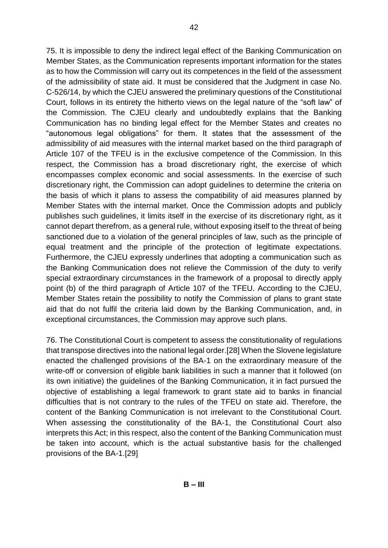75. It is impossible to deny the indirect legal effect of the Banking Communication on Member States, as the Communication represents important information for the states as to how the Commission will carry out its competences in the field of the assessment of the admissibility of state aid. It must be considered that the Judgment in case No. C-526/14, by which the CJEU answered the preliminary questions of the Constitutional Court, follows in its entirety the hitherto views on the legal nature of the "soft law" of the Commission. The CJEU clearly and undoubtedly explains that the Banking Communication has no binding legal effect for the Member States and creates no "autonomous legal obligations" for them. It states that the assessment of the admissibility of aid measures with the internal market based on the third paragraph of Article 107 of the TFEU is in the exclusive competence of the Commission. In this respect, the Commission has a broad discretionary right, the exercise of which encompasses complex economic and social assessments. In the exercise of such discretionary right, the Commission can adopt guidelines to determine the criteria on the basis of which it plans to assess the compatibility of aid measures planned by Member States with the internal market. Once the Commission adopts and publicly publishes such guidelines, it limits itself in the exercise of its discretionary right, as it cannot depart therefrom, as a general rule, without exposing itself to the threat of being sanctioned due to a violation of the general principles of law, such as the principle of equal treatment and the principle of the protection of legitimate expectations. Furthermore, the CJEU expressly underlines that adopting a communication such as the Banking Communication does not relieve the Commission of the duty to verify special extraordinary circumstances in the framework of a proposal to directly apply point (b) of the third paragraph of Article 107 of the TFEU. According to the CJEU, Member States retain the possibility to notify the Commission of plans to grant state aid that do not fulfil the criteria laid down by the Banking Communication, and, in exceptional circumstances, the Commission may approve such plans.

76. The Constitutional Court is competent to assess the constitutionality of regulations that transpose directives into the national legal order.[28] When the Slovene legislature enacted the challenged provisions of the BA-1 on the extraordinary measure of the write-off or conversion of eligible bank liabilities in such a manner that it followed (on its own initiative) the guidelines of the Banking Communication, it in fact pursued the objective of establishing a legal framework to grant state aid to banks in financial difficulties that is not contrary to the rules of the TFEU on state aid. Therefore, the content of the Banking Communication is not irrelevant to the Constitutional Court. When assessing the constitutionality of the BA-1, the Constitutional Court also interprets this Act; in this respect, also the content of the Banking Communication must be taken into account, which is the actual substantive basis for the challenged provisions of the BA-1.[29]

**B – III**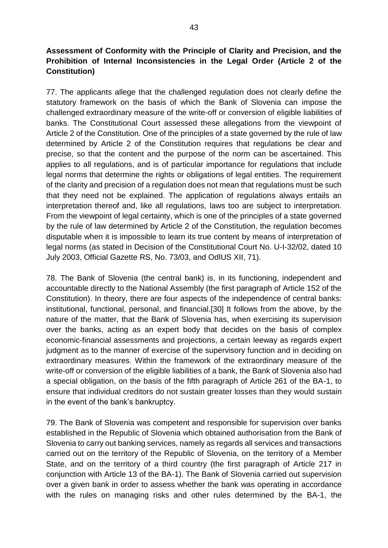**Assessment of Conformity with the Principle of Clarity and Precision, and the Prohibition of Internal Inconsistencies in the Legal Order (Article 2 of the Constitution)**

77. The applicants allege that the challenged regulation does not clearly define the statutory framework on the basis of which the Bank of Slovenia can impose the challenged extraordinary measure of the write-off or conversion of eligible liabilities of banks. The Constitutional Court assessed these allegations from the viewpoint of Article 2 of the Constitution. One of the principles of a state governed by the rule of law determined by Article 2 of the Constitution requires that regulations be clear and precise, so that the content and the purpose of the norm can be ascertained. This applies to all regulations, and is of particular importance for regulations that include legal norms that determine the rights or obligations of legal entities. The requirement of the clarity and precision of a regulation does not mean that regulations must be such that they need not be explained. The application of regulations always entails an interpretation thereof and, like all regulations, laws too are subject to interpretation. From the viewpoint of legal certainty, which is one of the principles of a state governed by the rule of law determined by Article 2 of the Constitution, the regulation becomes disputable when it is impossible to learn its true content by means of interpretation of legal norms (as stated in Decision of the Constitutional Court No. U-I-32/02, dated 10 July 2003, Official Gazette RS, No. 73/03, and OdlUS XII, 71).

78. The Bank of Slovenia (the central bank) is, in its functioning, independent and accountable directly to the National Assembly (the first paragraph of Article 152 of the Constitution). In theory, there are four aspects of the independence of central banks: institutional, functional, personal, and financial.[30] It follows from the above, by the nature of the matter, that the Bank of Slovenia has, when exercising its supervision over the banks, acting as an expert body that decides on the basis of complex economic-financial assessments and projections, a certain leeway as regards expert judgment as to the manner of exercise of the supervisory function and in deciding on extraordinary measures. Within the framework of the extraordinary measure of the write-off or conversion of the eligible liabilities of a bank, the Bank of Slovenia also had a special obligation, on the basis of the fifth paragraph of Article 261 of the BA-1, to ensure that individual creditors do not sustain greater losses than they would sustain in the event of the bank's bankruptcy.

79. The Bank of Slovenia was competent and responsible for supervision over banks established in the Republic of Slovenia which obtained authorisation from the Bank of Slovenia to carry out banking services, namely as regards all services and transactions carried out on the territory of the Republic of Slovenia, on the territory of a Member State, and on the territory of a third country (the first paragraph of Article 217 in conjunction with Article 13 of the BA-1). The Bank of Slovenia carried out supervision over a given bank in order to assess whether the bank was operating in accordance with the rules on managing risks and other rules determined by the BA-1, the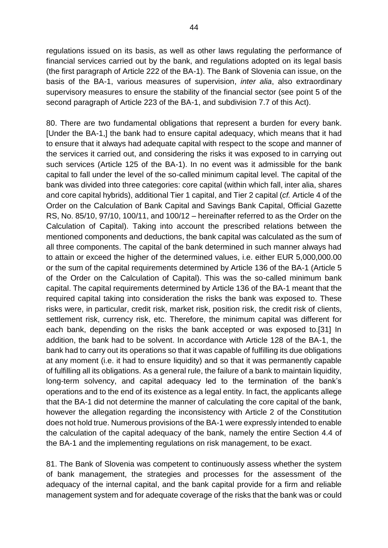regulations issued on its basis, as well as other laws regulating the performance of financial services carried out by the bank, and regulations adopted on its legal basis (the first paragraph of Article 222 of the BA-1). The Bank of Slovenia can issue, on the basis of the BA-1, various measures of supervision, *inter alia*, also extraordinary supervisory measures to ensure the stability of the financial sector (see point 5 of the second paragraph of Article 223 of the BA-1, and subdivision 7.7 of this Act).

80. There are two fundamental obligations that represent a burden for every bank. [Under the BA-1,] the bank had to ensure capital adequacy, which means that it had to ensure that it always had adequate capital with respect to the scope and manner of the services it carried out, and considering the risks it was exposed to in carrying out such services (Article 125 of the BA-1). In no event was it admissible for the bank capital to fall under the level of the so-called minimum capital level. The capital of the bank was divided into three categories: core capital (within which fall, inter alia, shares and core capital hybrids), additional Tier 1 capital, and Tier 2 capital (*cf.* Article 4 of the Order on the Calculation of Bank Capital and Savings Bank Capital, Official Gazette RS, No. 85/10, 97/10, 100/11, and 100/12 – hereinafter referred to as the Order on the Calculation of Capital). Taking into account the prescribed relations between the mentioned components and deductions, the bank capital was calculated as the sum of all three components. The capital of the bank determined in such manner always had to attain or exceed the higher of the determined values, i.e. either EUR 5,000,000.00 or the sum of the capital requirements determined by Article 136 of the BA-1 (Article 5 of the Order on the Calculation of Capital). This was the so-called minimum bank capital. The capital requirements determined by Article 136 of the BA-1 meant that the required capital taking into consideration the risks the bank was exposed to. These risks were, in particular, credit risk, market risk, position risk, the credit risk of clients, settlement risk, currency risk, etc. Therefore, the minimum capital was different for each bank, depending on the risks the bank accepted or was exposed to.[31] In addition, the bank had to be solvent. In accordance with Article 128 of the BA-1, the bank had to carry out its operations so that it was capable of fulfilling its due obligations at any moment (i.e. it had to ensure liquidity) and so that it was permanently capable of fulfilling all its obligations. As a general rule, the failure of a bank to maintain liquidity, long-term solvency, and capital adequacy led to the termination of the bank's operations and to the end of its existence as a legal entity. In fact, the applicants allege that the BA-1 did not determine the manner of calculating the core capital of the bank, however the allegation regarding the inconsistency with Article 2 of the Constitution does not hold true. Numerous provisions of the BA-1 were expressly intended to enable the calculation of the capital adequacy of the bank, namely the entire Section 4.4 of the BA-1 and the implementing regulations on risk management, to be exact.

81. The Bank of Slovenia was competent to continuously assess whether the system of bank management, the strategies and processes for the assessment of the adequacy of the internal capital, and the bank capital provide for a firm and reliable management system and for adequate coverage of the risks that the bank was or could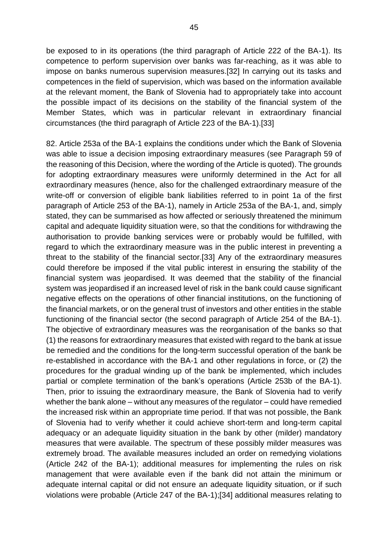be exposed to in its operations (the third paragraph of Article 222 of the BA-1). Its competence to perform supervision over banks was far-reaching, as it was able to impose on banks numerous supervision measures.[32] In carrying out its tasks and competences in the field of supervision, which was based on the information available at the relevant moment, the Bank of Slovenia had to appropriately take into account the possible impact of its decisions on the stability of the financial system of the Member States, which was in particular relevant in extraordinary financial circumstances (the third paragraph of Article 223 of the BA-1).[33]

82. Article 253a of the BA-1 explains the conditions under which the Bank of Slovenia was able to issue a decision imposing extraordinary measures (see Paragraph 59 of the reasoning of this Decision, where the wording of the Article is quoted). The grounds for adopting extraordinary measures were uniformly determined in the Act for all extraordinary measures (hence, also for the challenged extraordinary measure of the write-off or conversion of eligible bank liabilities referred to in point 1a of the first paragraph of Article 253 of the BA-1), namely in Article 253a of the BA-1, and, simply stated, they can be summarised as how affected or seriously threatened the minimum capital and adequate liquidity situation were, so that the conditions for withdrawing the authorisation to provide banking services were or probably would be fulfilled, with regard to which the extraordinary measure was in the public interest in preventing a threat to the stability of the financial sector.[33] Any of the extraordinary measures could therefore be imposed if the vital public interest in ensuring the stability of the financial system was jeopardised. It was deemed that the stability of the financial system was jeopardised if an increased level of risk in the bank could cause significant negative effects on the operations of other financial institutions, on the functioning of the financial markets, or on the general trust of investors and other entities in the stable functioning of the financial sector (the second paragraph of Article 254 of the BA-1). The objective of extraordinary measures was the reorganisation of the banks so that (1) the reasons for extraordinary measures that existed with regard to the bank at issue be remedied and the conditions for the long-term successful operation of the bank be re-established in accordance with the BA-1 and other regulations in force, or (2) the procedures for the gradual winding up of the bank be implemented, which includes partial or complete termination of the bank's operations (Article 253b of the BA-1). Then, prior to issuing the extraordinary measure, the Bank of Slovenia had to verify whether the bank alone – without any measures of the regulator – could have remedied the increased risk within an appropriate time period. If that was not possible, the Bank of Slovenia had to verify whether it could achieve short-term and long-term capital adequacy or an adequate liquidity situation in the bank by other (milder) mandatory measures that were available. The spectrum of these possibly milder measures was extremely broad. The available measures included an order on remedying violations (Article 242 of the BA-1); additional measures for implementing the rules on risk management that were available even if the bank did not attain the minimum or adequate internal capital or did not ensure an adequate liquidity situation, or if such violations were probable (Article 247 of the BA-1);[34] additional measures relating to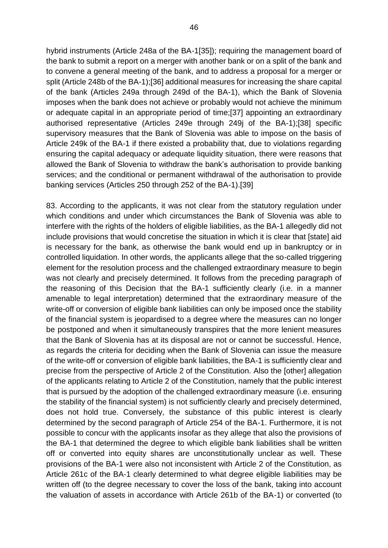hybrid instruments (Article 248a of the BA-1[35]); requiring the management board of the bank to submit a report on a merger with another bank or on a split of the bank and to convene a general meeting of the bank, and to address a proposal for a merger or split (Article 248b of the BA-1);[36] additional measures for increasing the share capital of the bank (Articles 249a through 249d of the BA-1), which the Bank of Slovenia imposes when the bank does not achieve or probably would not achieve the minimum or adequate capital in an appropriate period of time;[37] appointing an extraordinary authorised representative (Articles 249e through 249j of the BA-1);[38] specific supervisory measures that the Bank of Slovenia was able to impose on the basis of Article 249k of the BA-1 if there existed a probability that, due to violations regarding ensuring the capital adequacy or adequate liquidity situation, there were reasons that allowed the Bank of Slovenia to withdraw the bank's authorisation to provide banking services; and the conditional or permanent withdrawal of the authorisation to provide banking services (Articles 250 through 252 of the BA-1).[39]

83. According to the applicants, it was not clear from the statutory regulation under which conditions and under which circumstances the Bank of Slovenia was able to interfere with the rights of the holders of eligible liabilities, as the BA-1 allegedly did not include provisions that would concretise the situation in which it is clear that [state] aid is necessary for the bank, as otherwise the bank would end up in bankruptcy or in controlled liquidation. In other words, the applicants allege that the so-called triggering element for the resolution process and the challenged extraordinary measure to begin was not clearly and precisely determined. It follows from the preceding paragraph of the reasoning of this Decision that the BA-1 sufficiently clearly (i.e. in a manner amenable to legal interpretation) determined that the extraordinary measure of the write-off or conversion of eligible bank liabilities can only be imposed once the stability of the financial system is jeopardised to a degree where the measures can no longer be postponed and when it simultaneously transpires that the more lenient measures that the Bank of Slovenia has at its disposal are not or cannot be successful. Hence, as regards the criteria for deciding when the Bank of Slovenia can issue the measure of the write-off or conversion of eligible bank liabilities, the BA-1 is sufficiently clear and precise from the perspective of Article 2 of the Constitution. Also the [other] allegation of the applicants relating to Article 2 of the Constitution, namely that the public interest that is pursued by the adoption of the challenged extraordinary measure (i.e. ensuring the stability of the financial system) is not sufficiently clearly and precisely determined, does not hold true. Conversely, the substance of this public interest is clearly determined by the second paragraph of Article 254 of the BA-1. Furthermore, it is not possible to concur with the applicants insofar as they allege that also the provisions of the BA-1 that determined the degree to which eligible bank liabilities shall be written off or converted into equity shares are unconstitutionally unclear as well. These provisions of the BA-1 were also not inconsistent with Article 2 of the Constitution, as Article 261c of the BA-1 clearly determined to what degree eligible liabilities may be written off (to the degree necessary to cover the loss of the bank, taking into account the valuation of assets in accordance with Article 261b of the BA-1) or converted (to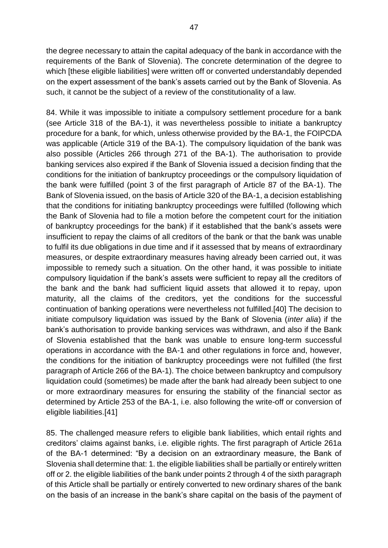the degree necessary to attain the capital adequacy of the bank in accordance with the requirements of the Bank of Slovenia). The concrete determination of the degree to which [these eligible liabilities] were written off or converted understandably depended on the expert assessment of the bank's assets carried out by the Bank of Slovenia. As such, it cannot be the subject of a review of the constitutionality of a law.

84. While it was impossible to initiate a compulsory settlement procedure for a bank (see Article 318 of the BA-1), it was nevertheless possible to initiate a bankruptcy procedure for a bank, for which, unless otherwise provided by the BA-1, the FOIPCDA was applicable (Article 319 of the BA-1). The compulsory liquidation of the bank was also possible (Articles 266 through 271 of the BA-1). The authorisation to provide banking services also expired if the Bank of Slovenia issued a decision finding that the conditions for the initiation of bankruptcy proceedings or the compulsory liquidation of the bank were fulfilled (point 3 of the first paragraph of Article 87 of the BA-1). The Bank of Slovenia issued, on the basis of Article 320 of the BA-1, a decision establishing that the conditions for initiating bankruptcy proceedings were fulfilled (following which the Bank of Slovenia had to file a motion before the competent court for the initiation of bankruptcy proceedings for the bank) if it established that the bank's assets were insufficient to repay the claims of all creditors of the bank or that the bank was unable to fulfil its due obligations in due time and if it assessed that by means of extraordinary measures, or despite extraordinary measures having already been carried out, it was impossible to remedy such a situation. On the other hand, it was possible to initiate compulsory liquidation if the bank's assets were sufficient to repay all the creditors of the bank and the bank had sufficient liquid assets that allowed it to repay, upon maturity, all the claims of the creditors, yet the conditions for the successful continuation of banking operations were nevertheless not fulfilled.[40] The decision to initiate compulsory liquidation was issued by the Bank of Slovenia (*inter alia*) if the bank's authorisation to provide banking services was withdrawn, and also if the Bank of Slovenia established that the bank was unable to ensure long-term successful operations in accordance with the BA-1 and other regulations in force and, however, the conditions for the initiation of bankruptcy proceedings were not fulfilled (the first paragraph of Article 266 of the BA-1). The choice between bankruptcy and compulsory liquidation could (sometimes) be made after the bank had already been subject to one or more extraordinary measures for ensuring the stability of the financial sector as determined by Article 253 of the BA-1, i.e. also following the write-off or conversion of eligible liabilities.[41]

85. The challenged measure refers to eligible bank liabilities, which entail rights and creditors' claims against banks, i.e. eligible rights. The first paragraph of Article 261a of the BA-1 determined: "By a decision on an extraordinary measure, the Bank of Slovenia shall determine that: 1. the eligible liabilities shall be partially or entirely written off or 2. the eligible liabilities of the bank under points 2 through 4 of the sixth paragraph of this Article shall be partially or entirely converted to new ordinary shares of the bank on the basis of an increase in the bank's share capital on the basis of the payment of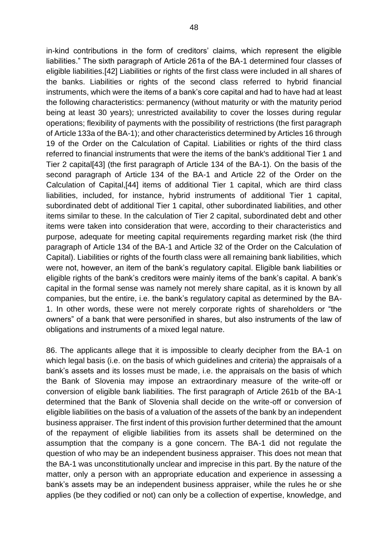in-kind contributions in the form of creditors' claims, which represent the eligible liabilities." The sixth paragraph of Article 261a of the BA-1 determined four classes of eligible liabilities.[42] Liabilities or rights of the first class were included in all shares of the banks. Liabilities or rights of the second class referred to hybrid financial instruments, which were the items of a bank's core capital and had to have had at least the following characteristics: permanency (without maturity or with the maturity period being at least 30 years); unrestricted availability to cover the losses during regular operations; flexibility of payments with the possibility of restrictions (the first paragraph of Article 133a of the BA-1); and other characteristics determined by Articles 16 through 19 of the Order on the Calculation of Capital. Liabilities or rights of the third class referred to financial instruments that were the items of the bank's additional Tier 1 and Tier 2 capital[43] (the first paragraph of Article 134 of the BA-1). On the basis of the second paragraph of Article 134 of the BA-1 and Article 22 of the Order on the Calculation of Capital,[44] items of additional Tier 1 capital, which are third class liabilities, included, for instance, hybrid instruments of additional Tier 1 capital, subordinated debt of additional Tier 1 capital, other subordinated liabilities, and other items similar to these. In the calculation of Tier 2 capital, subordinated debt and other items were taken into consideration that were, according to their characteristics and purpose, adequate for meeting capital requirements regarding market risk (the third paragraph of Article 134 of the BA-1 and Article 32 of the Order on the Calculation of Capital). Liabilities or rights of the fourth class were all remaining bank liabilities, which were not, however, an item of the bank's regulatory capital. Eligible bank liabilities or eligible rights of the bank's creditors were mainly items of the bank's capital. A bank's capital in the formal sense was namely not merely share capital, as it is known by all companies, but the entire, i.e. the bank's regulatory capital as determined by the BA-1. In other words, these were not merely corporate rights of shareholders or "the owners" of a bank that were personified in shares, but also instruments of the law of obligations and instruments of a mixed legal nature.

86. The applicants allege that it is impossible to clearly decipher from the BA-1 on which legal basis (i.e. on the basis of which guidelines and criteria) the appraisals of a bank's assets and its losses must be made, i.e. the appraisals on the basis of which the Bank of Slovenia may impose an extraordinary measure of the write-off or conversion of eligible bank liabilities. The first paragraph of Article 261b of the BA-1 determined that the Bank of Slovenia shall decide on the write-off or conversion of eligible liabilities on the basis of a valuation of the assets of the bank by an independent business appraiser. The first indent of this provision further determined that the amount of the repayment of eligible liabilities from its assets shall be determined on the assumption that the company is a gone concern. The BA-1 did not regulate the question of who may be an independent business appraiser. This does not mean that the BA-1 was unconstitutionally unclear and imprecise in this part. By the nature of the matter, only a person with an appropriate education and experience in assessing a bank's assets may be an independent business appraiser, while the rules he or she applies (be they codified or not) can only be a collection of expertise, knowledge, and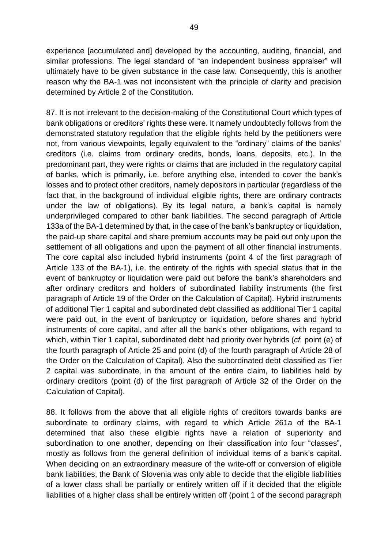experience [accumulated and] developed by the accounting, auditing, financial, and similar professions. The legal standard of "an independent business appraiser" will ultimately have to be given substance in the case law. Consequently, this is another reason why the BA-1 was not inconsistent with the principle of clarity and precision determined by Article 2 of the Constitution.

87. It is not irrelevant to the decision-making of the Constitutional Court which types of bank obligations or creditors' rights these were. It namely undoubtedly follows from the demonstrated statutory regulation that the eligible rights held by the petitioners were not, from various viewpoints, legally equivalent to the "ordinary" claims of the banks' creditors (i.e. claims from ordinary credits, bonds, loans, deposits, etc.). In the predominant part, they were rights or claims that are included in the regulatory capital of banks, which is primarily, i.e. before anything else, intended to cover the bank's losses and to protect other creditors, namely depositors in particular (regardless of the fact that, in the background of individual eligible rights, there are ordinary contracts under the law of obligations). By its legal nature, a bank's capital is namely underprivileged compared to other bank liabilities. The second paragraph of Article 133a of the BA-1 determined by that, in the case of the bank's bankruptcy or liquidation, the paid-up share capital and share premium accounts may be paid out only upon the settlement of all obligations and upon the payment of all other financial instruments. The core capital also included hybrid instruments (point 4 of the first paragraph of Article 133 of the BA-1), i.e. the entirety of the rights with special status that in the event of bankruptcy or liquidation were paid out before the bank's shareholders and after ordinary creditors and holders of subordinated liability instruments (the first paragraph of Article 19 of the Order on the Calculation of Capital). Hybrid instruments of additional Tier 1 capital and subordinated debt classified as additional Tier 1 capital were paid out, in the event of bankruptcy or liquidation, before shares and hybrid instruments of core capital, and after all the bank's other obligations, with regard to which, within Tier 1 capital, subordinated debt had priority over hybrids (*cf.* point (e) of the fourth paragraph of Article 25 and point (d) of the fourth paragraph of Article 28 of the Order on the Calculation of Capital). Also the subordinated debt classified as Tier 2 capital was subordinate, in the amount of the entire claim, to liabilities held by ordinary creditors (point (d) of the first paragraph of Article 32 of the Order on the Calculation of Capital).

88. It follows from the above that all eligible rights of creditors towards banks are subordinate to ordinary claims, with regard to which Article 261a of the BA-1 determined that also these eligible rights have a relation of superiority and subordination to one another, depending on their classification into four "classes", mostly as follows from the general definition of individual items of a bank's capital. When deciding on an extraordinary measure of the write-off or conversion of eligible bank liabilities, the Bank of Slovenia was only able to decide that the eligible liabilities of a lower class shall be partially or entirely written off if it decided that the eligible liabilities of a higher class shall be entirely written off (point 1 of the second paragraph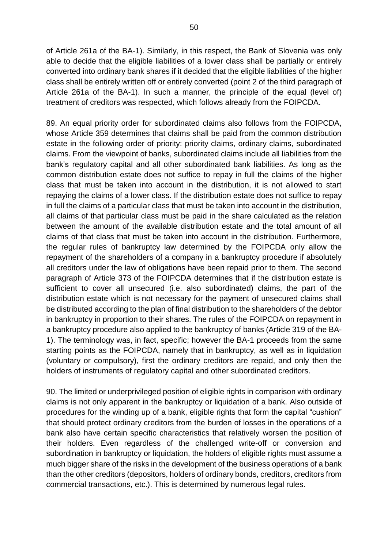of Article 261a of the BA-1). Similarly, in this respect, the Bank of Slovenia was only able to decide that the eligible liabilities of a lower class shall be partially or entirely converted into ordinary bank shares if it decided that the eligible liabilities of the higher class shall be entirely written off or entirely converted (point 2 of the third paragraph of Article 261a of the BA-1). In such a manner, the principle of the equal (level of) treatment of creditors was respected, which follows already from the FOIPCDA.

89. An equal priority order for subordinated claims also follows from the FOIPCDA, whose Article 359 determines that claims shall be paid from the common distribution estate in the following order of priority: priority claims, ordinary claims, subordinated claims. From the viewpoint of banks, subordinated claims include all liabilities from the bank's regulatory capital and all other subordinated bank liabilities. As long as the common distribution estate does not suffice to repay in full the claims of the higher class that must be taken into account in the distribution, it is not allowed to start repaying the claims of a lower class. If the distribution estate does not suffice to repay in full the claims of a particular class that must be taken into account in the distribution, all claims of that particular class must be paid in the share calculated as the relation between the amount of the available distribution estate and the total amount of all claims of that class that must be taken into account in the distribution. Furthermore, the regular rules of bankruptcy law determined by the FOIPCDA only allow the repayment of the shareholders of a company in a bankruptcy procedure if absolutely all creditors under the law of obligations have been repaid prior to them. The second paragraph of Article 373 of the FOIPCDA determines that if the distribution estate is sufficient to cover all unsecured (i.e. also subordinated) claims, the part of the distribution estate which is not necessary for the payment of unsecured claims shall be distributed according to the plan of final distribution to the shareholders of the debtor in bankruptcy in proportion to their shares. The rules of the FOIPCDA on repayment in a bankruptcy procedure also applied to the bankruptcy of banks (Article 319 of the BA-1). The terminology was, in fact, specific; however the BA-1 proceeds from the same starting points as the FOIPCDA, namely that in bankruptcy, as well as in liquidation (voluntary or compulsory), first the ordinary creditors are repaid, and only then the holders of instruments of regulatory capital and other subordinated creditors.

90. The limited or underprivileged position of eligible rights in comparison with ordinary claims is not only apparent in the bankruptcy or liquidation of a bank. Also outside of procedures for the winding up of a bank, eligible rights that form the capital "cushion" that should protect ordinary creditors from the burden of losses in the operations of a bank also have certain specific characteristics that relatively worsen the position of their holders. Even regardless of the challenged write-off or conversion and subordination in bankruptcy or liquidation, the holders of eligible rights must assume a much bigger share of the risks in the development of the business operations of a bank than the other creditors (depositors, holders of ordinary bonds, creditors, creditors from commercial transactions, etc.). This is determined by numerous legal rules.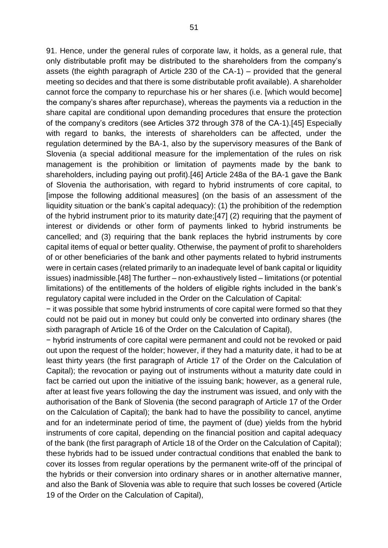91. Hence, under the general rules of corporate law, it holds, as a general rule, that only distributable profit may be distributed to the shareholders from the company's assets (the eighth paragraph of Article 230 of the CA-1) – provided that the general meeting so decides and that there is some distributable profit available). A shareholder cannot force the company to repurchase his or her shares (i.e. [which would become] the company's shares after repurchase), whereas the payments via a reduction in the share capital are conditional upon demanding procedures that ensure the protection of the company's creditors (see Articles 372 through 378 of the CA-1).[45] Especially with regard to banks, the interests of shareholders can be affected, under the regulation determined by the BA-1, also by the supervisory measures of the Bank of Slovenia (a special additional measure for the implementation of the rules on risk management is the prohibition or limitation of payments made by the bank to shareholders, including paying out profit).[46] Article 248a of the BA-1 gave the Bank of Slovenia the authorisation, with regard to hybrid instruments of core capital, to [impose the following additional measures] (on the basis of an assessment of the liquidity situation or the bank's capital adequacy): (1) the prohibition of the redemption of the hybrid instrument prior to its maturity date;[47] (2) requiring that the payment of interest or dividends or other form of payments linked to hybrid instruments be cancelled; and (3) requiring that the bank replaces the hybrid instruments by core capital items of equal or better quality. Otherwise, the payment of profit to shareholders of or other beneficiaries of the bank and other payments related to hybrid instruments were in certain cases (related primarily to an inadequate level of bank capital or liquidity issues) inadmissible.[48] The further – non-exhaustively listed – limitations (or potential limitations) of the entitlements of the holders of eligible rights included in the bank's regulatory capital were included in the Order on the Calculation of Capital:

− it was possible that some hybrid instruments of core capital were formed so that they could not be paid out in money but could only be converted into ordinary shares (the sixth paragraph of Article 16 of the Order on the Calculation of Capital),

− hybrid instruments of core capital were permanent and could not be revoked or paid out upon the request of the holder; however, if they had a maturity date, it had to be at least thirty years (the first paragraph of Article 17 of the Order on the Calculation of Capital); the revocation or paying out of instruments without a maturity date could in fact be carried out upon the initiative of the issuing bank; however, as a general rule, after at least five years following the day the instrument was issued, and only with the authorisation of the Bank of Slovenia (the second paragraph of Article 17 of the Order on the Calculation of Capital); the bank had to have the possibility to cancel, anytime and for an indeterminate period of time, the payment of (due) yields from the hybrid instruments of core capital, depending on the financial position and capital adequacy of the bank (the first paragraph of Article 18 of the Order on the Calculation of Capital); these hybrids had to be issued under contractual conditions that enabled the bank to cover its losses from regular operations by the permanent write-off of the principal of the hybrids or their conversion into ordinary shares or in another alternative manner, and also the Bank of Slovenia was able to require that such losses be covered (Article 19 of the Order on the Calculation of Capital),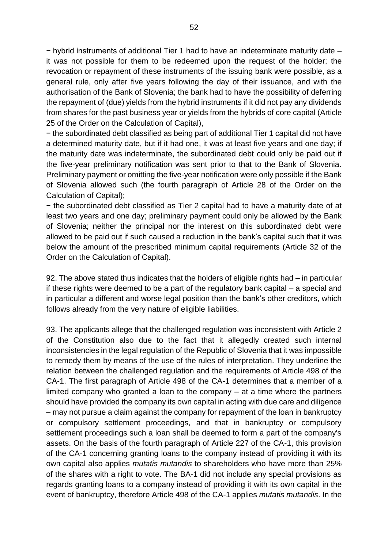− hybrid instruments of additional Tier 1 had to have an indeterminate maturity date – it was not possible for them to be redeemed upon the request of the holder; the revocation or repayment of these instruments of the issuing bank were possible, as a general rule, only after five years following the day of their issuance, and with the authorisation of the Bank of Slovenia; the bank had to have the possibility of deferring the repayment of (due) yields from the hybrid instruments if it did not pay any dividends from shares for the past business year or yields from the hybrids of core capital (Article 25 of the Order on the Calculation of Capital),

− the subordinated debt classified as being part of additional Tier 1 capital did not have a determined maturity date, but if it had one, it was at least five years and one day; if the maturity date was indeterminate, the subordinated debt could only be paid out if the five-year preliminary notification was sent prior to that to the Bank of Slovenia. Preliminary payment or omitting the five-year notification were only possible if the Bank of Slovenia allowed such (the fourth paragraph of Article 28 of the Order on the Calculation of Capital);

− the subordinated debt classified as Tier 2 capital had to have a maturity date of at least two years and one day; preliminary payment could only be allowed by the Bank of Slovenia; neither the principal nor the interest on this subordinated debt were allowed to be paid out if such caused a reduction in the bank's capital such that it was below the amount of the prescribed minimum capital requirements (Article 32 of the Order on the Calculation of Capital).

92. The above stated thus indicates that the holders of eligible rights had – in particular if these rights were deemed to be a part of the regulatory bank capital – a special and in particular a different and worse legal position than the bank's other creditors, which follows already from the very nature of eligible liabilities.

93. The applicants allege that the challenged regulation was inconsistent with Article 2 of the Constitution also due to the fact that it allegedly created such internal inconsistencies in the legal regulation of the Republic of Slovenia that it was impossible to remedy them by means of the use of the rules of interpretation. They underline the relation between the challenged regulation and the requirements of Article 498 of the CA-1. The first paragraph of Article 498 of the CA-1 determines that a member of a limited company who granted a loan to the company – at a time where the partners should have provided the company its own capital in acting with due care and diligence – may not pursue a claim against the company for repayment of the loan in bankruptcy or compulsory settlement proceedings, and that in bankruptcy or compulsory settlement proceedings such a loan shall be deemed to form a part of the company's assets. On the basis of the fourth paragraph of Article 227 of the CA-1, this provision of the CA-1 concerning granting loans to the company instead of providing it with its own capital also applies *mutatis mutandis* to shareholders who have more than 25% of the shares with a right to vote. The BA-1 did not include any special provisions as regards granting loans to a company instead of providing it with its own capital in the event of bankruptcy, therefore Article 498 of the CA-1 applies *mutatis mutandis*. In the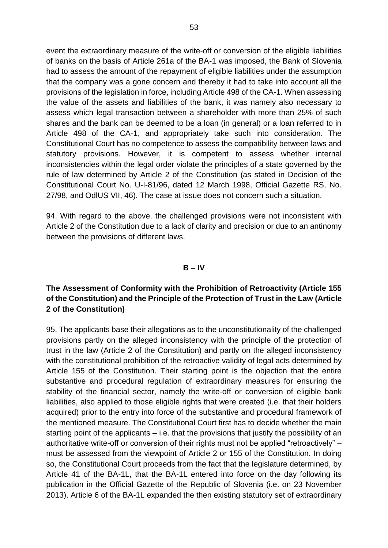event the extraordinary measure of the write-off or conversion of the eligible liabilities of banks on the basis of Article 261a of the BA-1 was imposed, the Bank of Slovenia had to assess the amount of the repayment of eligible liabilities under the assumption that the company was a gone concern and thereby it had to take into account all the provisions of the legislation in force, including Article 498 of the CA-1. When assessing the value of the assets and liabilities of the bank, it was namely also necessary to assess which legal transaction between a shareholder with more than 25% of such shares and the bank can be deemed to be a loan (in general) or a loan referred to in Article 498 of the CA-1, and appropriately take such into consideration. The Constitutional Court has no competence to assess the compatibility between laws and statutory provisions. However, it is competent to assess whether internal inconsistencies within the legal order violate the principles of a state governed by the rule of law determined by Article 2 of the Constitution (as stated in Decision of the Constitutional Court No. U-I-81/96, dated 12 March 1998, Official Gazette RS, No. 27/98, and OdlUS VII, 46). The case at issue does not concern such a situation.

94. With regard to the above, the challenged provisions were not inconsistent with Article 2 of the Constitution due to a lack of clarity and precision or due to an antinomy between the provisions of different laws.

### **B – IV**

# **The Assessment of Conformity with the Prohibition of Retroactivity (Article 155 of the Constitution) and the Principle of the Protection of Trust in the Law (Article 2 of the Constitution)**

95. The applicants base their allegations as to the unconstitutionality of the challenged provisions partly on the alleged inconsistency with the principle of the protection of trust in the law (Article 2 of the Constitution) and partly on the alleged inconsistency with the constitutional prohibition of the retroactive validity of legal acts determined by Article 155 of the Constitution. Their starting point is the objection that the entire substantive and procedural regulation of extraordinary measures for ensuring the stability of the financial sector, namely the write-off or conversion of eligible bank liabilities, also applied to those eligible rights that were created (i.e. that their holders acquired) prior to the entry into force of the substantive and procedural framework of the mentioned measure. The Constitutional Court first has to decide whether the main starting point of the applicants – i.e. that the provisions that justify the possibility of an authoritative write-off or conversion of their rights must not be applied "retroactively" – must be assessed from the viewpoint of Article 2 or 155 of the Constitution. In doing so, the Constitutional Court proceeds from the fact that the legislature determined, by Article 41 of the BA-1L, that the BA-1L entered into force on the day following its publication in the Official Gazette of the Republic of Slovenia (i.e. on 23 November 2013). Article 6 of the BA-1L expanded the then existing statutory set of extraordinary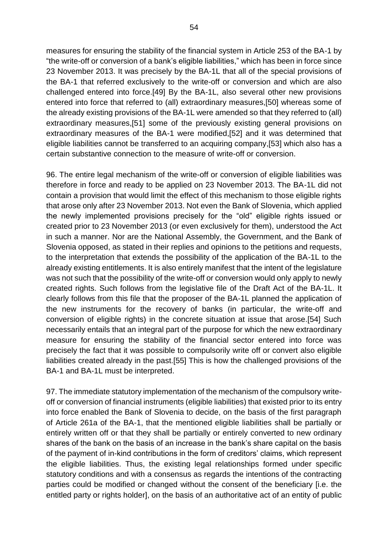measures for ensuring the stability of the financial system in Article 253 of the BA-1 by "the write-off or conversion of a bank's eligible liabilities," which has been in force since 23 November 2013. It was precisely by the BA-1L that all of the special provisions of the BA-1 that referred exclusively to the write-off or conversion and which are also challenged entered into force.[49] By the BA-1L, also several other new provisions entered into force that referred to (all) extraordinary measures,[50] whereas some of the already existing provisions of the BA-1L were amended so that they referred to (all) extraordinary measures,[51] some of the previously existing general provisions on extraordinary measures of the BA-1 were modified,[52] and it was determined that eligible liabilities cannot be transferred to an acquiring company,[53] which also has a certain substantive connection to the measure of write-off or conversion.

96. The entire legal mechanism of the write-off or conversion of eligible liabilities was therefore in force and ready to be applied on 23 November 2013. The BA-1L did not contain a provision that would limit the effect of this mechanism to those eligible rights that arose only after 23 November 2013. Not even the Bank of Slovenia, which applied the newly implemented provisions precisely for the "old" eligible rights issued or created prior to 23 November 2013 (or even exclusively for them), understood the Act in such a manner. Nor are the National Assembly, the Government, and the Bank of Slovenia opposed, as stated in their replies and opinions to the petitions and requests, to the interpretation that extends the possibility of the application of the BA-1L to the already existing entitlements. It is also entirely manifest that the intent of the legislature was not such that the possibility of the write-off or conversion would only apply to newly created rights. Such follows from the legislative file of the Draft Act of the BA-1L. It clearly follows from this file that the proposer of the BA-1L planned the application of the new instruments for the recovery of banks (in particular, the write-off and conversion of eligible rights) in the concrete situation at issue that arose.[54] Such necessarily entails that an integral part of the purpose for which the new extraordinary measure for ensuring the stability of the financial sector entered into force was precisely the fact that it was possible to compulsorily write off or convert also eligible liabilities created already in the past.[55] This is how the challenged provisions of the BA-1 and BA-1L must be interpreted.

97. The immediate statutory implementation of the mechanism of the compulsory writeoff or conversion of financial instruments (eligible liabilities) that existed prior to its entry into force enabled the Bank of Slovenia to decide, on the basis of the first paragraph of Article 261a of the BA-1, that the mentioned eligible liabilities shall be partially or entirely written off or that they shall be partially or entirely converted to new ordinary shares of the bank on the basis of an increase in the bank's share capital on the basis of the payment of in-kind contributions in the form of creditors' claims, which represent the eligible liabilities. Thus, the existing legal relationships formed under specific statutory conditions and with a consensus as regards the intentions of the contracting parties could be modified or changed without the consent of the beneficiary [i.e. the entitled party or rights holder], on the basis of an authoritative act of an entity of public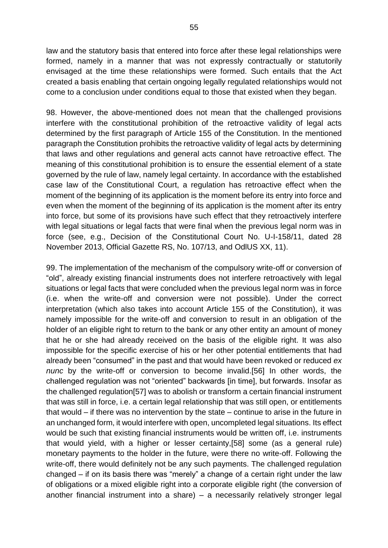law and the statutory basis that entered into force after these legal relationships were formed, namely in a manner that was not expressly contractually or statutorily envisaged at the time these relationships were formed. Such entails that the Act created a basis enabling that certain ongoing legally regulated relationships would not come to a conclusion under conditions equal to those that existed when they began.

98. However, the above-mentioned does not mean that the challenged provisions interfere with the constitutional prohibition of the retroactive validity of legal acts determined by the first paragraph of Article 155 of the Constitution. In the mentioned paragraph the Constitution prohibits the retroactive validity of legal acts by determining that laws and other regulations and general acts cannot have retroactive effect. The meaning of this constitutional prohibition is to ensure the essential element of a state governed by the rule of law, namely legal certainty. In accordance with the established case law of the Constitutional Court, a regulation has retroactive effect when the moment of the beginning of its application is the moment before its entry into force and even when the moment of the beginning of its application is the moment after its entry into force, but some of its provisions have such effect that they retroactively interfere with legal situations or legal facts that were final when the previous legal norm was in force (see, e.g., Decision of the Constitutional Court No. U-I-158/11, dated 28 November 2013, Official Gazette RS, No. 107/13, and OdlUS XX, 11).

99. The implementation of the mechanism of the compulsory write-off or conversion of "old", already existing financial instruments does not interfere retroactively with legal situations or legal facts that were concluded when the previous legal norm was in force (i.e. when the write-off and conversion were not possible). Under the correct interpretation (which also takes into account Article 155 of the Constitution), it was namely impossible for the write-off and conversion to result in an obligation of the holder of an eligible right to return to the bank or any other entity an amount of money that he or she had already received on the basis of the eligible right. It was also impossible for the specific exercise of his or her other potential entitlements that had already been "consumed" in the past and that would have been revoked or reduced *ex nunc* by the write-off or conversion to become invalid.[56] In other words, the challenged regulation was not "oriented" backwards [in time], but forwards. Insofar as the challenged regulation[57] was to abolish or transform a certain financial instrument that was still in force, i.e. a certain legal relationship that was still open, or entitlements that would – if there was no intervention by the state – continue to arise in the future in an unchanged form, it would interfere with open, uncompleted legal situations. Its effect would be such that existing financial instruments would be written off, i.e. instruments that would yield, with a higher or lesser certainty,[58] some (as a general rule) monetary payments to the holder in the future, were there no write-off. Following the write-off, there would definitely not be any such payments. The challenged regulation changed – if on its basis there was "merely" a change of a certain right under the law of obligations or a mixed eligible right into a corporate eligible right (the conversion of another financial instrument into a share) – a necessarily relatively stronger legal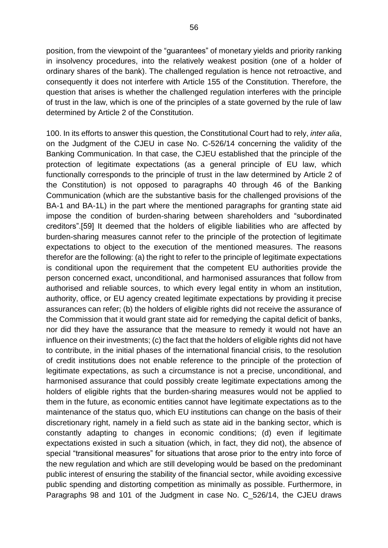position, from the viewpoint of the "guarantees" of monetary yields and priority ranking in insolvency procedures, into the relatively weakest position (one of a holder of ordinary shares of the bank). The challenged regulation is hence not retroactive, and consequently it does not interfere with Article 155 of the Constitution. Therefore, the question that arises is whether the challenged regulation interferes with the principle of trust in the law, which is one of the principles of a state governed by the rule of law determined by Article 2 of the Constitution.

100. In its efforts to answer this question, the Constitutional Court had to rely, *inter alia*, on the Judgment of the CJEU in case No. C-526/14 concerning the validity of the Banking Communication. In that case, the CJEU established that the principle of the protection of legitimate expectations (as a general principle of EU law, which functionally corresponds to the principle of trust in the law determined by Article 2 of the Constitution) is not opposed to paragraphs 40 through 46 of the Banking Communication (which are the substantive basis for the challenged provisions of the BA-1 and BA-1L) in the part where the mentioned paragraphs for granting state aid impose the condition of burden-sharing between shareholders and "subordinated creditors".[59] It deemed that the holders of eligible liabilities who are affected by burden-sharing measures cannot refer to the principle of the protection of legitimate expectations to object to the execution of the mentioned measures. The reasons therefor are the following: (a) the right to refer to the principle of legitimate expectations is conditional upon the requirement that the competent EU authorities provide the person concerned exact, unconditional, and harmonised assurances that follow from authorised and reliable sources, to which every legal entity in whom an institution, authority, office, or EU agency created legitimate expectations by providing it precise assurances can refer; (b) the holders of eligible rights did not receive the assurance of the Commission that it would grant state aid for remedying the capital deficit of banks, nor did they have the assurance that the measure to remedy it would not have an influence on their investments; (c) the fact that the holders of eligible rights did not have to contribute, in the initial phases of the international financial crisis, to the resolution of credit institutions does not enable reference to the principle of the protection of legitimate expectations, as such a circumstance is not a precise, unconditional, and harmonised assurance that could possibly create legitimate expectations among the holders of eligible rights that the burden-sharing measures would not be applied to them in the future, as economic entities cannot have legitimate expectations as to the maintenance of the status quo, which EU institutions can change on the basis of their discretionary right, namely in a field such as state aid in the banking sector, which is constantly adapting to changes in economic conditions; (d) even if legitimate expectations existed in such a situation (which, in fact, they did not), the absence of special "transitional measures" for situations that arose prior to the entry into force of the new regulation and which are still developing would be based on the predominant public interest of ensuring the stability of the financial sector, while avoiding excessive public spending and distorting competition as minimally as possible. Furthermore, in Paragraphs 98 and 101 of the Judgment in case No. C\_526/14, the CJEU draws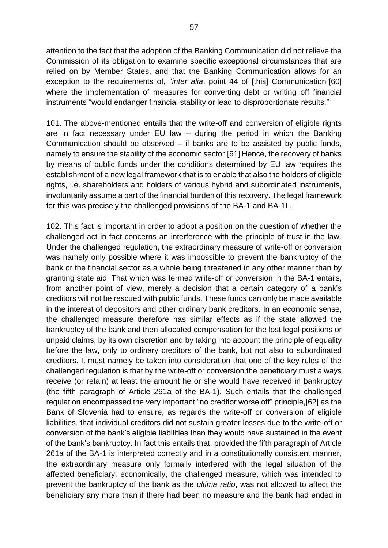attention to the fact that the adoption of the Banking Communication did not relieve the Commission of its obligation to examine specific exceptional circumstances that are relied on by Member States, and that the Banking Communication allows for an exception to the requirements of, "*inter alia*, point 44 of [this] Communication"[60] where the implementation of measures for converting debt or writing off financial instruments "would endanger financial stability or lead to disproportionate results."

101. The above-mentioned entails that the write-off and conversion of eligible rights are in fact necessary under EU law – during the period in which the Banking Communication should be observed – if banks are to be assisted by public funds, namely to ensure the stability of the economic sector.[61] Hence, the recovery of banks by means of public funds under the conditions determined by EU law requires the establishment of a new legal framework that is to enable that also the holders of eligible rights, i.e. shareholders and holders of various hybrid and subordinated instruments, involuntarily assume a part of the financial burden of this recovery. The legal framework for this was precisely the challenged provisions of the BA-1 and BA-1L.

102. This fact is important in order to adopt a position on the question of whether the challenged act in fact concerns an interference with the principle of trust in the law. Under the challenged regulation, the extraordinary measure of write-off or conversion was namely only possible where it was impossible to prevent the bankruptcy of the bank or the financial sector as a whole being threatened in any other manner than by granting state aid. That which was termed write-off or conversion in the BA-1 entails, from another point of view, merely a decision that a certain category of a bank's creditors will not be rescued with public funds. These funds can only be made available in the interest of depositors and other ordinary bank creditors. In an economic sense, the challenged measure therefore has similar effects as if the state allowed the bankruptcy of the bank and then allocated compensation for the lost legal positions or unpaid claims, by its own discretion and by taking into account the principle of equality before the law, only to ordinary creditors of the bank, but not also to subordinated creditors. It must namely be taken into consideration that one of the key rules of the challenged regulation is that by the write-off or conversion the beneficiary must always receive (or retain) at least the amount he or she would have received in bankruptcy (the fifth paragraph of Article 261a of the BA-1). Such entails that the challenged regulation encompassed the very important "no creditor worse off" principle,[62] as the Bank of Slovenia had to ensure, as regards the write-off or conversion of eligible liabilities, that individual creditors did not sustain greater losses due to the write-off or conversion of the bank's eligible liabilities than they would have sustained in the event of the bank's bankruptcy. In fact this entails that, provided the fifth paragraph of Article 261a of the BA-1 is interpreted correctly and in a constitutionally consistent manner, the extraordinary measure only formally interfered with the legal situation of the affected beneficiary; economically, the challenged measure, which was intended to prevent the bankruptcy of the bank as the *ultima ratio*, was not allowed to affect the beneficiary any more than if there had been no measure and the bank had ended in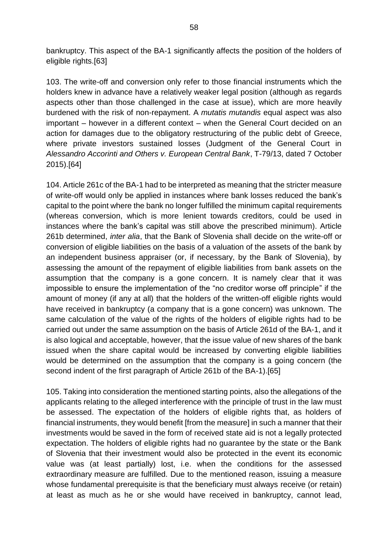bankruptcy. This aspect of the BA-1 significantly affects the position of the holders of eligible rights.[63]

103. The write-off and conversion only refer to those financial instruments which the holders knew in advance have a relatively weaker legal position (although as regards aspects other than those challenged in the case at issue), which are more heavily burdened with the risk of non-repayment. A *mutatis mutandis* equal aspect was also important – however in a different context – when the General Court decided on an action for damages due to the obligatory restructuring of the public debt of Greece, where private investors sustained losses (Judgment of the General Court in *Alessandro Accorinti and Others v. European Central Bank*, T-79/13, dated 7 October 2015).[64]

104. Article 261c of the BA-1 had to be interpreted as meaning that the stricter measure of write-off would only be applied in instances where bank losses reduced the bank's capital to the point where the bank no longer fulfilled the minimum capital requirements (whereas conversion, which is more lenient towards creditors, could be used in instances where the bank's capital was still above the prescribed minimum). Article 261b determined, *inter alia*, that the Bank of Slovenia shall decide on the write-off or conversion of eligible liabilities on the basis of a valuation of the assets of the bank by an independent business appraiser (or, if necessary, by the Bank of Slovenia), by assessing the amount of the repayment of eligible liabilities from bank assets on the assumption that the company is a gone concern. It is namely clear that it was impossible to ensure the implementation of the "no creditor worse off principle" if the amount of money (if any at all) that the holders of the written-off eligible rights would have received in bankruptcy (a company that is a gone concern) was unknown. The same calculation of the value of the rights of the holders of eligible rights had to be carried out under the same assumption on the basis of Article 261d of the BA-1, and it is also logical and acceptable, however, that the issue value of new shares of the bank issued when the share capital would be increased by converting eligible liabilities would be determined on the assumption that the company is a going concern (the second indent of the first paragraph of Article 261b of the BA-1).[65]

105. Taking into consideration the mentioned starting points, also the allegations of the applicants relating to the alleged interference with the principle of trust in the law must be assessed. The expectation of the holders of eligible rights that, as holders of financial instruments, they would benefit [from the measure] in such a manner that their investments would be saved in the form of received state aid is not a legally protected expectation. The holders of eligible rights had no guarantee by the state or the Bank of Slovenia that their investment would also be protected in the event its economic value was (at least partially) lost, i.e. when the conditions for the assessed extraordinary measure are fulfilled. Due to the mentioned reason, issuing a measure whose fundamental prerequisite is that the beneficiary must always receive (or retain) at least as much as he or she would have received in bankruptcy, cannot lead,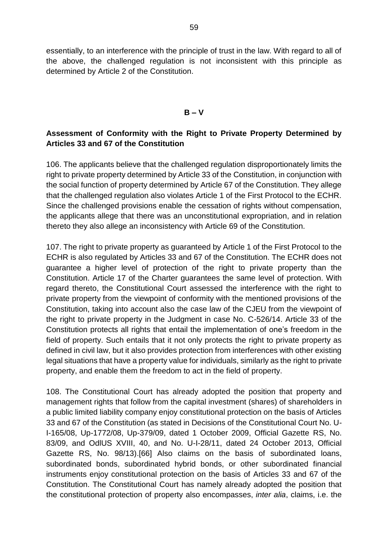essentially, to an interference with the principle of trust in the law. With regard to all of the above, the challenged regulation is not inconsistent with this principle as determined by Article 2 of the Constitution.

### **B – V**

# **Assessment of Conformity with the Right to Private Property Determined by Articles 33 and 67 of the Constitution**

106. The applicants believe that the challenged regulation disproportionately limits the right to private property determined by Article 33 of the Constitution, in conjunction with the social function of property determined by Article 67 of the Constitution. They allege that the challenged regulation also violates Article 1 of the First Protocol to the ECHR. Since the challenged provisions enable the cessation of rights without compensation, the applicants allege that there was an unconstitutional expropriation, and in relation thereto they also allege an inconsistency with Article 69 of the Constitution.

107. The right to private property as guaranteed by Article 1 of the First Protocol to the ECHR is also regulated by Articles 33 and 67 of the Constitution. The ECHR does not guarantee a higher level of protection of the right to private property than the Constitution. Article 17 of the Charter guarantees the same level of protection. With regard thereto, the Constitutional Court assessed the interference with the right to private property from the viewpoint of conformity with the mentioned provisions of the Constitution, taking into account also the case law of the CJEU from the viewpoint of the right to private property in the Judgment in case No. C-526/14. Article 33 of the Constitution protects all rights that entail the implementation of one's freedom in the field of property. Such entails that it not only protects the right to private property as defined in civil law, but it also provides protection from interferences with other existing legal situations that have a property value for individuals, similarly as the right to private property, and enable them the freedom to act in the field of property.

108. The Constitutional Court has already adopted the position that property and management rights that follow from the capital investment (shares) of shareholders in a public limited liability company enjoy constitutional protection on the basis of Articles 33 and 67 of the Constitution (as stated in Decisions of the Constitutional Court No. U-I-165/08, Up-1772/08, Up-379/09, dated 1 October 2009, Official Gazette RS, No. 83/09, and OdlUS XVIII, 40, and No. U-I-28/11, dated 24 October 2013, Official Gazette RS, No. 98/13).[66] Also claims on the basis of subordinated loans, subordinated bonds, subordinated hybrid bonds, or other subordinated financial instruments enjoy constitutional protection on the basis of Articles 33 and 67 of the Constitution. The Constitutional Court has namely already adopted the position that the constitutional protection of property also encompasses, *inter alia*, claims, i.e. the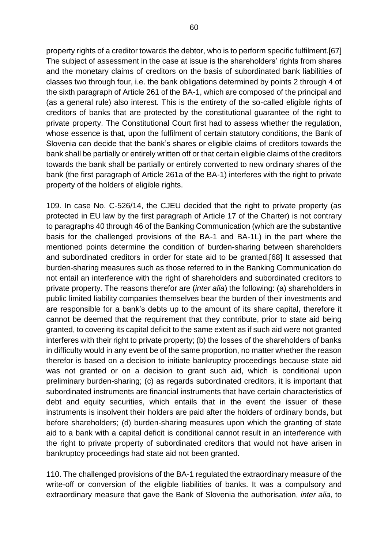property rights of a creditor towards the debtor, who is to perform specific fulfilment.[67] The subject of assessment in the case at issue is the shareholders' rights from shares and the monetary claims of creditors on the basis of subordinated bank liabilities of classes two through four, i.e. the bank obligations determined by points 2 through 4 of the sixth paragraph of Article 261 of the BA-1, which are composed of the principal and (as a general rule) also interest. This is the entirety of the so-called eligible rights of creditors of banks that are protected by the constitutional guarantee of the right to private property. The Constitutional Court first had to assess whether the regulation, whose essence is that, upon the fulfilment of certain statutory conditions, the Bank of Slovenia can decide that the bank's shares or eligible claims of creditors towards the bank shall be partially or entirely written off or that certain eligible claims of the creditors towards the bank shall be partially or entirely converted to new ordinary shares of the bank (the first paragraph of Article 261a of the BA-1) interferes with the right to private property of the holders of eligible rights.

109. In case No. C-526/14, the CJEU decided that the right to private property (as protected in EU law by the first paragraph of Article 17 of the Charter) is not contrary to paragraphs 40 through 46 of the Banking Communication (which are the substantive basis for the challenged provisions of the BA-1 and BA-1L) in the part where the mentioned points determine the condition of burden-sharing between shareholders and subordinated creditors in order for state aid to be granted.[68] It assessed that burden-sharing measures such as those referred to in the Banking Communication do not entail an interference with the right of shareholders and subordinated creditors to private property. The reasons therefor are (*inter alia*) the following: (a) shareholders in public limited liability companies themselves bear the burden of their investments and are responsible for a bank's debts up to the amount of its share capital, therefore it cannot be deemed that the requirement that they contribute, prior to state aid being granted, to covering its capital deficit to the same extent as if such aid were not granted interferes with their right to private property; (b) the losses of the shareholders of banks in difficulty would in any event be of the same proportion, no matter whether the reason therefor is based on a decision to initiate bankruptcy proceedings because state aid was not granted or on a decision to grant such aid, which is conditional upon preliminary burden-sharing; (c) as regards subordinated creditors, it is important that subordinated instruments are financial instruments that have certain characteristics of debt and equity securities, which entails that in the event the issuer of these instruments is insolvent their holders are paid after the holders of ordinary bonds, but before shareholders; (d) burden-sharing measures upon which the granting of state aid to a bank with a capital deficit is conditional cannot result in an interference with the right to private property of subordinated creditors that would not have arisen in bankruptcy proceedings had state aid not been granted.

110. The challenged provisions of the BA-1 regulated the extraordinary measure of the write-off or conversion of the eligible liabilities of banks. It was a compulsory and extraordinary measure that gave the Bank of Slovenia the authorisation, *inter alia*, to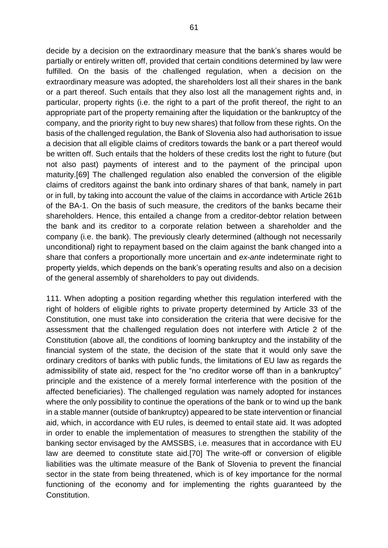decide by a decision on the extraordinary measure that the bank's shares would be partially or entirely written off, provided that certain conditions determined by law were fulfilled. On the basis of the challenged regulation, when a decision on the extraordinary measure was adopted, the shareholders lost all their shares in the bank or a part thereof. Such entails that they also lost all the management rights and, in particular, property rights (i.e. the right to a part of the profit thereof, the right to an appropriate part of the property remaining after the liquidation or the bankruptcy of the company, and the priority right to buy new shares) that follow from these rights. On the basis of the challenged regulation, the Bank of Slovenia also had authorisation to issue a decision that all eligible claims of creditors towards the bank or a part thereof would be written off. Such entails that the holders of these credits lost the right to future (but not also past) payments of interest and to the payment of the principal upon maturity.[69] The challenged regulation also enabled the conversion of the eligible claims of creditors against the bank into ordinary shares of that bank, namely in part or in full, by taking into account the value of the claims in accordance with Article 261b of the BA-1. On the basis of such measure, the creditors of the banks became their shareholders. Hence, this entailed a change from a creditor-debtor relation between the bank and its creditor to a corporate relation between a shareholder and the company (i.e. the bank). The previously clearly determined (although not necessarily unconditional) right to repayment based on the claim against the bank changed into a share that confers a proportionally more uncertain and *ex-ante* indeterminate right to property yields, which depends on the bank's operating results and also on a decision of the general assembly of shareholders to pay out dividends.

111. When adopting a position regarding whether this regulation interfered with the right of holders of eligible rights to private property determined by Article 33 of the Constitution, one must take into consideration the criteria that were decisive for the assessment that the challenged regulation does not interfere with Article 2 of the Constitution (above all, the conditions of looming bankruptcy and the instability of the financial system of the state, the decision of the state that it would only save the ordinary creditors of banks with public funds, the limitations of EU law as regards the admissibility of state aid, respect for the "no creditor worse off than in a bankruptcy" principle and the existence of a merely formal interference with the position of the affected beneficiaries). The challenged regulation was namely adopted for instances where the only possibility to continue the operations of the bank or to wind up the bank in a stable manner (outside of bankruptcy) appeared to be state intervention or financial aid, which, in accordance with EU rules, is deemed to entail state aid. It was adopted in order to enable the implementation of measures to strengthen the stability of the banking sector envisaged by the AMSSBS, i.e. measures that in accordance with EU law are deemed to constitute state aid.[70] The write-off or conversion of eligible liabilities was the ultimate measure of the Bank of Slovenia to prevent the financial sector in the state from being threatened, which is of key importance for the normal functioning of the economy and for implementing the rights guaranteed by the Constitution.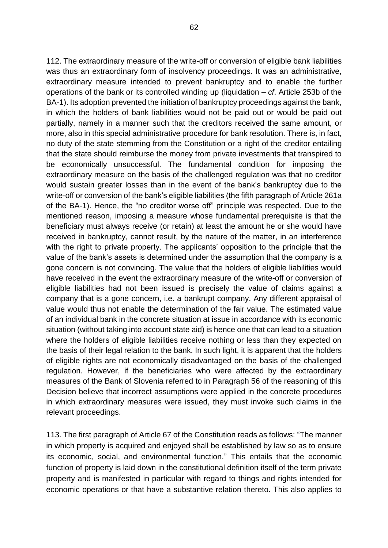112. The extraordinary measure of the write-off or conversion of eligible bank liabilities was thus an extraordinary form of insolvency proceedings. It was an administrative, extraordinary measure intended to prevent bankruptcy and to enable the further operations of the bank or its controlled winding up (liquidation – *cf*. Article 253b of the BA-1). Its adoption prevented the initiation of bankruptcy proceedings against the bank, in which the holders of bank liabilities would not be paid out or would be paid out partially, namely in a manner such that the creditors received the same amount, or more, also in this special administrative procedure for bank resolution. There is, in fact, no duty of the state stemming from the Constitution or a right of the creditor entailing that the state should reimburse the money from private investments that transpired to be economically unsuccessful. The fundamental condition for imposing the extraordinary measure on the basis of the challenged regulation was that no creditor would sustain greater losses than in the event of the bank's bankruptcy due to the write-off or conversion of the bank's eligible liabilities (the fifth paragraph of Article 261a of the BA-1). Hence, the "no creditor worse off" principle was respected. Due to the mentioned reason, imposing a measure whose fundamental prerequisite is that the beneficiary must always receive (or retain) at least the amount he or she would have received in bankruptcy, cannot result, by the nature of the matter, in an interference with the right to private property. The applicants' opposition to the principle that the value of the bank's assets is determined under the assumption that the company is a gone concern is not convincing. The value that the holders of eligible liabilities would have received in the event the extraordinary measure of the write-off or conversion of eligible liabilities had not been issued is precisely the value of claims against a company that is a gone concern, i.e. a bankrupt company. Any different appraisal of value would thus not enable the determination of the fair value. The estimated value of an individual bank in the concrete situation at issue in accordance with its economic situation (without taking into account state aid) is hence one that can lead to a situation where the holders of eligible liabilities receive nothing or less than they expected on the basis of their legal relation to the bank. In such light, it is apparent that the holders of eligible rights are not economically disadvantaged on the basis of the challenged regulation. However, if the beneficiaries who were affected by the extraordinary measures of the Bank of Slovenia referred to in Paragraph 56 of the reasoning of this Decision believe that incorrect assumptions were applied in the concrete procedures in which extraordinary measures were issued, they must invoke such claims in the relevant proceedings.

113. The first paragraph of Article 67 of the Constitution reads as follows: "The manner in which property is acquired and enjoyed shall be established by law so as to ensure its economic, social, and environmental function." This entails that the economic function of property is laid down in the constitutional definition itself of the term private property and is manifested in particular with regard to things and rights intended for economic operations or that have a substantive relation thereto. This also applies to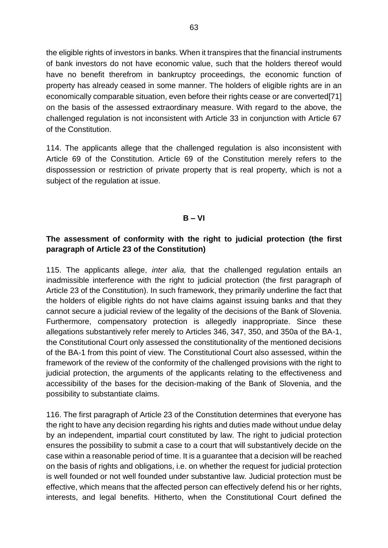the eligible rights of investors in banks. When it transpires that the financial instruments of bank investors do not have economic value, such that the holders thereof would have no benefit therefrom in bankruptcy proceedings, the economic function of property has already ceased in some manner. The holders of eligible rights are in an economically comparable situation, even before their rights cease or are converted[71] on the basis of the assessed extraordinary measure. With regard to the above, the challenged regulation is not inconsistent with Article 33 in conjunction with Article 67 of the Constitution.

114. The applicants allege that the challenged regulation is also inconsistent with Article 69 of the Constitution. Article 69 of the Constitution merely refers to the dispossession or restriction of private property that is real property, which is not a subject of the regulation at issue.

## **B – VI**

## **The assessment of conformity with the right to judicial protection (the first paragraph of Article 23 of the Constitution)**

115. The applicants allege, *inter alia,* that the challenged regulation entails an inadmissible interference with the right to judicial protection (the first paragraph of Article 23 of the Constitution). In such framework, they primarily underline the fact that the holders of eligible rights do not have claims against issuing banks and that they cannot secure a judicial review of the legality of the decisions of the Bank of Slovenia. Furthermore, compensatory protection is allegedly inappropriate. Since these allegations substantively refer merely to Articles 346, 347, 350, and 350a of the BA-1, the Constitutional Court only assessed the constitutionality of the mentioned decisions of the BA-1 from this point of view. The Constitutional Court also assessed, within the framework of the review of the conformity of the challenged provisions with the right to judicial protection, the arguments of the applicants relating to the effectiveness and accessibility of the bases for the decision-making of the Bank of Slovenia, and the possibility to substantiate claims.

116. The first paragraph of Article 23 of the Constitution determines that everyone has the right to have any decision regarding his rights and duties made without undue delay by an independent, impartial court constituted by law. The right to judicial protection ensures the possibility to submit a case to a court that will substantively decide on the case within a reasonable period of time. It is a guarantee that a decision will be reached on the basis of rights and obligations, i.e. on whether the request for judicial protection is well founded or not well founded under substantive law. Judicial protection must be effective, which means that the affected person can effectively defend his or her rights, interests, and legal benefits. Hitherto, when the Constitutional Court defined the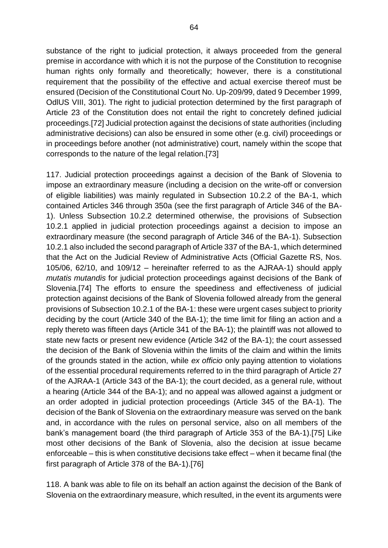64

substance of the right to judicial protection, it always proceeded from the general premise in accordance with which it is not the purpose of the Constitution to recognise human rights only formally and theoretically; however, there is a constitutional requirement that the possibility of the effective and actual exercise thereof must be ensured (Decision of the Constitutional Court No. Up-209/99, dated 9 December 1999, OdlUS VIII, 301). The right to judicial protection determined by the first paragraph of Article 23 of the Constitution does not entail the right to concretely defined judicial proceedings.[72] Judicial protection against the decisions of state authorities (including administrative decisions) can also be ensured in some other (e.g. civil) proceedings or in proceedings before another (not administrative) court, namely within the scope that corresponds to the nature of the legal relation.[73]

117. Judicial protection proceedings against a decision of the Bank of Slovenia to impose an extraordinary measure (including a decision on the write-off or conversion of eligible liabilities) was mainly regulated in Subsection 10.2.2 of the BA-1, which contained Articles 346 through 350a (see the first paragraph of Article 346 of the BA-1). Unless Subsection 10.2.2 determined otherwise, the provisions of Subsection 10.2.1 applied in judicial protection proceedings against a decision to impose an extraordinary measure (the second paragraph of Article 346 of the BA-1). Subsection 10.2.1 also included the second paragraph of Article 337 of the BA-1, which determined that the Act on the Judicial Review of Administrative Acts (Official Gazette RS, Nos. 105/06, 62/10, and 109/12 – hereinafter referred to as the AJRAA-1) should apply *mutatis mutandis* for judicial protection proceedings against decisions of the Bank of Slovenia.[74] The efforts to ensure the speediness and effectiveness of judicial protection against decisions of the Bank of Slovenia followed already from the general provisions of Subsection 10.2.1 of the BA-1: these were urgent cases subject to priority deciding by the court (Article 340 of the BA-1); the time limit for filing an action and a reply thereto was fifteen days (Article 341 of the BA-1); the plaintiff was not allowed to state new facts or present new evidence (Article 342 of the BA-1); the court assessed the decision of the Bank of Slovenia within the limits of the claim and within the limits of the grounds stated in the action, while *ex officio* only paying attention to violations of the essential procedural requirements referred to in the third paragraph of Article 27 of the AJRAA-1 (Article 343 of the BA-1); the court decided, as a general rule, without a hearing (Article 344 of the BA-1); and no appeal was allowed against a judgment or an order adopted in judicial protection proceedings (Article 345 of the BA-1). The decision of the Bank of Slovenia on the extraordinary measure was served on the bank and, in accordance with the rules on personal service, also on all members of the bank's management board (the third paragraph of Article 353 of the BA-1).[75] Like most other decisions of the Bank of Slovenia, also the decision at issue became enforceable – this is when constitutive decisions take effect – when it became final (the first paragraph of Article 378 of the BA-1).[76]

118. A bank was able to file on its behalf an action against the decision of the Bank of Slovenia on the extraordinary measure, which resulted, in the event its arguments were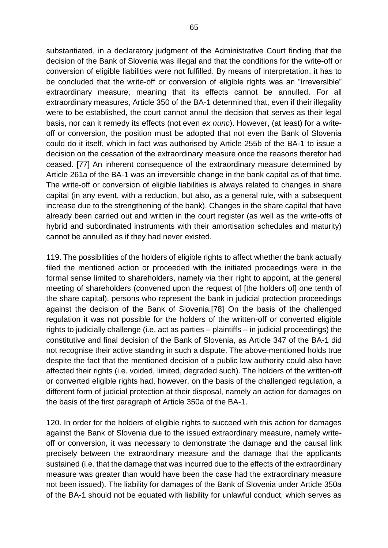substantiated, in a declaratory judgment of the Administrative Court finding that the decision of the Bank of Slovenia was illegal and that the conditions for the write-off or conversion of eligible liabilities were not fulfilled. By means of interpretation, it has to be concluded that the write-off or conversion of eligible rights was an "irreversible" extraordinary measure, meaning that its effects cannot be annulled. For all extraordinary measures, Article 350 of the BA-1 determined that, even if their illegality were to be established, the court cannot annul the decision that serves as their legal basis, nor can it remedy its effects (not even *ex nunc*). However, (at least) for a writeoff or conversion, the position must be adopted that not even the Bank of Slovenia could do it itself, which in fact was authorised by Article 255b of the BA-1 to issue a decision on the cessation of the extraordinary measure once the reasons therefor had ceased. [77] An inherent consequence of the extraordinary measure determined by Article 261a of the BA-1 was an irreversible change in the bank capital as of that time. The write-off or conversion of eligible liabilities is always related to changes in share capital (in any event, with a reduction, but also, as a general rule, with a subsequent increase due to the strengthening of the bank). Changes in the share capital that have already been carried out and written in the court register (as well as the write-offs of hybrid and subordinated instruments with their amortisation schedules and maturity) cannot be annulled as if they had never existed.

119. The possibilities of the holders of eligible rights to affect whether the bank actually filed the mentioned action or proceeded with the initiated proceedings were in the formal sense limited to shareholders, namely via their right to appoint, at the general meeting of shareholders (convened upon the request of [the holders of] one tenth of the share capital), persons who represent the bank in judicial protection proceedings against the decision of the Bank of Slovenia.[78] On the basis of the challenged regulation it was not possible for the holders of the written-off or converted eligible rights to judicially challenge (i.e. act as parties – plaintiffs – in judicial proceedings) the constitutive and final decision of the Bank of Slovenia, as Article 347 of the BA-1 did not recognise their active standing in such a dispute. The above-mentioned holds true despite the fact that the mentioned decision of a public law authority could also have affected their rights (i.e. voided, limited, degraded such). The holders of the written-off or converted eligible rights had, however, on the basis of the challenged regulation, a different form of judicial protection at their disposal, namely an action for damages on the basis of the first paragraph of Article 350a of the BA-1.

120. In order for the holders of eligible rights to succeed with this action for damages against the Bank of Slovenia due to the issued extraordinary measure, namely writeoff or conversion, it was necessary to demonstrate the damage and the causal link precisely between the extraordinary measure and the damage that the applicants sustained (i.e. that the damage that was incurred due to the effects of the extraordinary measure was greater than would have been the case had the extraordinary measure not been issued). The liability for damages of the Bank of Slovenia under Article 350a of the BA-1 should not be equated with liability for unlawful conduct, which serves as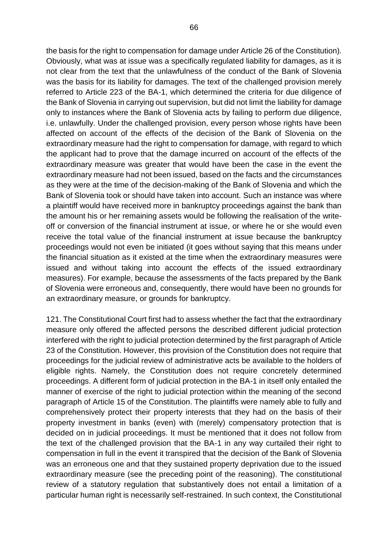the basis for the right to compensation for damage under Article 26 of the Constitution). Obviously, what was at issue was a specifically regulated liability for damages, as it is not clear from the text that the unlawfulness of the conduct of the Bank of Slovenia was the basis for its liability for damages. The text of the challenged provision merely referred to Article 223 of the BA-1, which determined the criteria for due diligence of the Bank of Slovenia in carrying out supervision, but did not limit the liability for damage only to instances where the Bank of Slovenia acts by failing to perform due diligence, i.e. unlawfully. Under the challenged provision, every person whose rights have been affected on account of the effects of the decision of the Bank of Slovenia on the extraordinary measure had the right to compensation for damage, with regard to which the applicant had to prove that the damage incurred on account of the effects of the extraordinary measure was greater that would have been the case in the event the extraordinary measure had not been issued, based on the facts and the circumstances as they were at the time of the decision-making of the Bank of Slovenia and which the Bank of Slovenia took or should have taken into account. Such an instance was where a plaintiff would have received more in bankruptcy proceedings against the bank than the amount his or her remaining assets would be following the realisation of the writeoff or conversion of the financial instrument at issue, or where he or she would even receive the total value of the financial instrument at issue because the bankruptcy proceedings would not even be initiated (it goes without saying that this means under the financial situation as it existed at the time when the extraordinary measures were issued and without taking into account the effects of the issued extraordinary measures). For example, because the assessments of the facts prepared by the Bank of Slovenia were erroneous and, consequently, there would have been no grounds for an extraordinary measure, or grounds for bankruptcy.

121. The Constitutional Court first had to assess whether the fact that the extraordinary measure only offered the affected persons the described different judicial protection interfered with the right to judicial protection determined by the first paragraph of Article 23 of the Constitution. However, this provision of the Constitution does not require that proceedings for the judicial review of administrative acts be available to the holders of eligible rights. Namely, the Constitution does not require concretely determined proceedings. A different form of judicial protection in the BA-1 in itself only entailed the manner of exercise of the right to judicial protection within the meaning of the second paragraph of Article 15 of the Constitution. The plaintiffs were namely able to fully and comprehensively protect their property interests that they had on the basis of their property investment in banks (even) with (merely) compensatory protection that is decided on in judicial proceedings. It must be mentioned that it does not follow from the text of the challenged provision that the BA-1 in any way curtailed their right to compensation in full in the event it transpired that the decision of the Bank of Slovenia was an erroneous one and that they sustained property deprivation due to the issued extraordinary measure (see the preceding point of the reasoning). The constitutional review of a statutory regulation that substantively does not entail a limitation of a particular human right is necessarily self-restrained. In such context, the Constitutional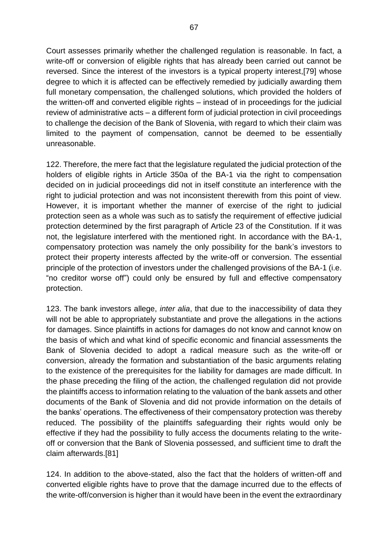Court assesses primarily whether the challenged regulation is reasonable. In fact, a write-off or conversion of eligible rights that has already been carried out cannot be reversed. Since the interest of the investors is a typical property interest,[79] whose degree to which it is affected can be effectively remedied by judicially awarding them full monetary compensation, the challenged solutions, which provided the holders of the written-off and converted eligible rights – instead of in proceedings for the judicial review of administrative acts – a different form of judicial protection in civil proceedings to challenge the decision of the Bank of Slovenia, with regard to which their claim was limited to the payment of compensation, cannot be deemed to be essentially unreasonable.

122. Therefore, the mere fact that the legislature regulated the judicial protection of the holders of eligible rights in Article 350a of the BA-1 via the right to compensation decided on in judicial proceedings did not in itself constitute an interference with the right to judicial protection and was not inconsistent therewith from this point of view. However, it is important whether the manner of exercise of the right to judicial protection seen as a whole was such as to satisfy the requirement of effective judicial protection determined by the first paragraph of Article 23 of the Constitution. If it was not, the legislature interfered with the mentioned right. In accordance with the BA-1, compensatory protection was namely the only possibility for the bank's investors to protect their property interests affected by the write-off or conversion. The essential principle of the protection of investors under the challenged provisions of the BA-1 (i.e. "no creditor worse off") could only be ensured by full and effective compensatory protection.

123. The bank investors allege, *inter alia*, that due to the inaccessibility of data they will not be able to appropriately substantiate and prove the allegations in the actions for damages. Since plaintiffs in actions for damages do not know and cannot know on the basis of which and what kind of specific economic and financial assessments the Bank of Slovenia decided to adopt a radical measure such as the write-off or conversion, already the formation and substantiation of the basic arguments relating to the existence of the prerequisites for the liability for damages are made difficult. In the phase preceding the filing of the action, the challenged regulation did not provide the plaintiffs access to information relating to the valuation of the bank assets and other documents of the Bank of Slovenia and did not provide information on the details of the banks' operations. The effectiveness of their compensatory protection was thereby reduced. The possibility of the plaintiffs safeguarding their rights would only be effective if they had the possibility to fully access the documents relating to the writeoff or conversion that the Bank of Slovenia possessed, and sufficient time to draft the claim afterwards.[81]

124. In addition to the above-stated, also the fact that the holders of written-off and converted eligible rights have to prove that the damage incurred due to the effects of the write-off/conversion is higher than it would have been in the event the extraordinary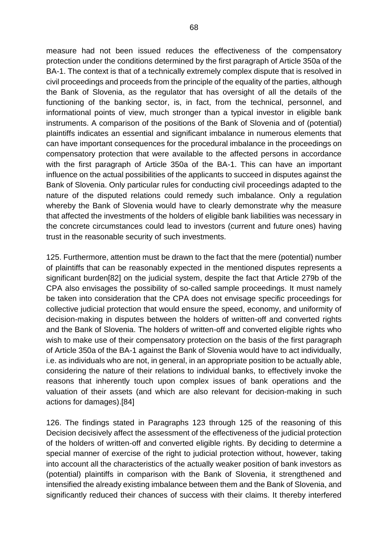measure had not been issued reduces the effectiveness of the compensatory protection under the conditions determined by the first paragraph of Article 350a of the BA-1. The context is that of a technically extremely complex dispute that is resolved in civil proceedings and proceeds from the principle of the equality of the parties, although the Bank of Slovenia, as the regulator that has oversight of all the details of the functioning of the banking sector, is, in fact, from the technical, personnel, and informational points of view, much stronger than a typical investor in eligible bank instruments. A comparison of the positions of the Bank of Slovenia and of (potential) plaintiffs indicates an essential and significant imbalance in numerous elements that can have important consequences for the procedural imbalance in the proceedings on compensatory protection that were available to the affected persons in accordance with the first paragraph of Article 350a of the BA-1. This can have an important influence on the actual possibilities of the applicants to succeed in disputes against the Bank of Slovenia. Only particular rules for conducting civil proceedings adapted to the nature of the disputed relations could remedy such imbalance. Only a regulation whereby the Bank of Slovenia would have to clearly demonstrate why the measure that affected the investments of the holders of eligible bank liabilities was necessary in the concrete circumstances could lead to investors (current and future ones) having trust in the reasonable security of such investments.

125. Furthermore, attention must be drawn to the fact that the mere (potential) number of plaintiffs that can be reasonably expected in the mentioned disputes represents a significant burden[82] on the judicial system, despite the fact that Article 279b of the CPA also envisages the possibility of so-called sample proceedings. It must namely be taken into consideration that the CPA does not envisage specific proceedings for collective judicial protection that would ensure the speed, economy, and uniformity of decision-making in disputes between the holders of written-off and converted rights and the Bank of Slovenia. The holders of written-off and converted eligible rights who wish to make use of their compensatory protection on the basis of the first paragraph of Article 350a of the BA-1 against the Bank of Slovenia would have to act individually, i.e. as individuals who are not, in general, in an appropriate position to be actually able, considering the nature of their relations to individual banks, to effectively invoke the reasons that inherently touch upon complex issues of bank operations and the valuation of their assets (and which are also relevant for decision-making in such actions for damages).[84]

126. The findings stated in Paragraphs 123 through 125 of the reasoning of this Decision decisively affect the assessment of the effectiveness of the judicial protection of the holders of written-off and converted eligible rights. By deciding to determine a special manner of exercise of the right to judicial protection without, however, taking into account all the characteristics of the actually weaker position of bank investors as (potential) plaintiffs in comparison with the Bank of Slovenia, it strengthened and intensified the already existing imbalance between them and the Bank of Slovenia, and significantly reduced their chances of success with their claims. It thereby interfered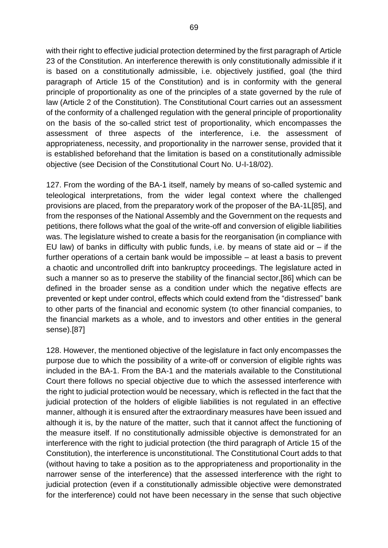with their right to effective judicial protection determined by the first paragraph of Article 23 of the Constitution. An interference therewith is only constitutionally admissible if it is based on a constitutionally admissible, i.e. objectively justified, goal (the third paragraph of Article 15 of the Constitution) and is in conformity with the general principle of proportionality as one of the principles of a state governed by the rule of law (Article 2 of the Constitution). The Constitutional Court carries out an assessment of the conformity of a challenged regulation with the general principle of proportionality on the basis of the so-called strict test of proportionality, which encompasses the assessment of three aspects of the interference, i.e. the assessment of appropriateness, necessity, and proportionality in the narrower sense, provided that it is established beforehand that the limitation is based on a constitutionally admissible objective (see Decision of the Constitutional Court No. U-I-18/02).

127. From the wording of the BA-1 itself, namely by means of so-called systemic and teleological interpretations, from the wider legal context where the challenged provisions are placed, from the preparatory work of the proposer of the BA-1L[85], and from the responses of the National Assembly and the Government on the requests and petitions, there follows what the goal of the write-off and conversion of eligible liabilities was. The legislature wished to create a basis for the reorganisation (in compliance with EU law) of banks in difficulty with public funds, i.e. by means of state aid or  $-$  if the further operations of a certain bank would be impossible – at least a basis to prevent a chaotic and uncontrolled drift into bankruptcy proceedings. The legislature acted in such a manner so as to preserve the stability of the financial sector,[86] which can be defined in the broader sense as a condition under which the negative effects are prevented or kept under control, effects which could extend from the "distressed" bank to other parts of the financial and economic system (to other financial companies, to the financial markets as a whole, and to investors and other entities in the general sense).[87]

128. However, the mentioned objective of the legislature in fact only encompasses the purpose due to which the possibility of a write-off or conversion of eligible rights was included in the BA-1. From the BA-1 and the materials available to the Constitutional Court there follows no special objective due to which the assessed interference with the right to judicial protection would be necessary, which is reflected in the fact that the judicial protection of the holders of eligible liabilities is not regulated in an effective manner, although it is ensured after the extraordinary measures have been issued and although it is, by the nature of the matter, such that it cannot affect the functioning of the measure itself. If no constitutionally admissible objective is demonstrated for an interference with the right to judicial protection (the third paragraph of Article 15 of the Constitution), the interference is unconstitutional. The Constitutional Court adds to that (without having to take a position as to the appropriateness and proportionality in the narrower sense of the interference) that the assessed interference with the right to judicial protection (even if a constitutionally admissible objective were demonstrated for the interference) could not have been necessary in the sense that such objective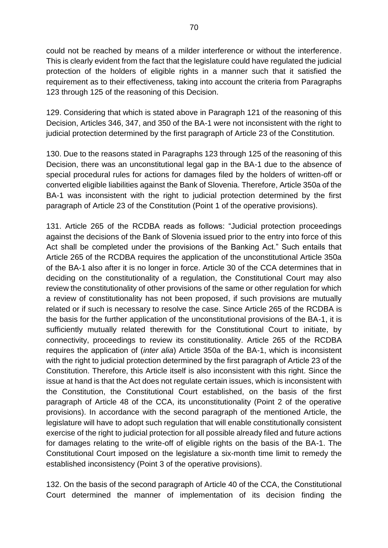could not be reached by means of a milder interference or without the interference. This is clearly evident from the fact that the legislature could have regulated the judicial protection of the holders of eligible rights in a manner such that it satisfied the requirement as to their effectiveness, taking into account the criteria from Paragraphs 123 through 125 of the reasoning of this Decision.

129. Considering that which is stated above in Paragraph 121 of the reasoning of this Decision, Articles 346, 347, and 350 of the BA-1 were not inconsistent with the right to judicial protection determined by the first paragraph of Article 23 of the Constitution.

130. Due to the reasons stated in Paragraphs 123 through 125 of the reasoning of this Decision, there was an unconstitutional legal gap in the BA-1 due to the absence of special procedural rules for actions for damages filed by the holders of written-off or converted eligible liabilities against the Bank of Slovenia. Therefore, Article 350a of the BA-1 was inconsistent with the right to judicial protection determined by the first paragraph of Article 23 of the Constitution (Point 1 of the operative provisions).

131. Article 265 of the RCDBA reads as follows: "Judicial protection proceedings against the decisions of the Bank of Slovenia issued prior to the entry into force of this Act shall be completed under the provisions of the Banking Act." Such entails that Article 265 of the RCDBA requires the application of the unconstitutional Article 350a of the BA-1 also after it is no longer in force. Article 30 of the CCA determines that in deciding on the constitutionality of a regulation, the Constitutional Court may also review the constitutionality of other provisions of the same or other regulation for which a review of constitutionality has not been proposed, if such provisions are mutually related or if such is necessary to resolve the case. Since Article 265 of the RCDBA is the basis for the further application of the unconstitutional provisions of the BA-1, it is sufficiently mutually related therewith for the Constitutional Court to initiate, by connectivity, proceedings to review its constitutionality. Article 265 of the RCDBA requires the application of (*inter alia*) Article 350a of the BA-1, which is inconsistent with the right to judicial protection determined by the first paragraph of Article 23 of the Constitution. Therefore, this Article itself is also inconsistent with this right. Since the issue at hand is that the Act does not regulate certain issues, which is inconsistent with the Constitution, the Constitutional Court established, on the basis of the first paragraph of Article 48 of the CCA, its unconstitutionality (Point 2 of the operative provisions). In accordance with the second paragraph of the mentioned Article, the legislature will have to adopt such regulation that will enable constitutionally consistent exercise of the right to judicial protection for all possible already filed and future actions for damages relating to the write-off of eligible rights on the basis of the BA-1. The Constitutional Court imposed on the legislature a six-month time limit to remedy the established inconsistency (Point 3 of the operative provisions).

132. On the basis of the second paragraph of Article 40 of the CCA, the Constitutional Court determined the manner of implementation of its decision finding the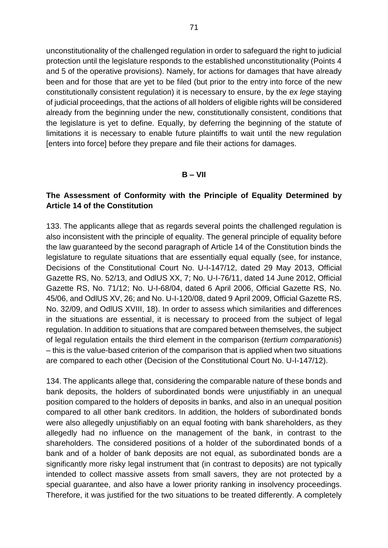unconstitutionality of the challenged regulation in order to safeguard the right to judicial protection until the legislature responds to the established unconstitutionality (Points 4 and 5 of the operative provisions). Namely, for actions for damages that have already been and for those that are yet to be filed (but prior to the entry into force of the new constitutionally consistent regulation) it is necessary to ensure, by the *ex lege* staying of judicial proceedings, that the actions of all holders of eligible rights will be considered already from the beginning under the new, constitutionally consistent, conditions that the legislature is yet to define. Equally, by deferring the beginning of the statute of limitations it is necessary to enable future plaintiffs to wait until the new regulation [enters into force] before they prepare and file their actions for damages.

#### **B – VII**

## **The Assessment of Conformity with the Principle of Equality Determined by Article 14 of the Constitution**

133. The applicants allege that as regards several points the challenged regulation is also inconsistent with the principle of equality. The general principle of equality before the law guaranteed by the second paragraph of Article 14 of the Constitution binds the legislature to regulate situations that are essentially equal equally (see, for instance, Decisions of the Constitutional Court No. U-I-147/12, dated 29 May 2013, Official Gazette RS, No. 52/13, and OdlUS XX, 7; No. U-I-76/11, dated 14 June 2012, Official Gazette RS, No. 71/12; No. U-I-68/04, dated 6 April 2006, Official Gazette RS, No. 45/06, and OdlUS XV, 26; and No. U-I-120/08, dated 9 April 2009, Official Gazette RS, No. 32/09, and OdlUS XVIII, 18). In order to assess which similarities and differences in the situations are essential, it is necessary to proceed from the subject of legal regulation. In addition to situations that are compared between themselves, the subject of legal regulation entails the third element in the comparison (*tertium comparationis*) – this is the value-based criterion of the comparison that is applied when two situations are compared to each other (Decision of the Constitutional Court No. U-I-147/12).

134. The applicants allege that, considering the comparable nature of these bonds and bank deposits, the holders of subordinated bonds were unjustifiably in an unequal position compared to the holders of deposits in banks, and also in an unequal position compared to all other bank creditors. In addition, the holders of subordinated bonds were also allegedly unjustifiably on an equal footing with bank shareholders, as they allegedly had no influence on the management of the bank, in contrast to the shareholders. The considered positions of a holder of the subordinated bonds of a bank and of a holder of bank deposits are not equal, as subordinated bonds are a significantly more risky legal instrument that (in contrast to deposits) are not typically intended to collect massive assets from small savers, they are not protected by a special guarantee, and also have a lower priority ranking in insolvency proceedings. Therefore, it was justified for the two situations to be treated differently. A completely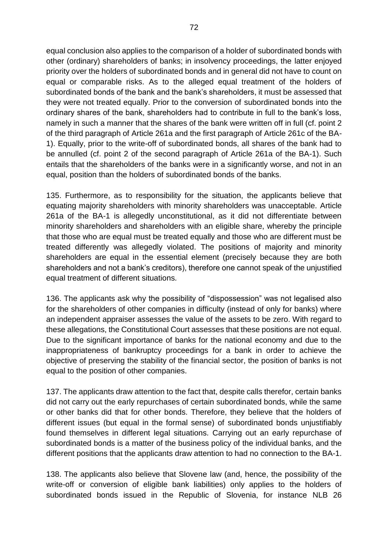equal conclusion also applies to the comparison of a holder of subordinated bonds with other (ordinary) shareholders of banks; in insolvency proceedings, the latter enjoyed priority over the holders of subordinated bonds and in general did not have to count on equal or comparable risks. As to the alleged equal treatment of the holders of subordinated bonds of the bank and the bank's shareholders, it must be assessed that they were not treated equally. Prior to the conversion of subordinated bonds into the ordinary shares of the bank, shareholders had to contribute in full to the bank's loss, namely in such a manner that the shares of the bank were written off in full (cf. point 2 of the third paragraph of Article 261a and the first paragraph of Article 261c of the BA-1). Equally, prior to the write-off of subordinated bonds, all shares of the bank had to be annulled (cf. point 2 of the second paragraph of Article 261a of the BA-1). Such entails that the shareholders of the banks were in a significantly worse, and not in an equal, position than the holders of subordinated bonds of the banks.

135. Furthermore, as to responsibility for the situation, the applicants believe that equating majority shareholders with minority shareholders was unacceptable. Article 261a of the BA-1 is allegedly unconstitutional, as it did not differentiate between minority shareholders and shareholders with an eligible share, whereby the principle that those who are equal must be treated equally and those who are different must be treated differently was allegedly violated. The positions of majority and minority shareholders are equal in the essential element (precisely because they are both shareholders and not a bank's creditors), therefore one cannot speak of the unjustified equal treatment of different situations.

136. The applicants ask why the possibility of "dispossession" was not legalised also for the shareholders of other companies in difficulty (instead of only for banks) where an independent appraiser assesses the value of the assets to be zero. With regard to these allegations, the Constitutional Court assesses that these positions are not equal. Due to the significant importance of banks for the national economy and due to the inappropriateness of bankruptcy proceedings for a bank in order to achieve the objective of preserving the stability of the financial sector, the position of banks is not equal to the position of other companies.

137. The applicants draw attention to the fact that, despite calls therefor, certain banks did not carry out the early repurchases of certain subordinated bonds, while the same or other banks did that for other bonds. Therefore, they believe that the holders of different issues (but equal in the formal sense) of subordinated bonds unjustifiably found themselves in different legal situations. Carrying out an early repurchase of subordinated bonds is a matter of the business policy of the individual banks, and the different positions that the applicants draw attention to had no connection to the BA-1.

138. The applicants also believe that Slovene law (and, hence, the possibility of the write-off or conversion of eligible bank liabilities) only applies to the holders of subordinated bonds issued in the Republic of Slovenia, for instance NLB 26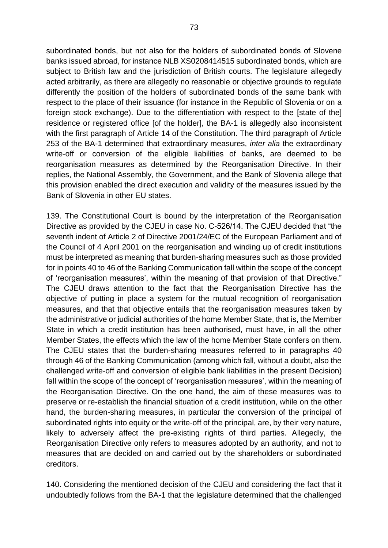subordinated bonds, but not also for the holders of subordinated bonds of Slovene banks issued abroad, for instance NLB XS0208414515 subordinated bonds, which are subject to British law and the jurisdiction of British courts. The legislature allegedly acted arbitrarily, as there are allegedly no reasonable or objective grounds to regulate differently the position of the holders of subordinated bonds of the same bank with respect to the place of their issuance (for instance in the Republic of Slovenia or on a foreign stock exchange). Due to the differentiation with respect to the [state of the] residence or registered office [of the holder], the BA-1 is allegedly also inconsistent with the first paragraph of Article 14 of the Constitution. The third paragraph of Article 253 of the BA-1 determined that extraordinary measures, *inter alia* the extraordinary write-off or conversion of the eligible liabilities of banks, are deemed to be reorganisation measures as determined by the Reorganisation Directive. In their replies, the National Assembly, the Government, and the Bank of Slovenia allege that this provision enabled the direct execution and validity of the measures issued by the Bank of Slovenia in other EU states.

139. The Constitutional Court is bound by the interpretation of the Reorganisation Directive as provided by the CJEU in case No. C-526/14. The CJEU decided that "the seventh indent of Article 2 of Directive 2001/24/EC of the European Parliament and of the Council of 4 April 2001 on the reorganisation and winding up of credit institutions must be interpreted as meaning that burden-sharing measures such as those provided for in points 40 to 46 of the Banking Communication fall within the scope of the concept of 'reorganisation measures', within the meaning of that provision of that Directive." The CJEU draws attention to the fact that the Reorganisation Directive has the objective of putting in place a system for the mutual recognition of reorganisation measures, and that that objective entails that the reorganisation measures taken by the administrative or judicial authorities of the home Member State, that is, the Member State in which a credit institution has been authorised, must have, in all the other Member States, the effects which the law of the home Member State confers on them. The CJEU states that the burden-sharing measures referred to in paragraphs 40 through 46 of the Banking Communication (among which fall, without a doubt, also the challenged write-off and conversion of eligible bank liabilities in the present Decision) fall within the scope of the concept of 'reorganisation measures', within the meaning of the Reorganisation Directive. On the one hand, the aim of these measures was to preserve or re-establish the financial situation of a credit institution, while on the other hand, the burden-sharing measures, in particular the conversion of the principal of subordinated rights into equity or the write-off of the principal, are, by their very nature, likely to adversely affect the pre-existing rights of third parties. Allegedly, the Reorganisation Directive only refers to measures adopted by an authority, and not to measures that are decided on and carried out by the shareholders or subordinated creditors.

140. Considering the mentioned decision of the CJEU and considering the fact that it undoubtedly follows from the BA-1 that the legislature determined that the challenged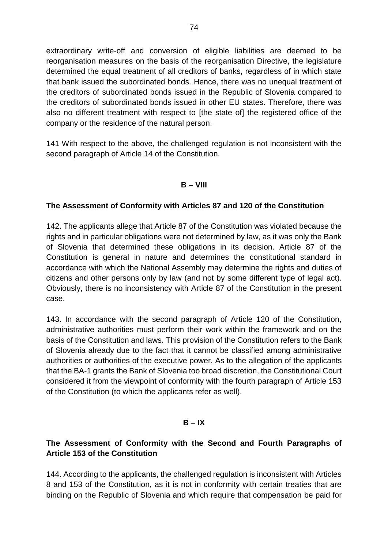extraordinary write-off and conversion of eligible liabilities are deemed to be reorganisation measures on the basis of the reorganisation Directive, the legislature determined the equal treatment of all creditors of banks, regardless of in which state that bank issued the subordinated bonds. Hence, there was no unequal treatment of the creditors of subordinated bonds issued in the Republic of Slovenia compared to the creditors of subordinated bonds issued in other EU states. Therefore, there was also no different treatment with respect to [the state of] the registered office of the company or the residence of the natural person.

141 With respect to the above, the challenged regulation is not inconsistent with the second paragraph of Article 14 of the Constitution.

## **B – VIII**

## **The Assessment of Conformity with Articles 87 and 120 of the Constitution**

142. The applicants allege that Article 87 of the Constitution was violated because the rights and in particular obligations were not determined by law, as it was only the Bank of Slovenia that determined these obligations in its decision. Article 87 of the Constitution is general in nature and determines the constitutional standard in accordance with which the National Assembly may determine the rights and duties of citizens and other persons only by law (and not by some different type of legal act). Obviously, there is no inconsistency with Article 87 of the Constitution in the present case.

143. In accordance with the second paragraph of Article 120 of the Constitution, administrative authorities must perform their work within the framework and on the basis of the Constitution and laws. This provision of the Constitution refers to the Bank of Slovenia already due to the fact that it cannot be classified among administrative authorities or authorities of the executive power. As to the allegation of the applicants that the BA-1 grants the Bank of Slovenia too broad discretion, the Constitutional Court considered it from the viewpoint of conformity with the fourth paragraph of Article 153 of the Constitution (to which the applicants refer as well).

### $B - IX$

# **The Assessment of Conformity with the Second and Fourth Paragraphs of Article 153 of the Constitution**

144. According to the applicants, the challenged regulation is inconsistent with Articles 8 and 153 of the Constitution, as it is not in conformity with certain treaties that are binding on the Republic of Slovenia and which require that compensation be paid for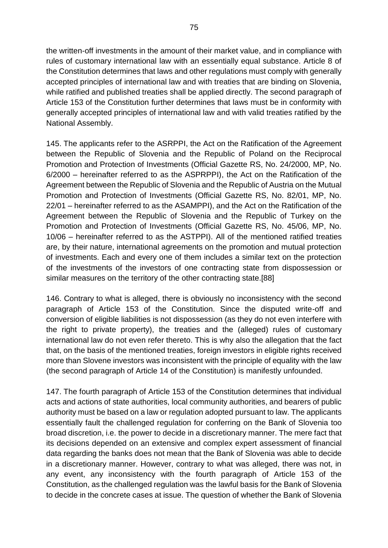the written-off investments in the amount of their market value, and in compliance with rules of customary international law with an essentially equal substance. Article 8 of the Constitution determines that laws and other regulations must comply with generally accepted principles of international law and with treaties that are binding on Slovenia, while ratified and published treaties shall be applied directly. The second paragraph of Article 153 of the Constitution further determines that laws must be in conformity with generally accepted principles of international law and with valid treaties ratified by the National Assembly.

145. The applicants refer to the ASRPPI, the Act on the Ratification of the Agreement between the Republic of Slovenia and the Republic of Poland on the Reciprocal Promotion and Protection of Investments (Official Gazette RS, No. 24/2000, MP, No. 6/2000 – hereinafter referred to as the ASPRPPI), the Act on the Ratification of the Agreement between the Republic of Slovenia and the Republic of Austria on the Mutual Promotion and Protection of Investments (Official Gazette RS, No. 82/01, MP, No. 22/01 – hereinafter referred to as the ASAMPPI), and the Act on the Ratification of the Agreement between the Republic of Slovenia and the Republic of Turkey on the Promotion and Protection of Investments (Official Gazette RS, No. 45/06, MP, No. 10/06 – hereinafter referred to as the ASTPPI). All of the mentioned ratified treaties are, by their nature, international agreements on the promotion and mutual protection of investments. Each and every one of them includes a similar text on the protection of the investments of the investors of one contracting state from dispossession or similar measures on the territory of the other contracting state.[88]

146. Contrary to what is alleged, there is obviously no inconsistency with the second paragraph of Article 153 of the Constitution. Since the disputed write-off and conversion of eligible liabilities is not dispossession (as they do not even interfere with the right to private property), the treaties and the (alleged) rules of customary international law do not even refer thereto. This is why also the allegation that the fact that, on the basis of the mentioned treaties, foreign investors in eligible rights received more than Slovene investors was inconsistent with the principle of equality with the law (the second paragraph of Article 14 of the Constitution) is manifestly unfounded.

147. The fourth paragraph of Article 153 of the Constitution determines that individual acts and actions of state authorities, local community authorities, and bearers of public authority must be based on a law or regulation adopted pursuant to law. The applicants essentially fault the challenged regulation for conferring on the Bank of Slovenia too broad discretion, i.e. the power to decide in a discretionary manner. The mere fact that its decisions depended on an extensive and complex expert assessment of financial data regarding the banks does not mean that the Bank of Slovenia was able to decide in a discretionary manner. However, contrary to what was alleged, there was not, in any event, any inconsistency with the fourth paragraph of Article 153 of the Constitution, as the challenged regulation was the lawful basis for the Bank of Slovenia to decide in the concrete cases at issue. The question of whether the Bank of Slovenia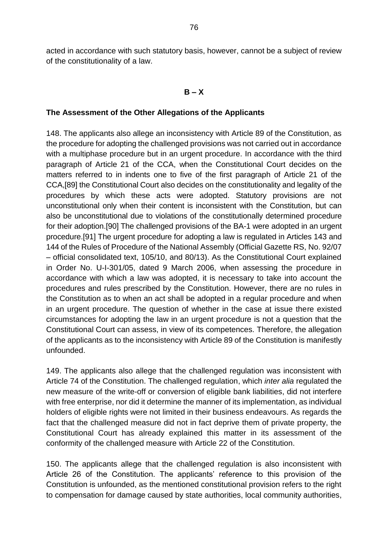acted in accordance with such statutory basis, however, cannot be a subject of review of the constitutionality of a law.

### **B – X**

### **The Assessment of the Other Allegations of the Applicants**

148. The applicants also allege an inconsistency with Article 89 of the Constitution, as the procedure for adopting the challenged provisions was not carried out in accordance with a multiphase procedure but in an urgent procedure. In accordance with the third paragraph of Article 21 of the CCA, when the Constitutional Court decides on the matters referred to in indents one to five of the first paragraph of Article 21 of the CCA,[89] the Constitutional Court also decides on the constitutionality and legality of the procedures by which these acts were adopted. Statutory provisions are not unconstitutional only when their content is inconsistent with the Constitution, but can also be unconstitutional due to violations of the constitutionally determined procedure for their adoption.[90] The challenged provisions of the BA-1 were adopted in an urgent procedure.[91] The urgent procedure for adopting a law is regulated in Articles 143 and 144 of the Rules of Procedure of the National Assembly (Official Gazette RS, No. 92/07 – official consolidated text, 105/10, and 80/13). As the Constitutional Court explained in Order No. U-I-301/05, dated 9 March 2006, when assessing the procedure in accordance with which a law was adopted, it is necessary to take into account the procedures and rules prescribed by the Constitution. However, there are no rules in the Constitution as to when an act shall be adopted in a regular procedure and when in an urgent procedure. The question of whether in the case at issue there existed circumstances for adopting the law in an urgent procedure is not a question that the Constitutional Court can assess, in view of its competences. Therefore, the allegation of the applicants as to the inconsistency with Article 89 of the Constitution is manifestly unfounded.

149. The applicants also allege that the challenged regulation was inconsistent with Article 74 of the Constitution. The challenged regulation, which *inter alia* regulated the new measure of the write-off or conversion of eligible bank liabilities, did not interfere with free enterprise, nor did it determine the manner of its implementation, as individual holders of eligible rights were not limited in their business endeavours. As regards the fact that the challenged measure did not in fact deprive them of private property, the Constitutional Court has already explained this matter in its assessment of the conformity of the challenged measure with Article 22 of the Constitution.

150. The applicants allege that the challenged regulation is also inconsistent with Article 26 of the Constitution. The applicants' reference to this provision of the Constitution is unfounded, as the mentioned constitutional provision refers to the right to compensation for damage caused by state authorities, local community authorities,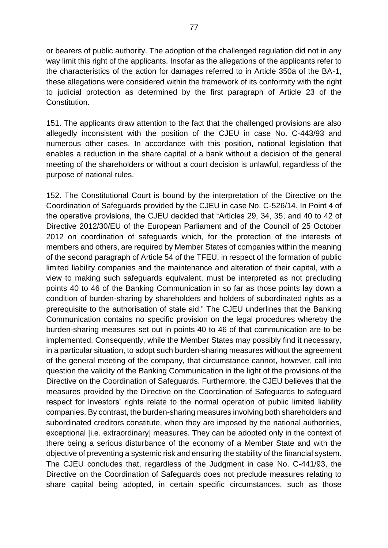or bearers of public authority. The adoption of the challenged regulation did not in any way limit this right of the applicants. Insofar as the allegations of the applicants refer to the characteristics of the action for damages referred to in Article 350a of the BA-1, these allegations were considered within the framework of its conformity with the right to judicial protection as determined by the first paragraph of Article 23 of the Constitution.

151. The applicants draw attention to the fact that the challenged provisions are also allegedly inconsistent with the position of the CJEU in case No. C-443/93 and numerous other cases. In accordance with this position, national legislation that enables a reduction in the share capital of a bank without a decision of the general meeting of the shareholders or without a court decision is unlawful, regardless of the purpose of national rules.

152. The Constitutional Court is bound by the interpretation of the Directive on the Coordination of Safeguards provided by the CJEU in case No. C-526/14. In Point 4 of the operative provisions, the CJEU decided that "Articles 29, 34, 35, and 40 to 42 of Directive 2012/30/EU of the European Parliament and of the Council of 25 October 2012 on coordination of safeguards which, for the protection of the interests of members and others, are required by Member States of companies within the meaning of the second paragraph of Article 54 of the TFEU, in respect of the formation of public limited liability companies and the maintenance and alteration of their capital, with a view to making such safeguards equivalent, must be interpreted as not precluding points 40 to 46 of the Banking Communication in so far as those points lay down a condition of burden-sharing by shareholders and holders of subordinated rights as a prerequisite to the authorisation of state aid." The CJEU underlines that the Banking Communication contains no specific provision on the legal procedures whereby the burden-sharing measures set out in points 40 to 46 of that communication are to be implemented. Consequently, while the Member States may possibly find it necessary, in a particular situation, to adopt such burden-sharing measures without the agreement of the general meeting of the company, that circumstance cannot, however, call into question the validity of the Banking Communication in the light of the provisions of the Directive on the Coordination of Safeguards. Furthermore, the CJEU believes that the measures provided by the Directive on the Coordination of Safeguards to safeguard respect for investors' rights relate to the normal operation of public limited liability companies. By contrast, the burden-sharing measures involving both shareholders and subordinated creditors constitute, when they are imposed by the national authorities, exceptional [i.e. extraordinary] measures. They can be adopted only in the context of there being a serious disturbance of the economy of a Member State and with the objective of preventing a systemic risk and ensuring the stability of the financial system. The CJEU concludes that, regardless of the Judgment in case No. C-441/93, the Directive on the Coordination of Safeguards does not preclude measures relating to share capital being adopted, in certain specific circumstances, such as those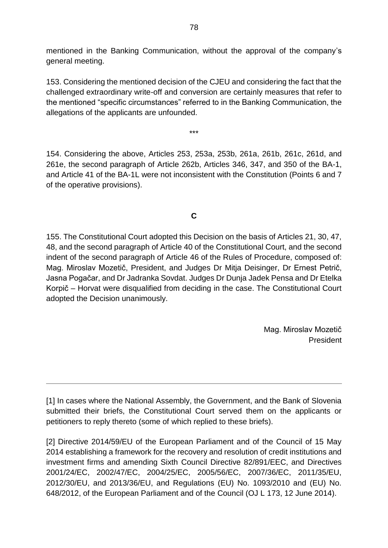mentioned in the Banking Communication, without the approval of the company's general meeting.

153. Considering the mentioned decision of the CJEU and considering the fact that the challenged extraordinary write-off and conversion are certainly measures that refer to the mentioned "specific circumstances" referred to in the Banking Communication, the allegations of the applicants are unfounded.

\*\*\*

154. Considering the above, Articles 253, 253a, 253b, 261a, 261b, 261c, 261d, and 261e, the second paragraph of Article 262b, Articles 346, 347, and 350 of the BA-1, and Article 41 of the BA-1L were not inconsistent with the Constitution (Points 6 and 7 of the operative provisions).

# **C**

155. The Constitutional Court adopted this Decision on the basis of Articles 21, 30, 47, 48, and the second paragraph of Article 40 of the Constitutional Court, and the second indent of the second paragraph of Article 46 of the Rules of Procedure, composed of: Mag. Miroslav Mozetič, President, and Judges Dr Mitja Deisinger, Dr Ernest Petrič, Jasna Pogačar, and Dr Jadranka Sovdat. Judges Dr Dunja Jadek Pensa and Dr Etelka Korpič – Horvat were disqualified from deciding in the case. The Constitutional Court adopted the Decision unanimously.

> Mag. Miroslav Mozetič President

[\[1\]](https://usd-odlus/#_2ftnref1) In cases where the National Assembly, the Government, and the Bank of Slovenia submitted their briefs, the Constitutional Court served them on the applicants or petitioners to reply thereto (some of which replied to these briefs).

[\[2\]](https://usd-odlus/#_2ftnref2) Directive 2014/59/EU of the European Parliament and of the Council of 15 May 2014 establishing a framework for the recovery and resolution of credit institutions and investment firms and amending Sixth Council Directive 82/891/EEC, and Directives 2001/24/EC, 2002/47/EC, 2004/25/EC, 2005/56/EC, 2007/36/EC, 2011/35/EU, 2012/30/EU, and 2013/36/EU, and Regulations (EU) No. 1093/2010 and (EU) No. 648/2012, of the European Parliament and of the Council (OJ L 173, 12 June 2014).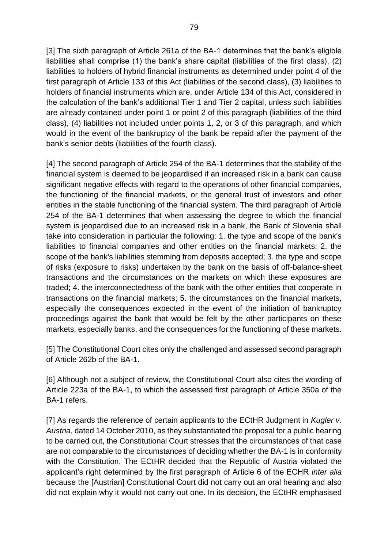[3] The sixth paragraph of Article 261a of the BA-1 determines that the bank's eligible liabilities shall comprise (1) the bank's share capital (liabilities of the first class), (2) liabilities to holders of hybrid financial instruments as determined under point 4 of the first paragraph of Article 133 of this Act (liabilities of the second class), (3) liabilities to holders of financial instruments which are, under Article 134 of this Act, considered in the calculation of the bank's additional Tier 1 and Tier 2 capital, unless such liabilities are already contained under point 1 or point 2 of this paragraph (liabilities of the third class), (4) liabilities not included under points 1, 2, or 3 of this paragraph, and which would in the event of the bankruptcy of the bank be repaid after the payment of the bank's senior debts (liabilities of the fourth class).

[4] The second paragraph of Article 254 of the BA-1 determines that the stability of the financial system is deemed to be jeopardised if an increased risk in a bank can cause significant negative effects with regard to the operations of other financial companies, the functioning of the financial markets, or the general trust of investors and other entities in the stable functioning of the financial system. The third paragraph of Article 254 of the BA-1 determines that when assessing the degree to which the financial system is jeopardised due to an increased risk in a bank, the Bank of Slovenia shall take into consideration in particular the following: 1. the type and scope of the bank's liabilities to financial companies and other entities on the financial markets; 2. the scope of the bank's liabilities stemming from deposits accepted; 3. the type and scope of risks (exposure to risks) undertaken by the bank on the basis of off-balance-sheet transactions and the circumstances on the markets on which these exposures are traded; 4. the interconnectedness of the bank with the other entities that cooperate in transactions on the financial markets; 5. the circumstances on the financial markets, especially the consequences expected in the event of the initiation of bankruptcy proceedings against the bank that would be felt by the other participants on these markets, especially banks, and the consequences for the functioning of these markets.

[\[5\]](https://usd-odlus/#_2ftnref5) The Constitutional Court cites only the challenged and assessed second paragraph of Article 262b of the BA-1.

[6] Although not a subject of review, the Constitutional Court also cites the wording of Article 223a of the BA-1, to which the assessed first paragraph of Article 350a of the BA-1 refers.

[\[7\]](https://usd-odlus/#_2ftnref7) As regards the reference of certain applicants to the ECtHR Judgment in *Kugler v. Austria*, dated 14 October 2010, as they substantiated the proposal for a public hearing to be carried out, the Constitutional Court stresses that the circumstances of that case are not comparable to the circumstances of deciding whether the BA-1 is in conformity with the Constitution. The ECtHR decided that the Republic of Austria violated the applicant's right determined by the first paragraph of Article 6 of the ECHR *inter alia*  because the [Austrian] Constitutional Court did not carry out an oral hearing and also did not explain why it would not carry out one. In its decision, the ECtHR emphasised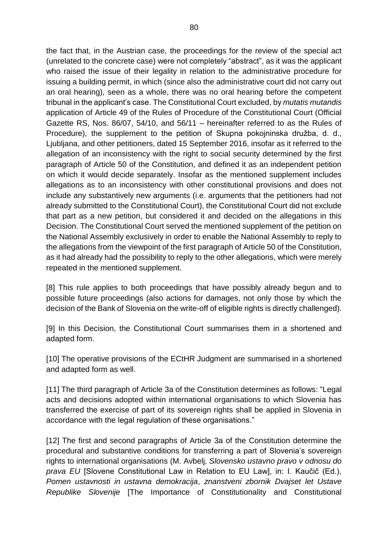the fact that, in the Austrian case, the proceedings for the review of the special act (unrelated to the concrete case) were not completely "abstract", as it was the applicant who raised the issue of their legality in relation to the administrative procedure for issuing a building permit, in which (since also the administrative court did not carry out an oral hearing), seen as a whole, there was no oral hearing before the competent tribunal in the applicant's case. The Constitutional Court excluded, by *mutatis mutandis*  application of Article 49 of the Rules of Procedure of the Constitutional Court (Official Gazette RS, Nos. 86/07, 54/10, and 56/11 – hereinafter referred to as the Rules of Procedure), the supplement to the petition of Skupna pokojninska družba, d. d., Ljubljana, and other petitioners, dated 15 September 2016, insofar as it referred to the allegation of an inconsistency with the right to social security determined by the first paragraph of Article 50 of the Constitution, and defined it as an independent petition on which it would decide separately. Insofar as the mentioned supplement includes allegations as to an inconsistency with other constitutional provisions and does not include any substantively new arguments (i.e. arguments that the petitioners had not already submitted to the Constitutional Court), the Constitutional Court did not exclude that part as a new petition, but considered it and decided on the allegations in this Decision. The Constitutional Court served the mentioned supplement of the petition on the National Assembly exclusively in order to enable the National Assembly to reply to the allegations from the viewpoint of the first paragraph of Article 50 of the Constitution, as it had already had the possibility to reply to the other allegations, which were merely repeated in the mentioned supplement.

[8] This rule applies to both proceedings that have possibly already begun and to possible future proceedings (also actions for damages, not only those by which the decision of the Bank of Slovenia on the write-off of eligible rights is directly challenged).

[9] In this Decision, the Constitutional Court summarises them in a shortened and adapted form.

[10] The operative provisions of the ECtHR Judgment are summarised in a shortened and adapted form as well.

[\[11\]](https://usd-odlus/#_2ftnref11) The third paragraph of Article 3a of the Constitution determines as follows: "Legal acts and decisions adopted within international organisations to which Slovenia has transferred the exercise of part of its sovereign rights shall be applied in Slovenia in accordance with the legal regulation of these organisations."

[12] The first and second paragraphs of Article 3a of the Constitution determine the procedural and substantive conditions for transferring a part of Slovenia's sovereign rights to international organisations (M. Avbelj, *Slovensko ustavno pravo v odnosu do prava EU* [Slovene Constitutional Law in Relation to EU Law], in: I. Kaučič (Ed.), *Pomen ustavnosti in ustavna demokracija*, *znanstveni zbornik Dvajset let Ustave Republike Slovenije* [The Importance of Constitutionality and Constitutional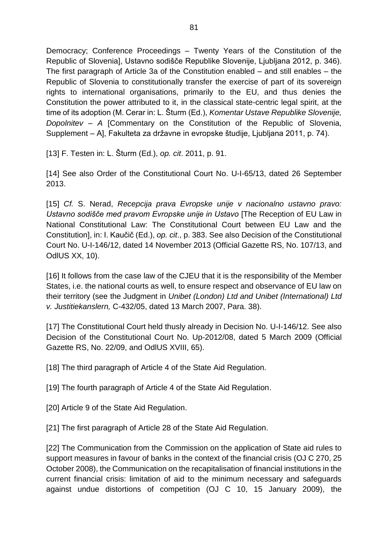Democracy; Conference Proceedings – Twenty Years of the Constitution of the Republic of Slovenia], Ustavno sodišče Republike Slovenije, Ljubljana 2012, p. 346). The first paragraph of Article 3a of the Constitution enabled – and still enables – the Republic of Slovenia to constitutionally transfer the exercise of part of its sovereign rights to international organisations, primarily to the EU, and thus denies the Constitution the power attributed to it, in the classical state-centric legal spirit, at the time of its adoption (M. Cerar in: L. Šturm (Ed.), *Komentar Ustave Republike Slovenije, Dopolnitev – A* [Commentary on the Constitution of the Republic of Slovenia, Supplement – A], Fakulteta za državne in evropske študije, Ljubljana 2011, p. 74).

[\[13\]](https://usd-odlus/#_2ftnref13) F. Testen in: L. Šturm (Ed.), *op. cit*. 2011, p. 91.

[\[14\]](https://usd-odlus/#_2ftnref14) See also Order of the Constitutional Court No. U-I-65/13, dated 26 September 2013.

[\[15\]](https://usd-odlus/#_2ftnref15) *Cf.* S. Nerad, *Recepcija prava Evropske unije v nacionalno ustavno pravo: Ustavno sodišče med pravom Evropske unije in Ustavo* [The Reception of EU Law in National Constitutional Law: The Constitutional Court between EU Law and the Constitution], in: I. Kaučič (Ed.), *op. cit*., p. 383. See also Decision of the Constitutional Court No. U-I-146/12, dated 14 November 2013 (Official Gazette RS, No. 107/13, and OdlUS XX, 10).

[16] It follows from the case law of the CJEU that it is the responsibility of the Member States, i.e. the national courts as well, to ensure respect and observance of EU law on their territory (see the Judgment in *Unibet (London) Ltd and Unibet (International) Ltd v. Justitiekanslern,* C-432/05, dated 13 March 2007, Para. 38).

[\[17\]](https://usd-odlus/#_2ftnref17) The Constitutional Court held thusly already in Decision No. U-I-146/12. See also Decision of the Constitutional Court No. Up-2012/08, dated 5 March 2009 (Official Gazette RS, No. 22/09, and OdlUS XVIII, 65).

[\[18\]](https://usd-odlus/#_2ftnref18) The third paragraph of Article 4 of the State Aid Regulation.

[\[19\]](https://usd-odlus/#_2ftnref19) The fourth paragraph of Article 4 of the State Aid Regulation.

[\[20\]](https://usd-odlus/#_2ftnref20) Article 9 of the State Aid Regulation.

[\[21\]](https://usd-odlus/#_2ftnref21) The first paragraph of Article 28 of the State Aid Regulation.

[\[22\]](https://usd-odlus/#_2ftnref22) The Communication from the Commission on the application of State aid rules to support measures in favour of banks in the context of the financial crisis (OJ C 270, 25 October 2008), the Communication on the recapitalisation of financial institutions in the current financial crisis: limitation of aid to the minimum necessary and safeguards against undue distortions of competition (OJ C 10, 15 January 2009), the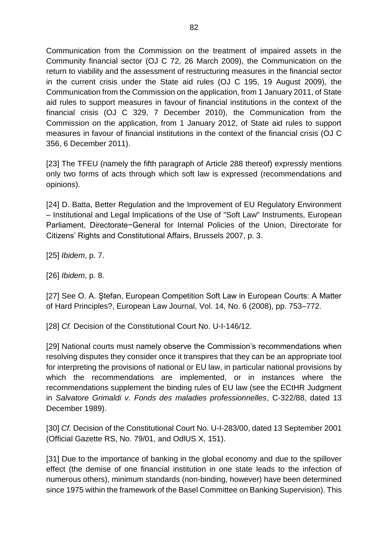Communication from the Commission on the treatment of impaired assets in the Community financial sector (OJ C 72, 26 March 2009), the Communication on the return to viability and the assessment of restructuring measures in the financial sector in the current crisis under the State aid rules (OJ C 195, 19 August 2009), the Communication from the Commission on the application, from 1 January 2011, of State aid rules to support measures in favour of financial institutions in the context of the financial crisis (OJ C 329, 7 December 2010), the Communication from the Commission on the application, from 1 January 2012, of State aid rules to support measures in favour of financial institutions in the context of the financial crisis (OJ C 356, 6 December 2011).

[\[23\]](https://usd-odlus/#_2ftnref23) The TFEU (namely the fifth paragraph of Article 288 thereof) expressly mentions only two forms of acts through which soft law is expressed (recommendations and opinions).

[\[24\]](https://usd-odlus/#_2ftnref24) D. Batta, Better Regulation and the Improvement of EU Regulatory Environment – Institutional and Legal Implications of the Use of "Soft Law" Instruments, European Parliament, Directorate−General for Internal Policies of the Union, Directorate for Citizens' Rights and Constitutional Affairs, Brussels 2007, p. 3.

[\[25\]](https://usd-odlus/#_2ftnref25) *Ibidem*, p. 7.

[\[26\]](https://usd-odlus/#_2ftnref26) *Ibidem*, p. 8.

[\[27\]](https://usd-odlus/#_2ftnref27) See O. A. Ştefan, European Competition Soft Law in European Courts: A Matter of Hard Principles?, European Law Journal, Vol. 14, No. 6 (2008), pp. 753–772.

[\[28\]](https://usd-odlus/#_2ftnref28) *Cf.* Decision of the Constitutional Court No. U-I-146/12.

[\[29\]](https://usd-odlus/#_2ftnref29) National courts must namely observe the Commission's recommendations when resolving disputes they consider once it transpires that they can be an appropriate tool for interpreting the provisions of national or EU law, in particular national provisions by which the recommendations are implemented, or in instances where the recommendations supplement the binding rules of EU law (see the ECtHR Judgment in *Salvatore Grimaldi v. Fonds des maladies professionnelles*, C-322/88, dated 13 December 1989).

[\[30\]](https://usd-odlus/#_2ftnref30) *Cf.* Decision of the Constitutional Court No. U-I-283/00, dated 13 September 2001 (Official Gazette RS, No. 79/01, and OdlUS X, 151).

[31] Due to the importance of banking in the global economy and due to the spillover effect (the demise of one financial institution in one state leads to the infection of numerous others), minimum standards (non-binding, however) have been determined since 1975 within the framework of the Basel Committee on Banking Supervision). This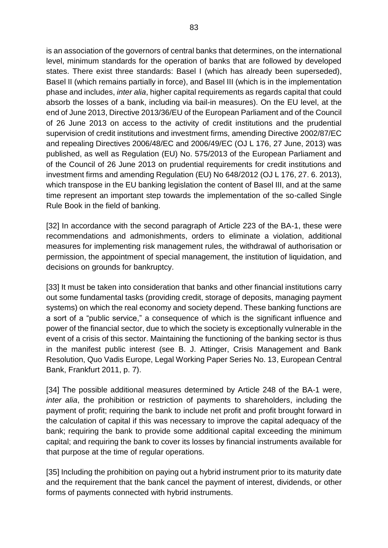is an association of the governors of central banks that determines, on the international level, minimum standards for the operation of banks that are followed by developed states. There exist three standards: Basel I (which has already been superseded), Basel II (which remains partially in force), and Basel III (which is in the implementation phase and includes, *inter alia*, higher capital requirements as regards capital that could absorb the losses of a bank, including via bail-in measures). On the EU level, at the end of June 2013, Directive 2013/36/EU of the European Parliament and of the Council of 26 June 2013 on access to the activity of credit institutions and the prudential supervision of credit institutions and investment firms, amending Directive 2002/87/EC and repealing Directives 2006/48/EC and 2006/49/EC (OJ L 176, 27 June, 2013) was published, as well as Regulation (EU) No. 575/2013 of the European Parliament and of the Council of 26 June 2013 on prudential requirements for credit institutions and investment firms and amending Regulation (EU) No 648/2012 (OJ L 176, 27. 6. 2013), which transpose in the EU banking legislation the content of Basel III, and at the same time represent an important step towards the implementation of the so-called Single Rule Book in the field of banking.

[32] In accordance with the second paragraph of Article 223 of the BA-1, these were recommendations and admonishments, orders to eliminate a violation, additional measures for implementing risk management rules, the withdrawal of authorisation or permission, the appointment of special management, the institution of liquidation, and decisions on grounds for bankruptcy.

[33] It must be taken into consideration that banks and other financial institutions carry out some fundamental tasks (providing credit, storage of deposits, managing payment systems) on which the real economy and society depend. These banking functions are a sort of a "public service," a consequence of which is the significant influence and power of the financial sector, due to which the society is exceptionally vulnerable in the event of a crisis of this sector. Maintaining the functioning of the banking sector is thus in the manifest public interest (see B. J. Attinger, Crisis Management and Bank Resolution, Quo Vadis Europe, Legal Working Paper Series No. 13, European Central Bank, Frankfurt 2011, p. 7).

[34] The possible additional measures determined by Article 248 of the BA-1 were, *inter alia*, the prohibition or restriction of payments to shareholders, including the payment of profit; requiring the bank to include net profit and profit brought forward in the calculation of capital if this was necessary to improve the capital adequacy of the bank; requiring the bank to provide some additional capital exceeding the minimum capital; and requiring the bank to cover its losses by financial instruments available for that purpose at the time of regular operations.

[35] Including the prohibition on paying out a hybrid instrument prior to its maturity date and the requirement that the bank cancel the payment of interest, dividends, or other forms of payments connected with hybrid instruments.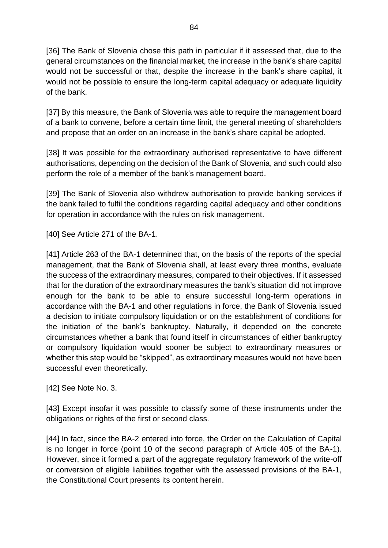[36] The Bank of Slovenia chose this path in particular if it assessed that, due to the general circumstances on the financial market, the increase in the bank's share capital would not be successful or that, despite the increase in the bank's share capital, it would not be possible to ensure the long-term capital adequacy or adequate liquidity of the bank.

[37] By this measure, the Bank of Slovenia was able to require the management board of a bank to convene, before a certain time limit, the general meeting of shareholders and propose that an order on an increase in the bank's share capital be adopted.

[38] It was possible for the extraordinary authorised representative to have different authorisations, depending on the decision of the Bank of Slovenia, and such could also perform the role of a member of the bank's management board.

[39] The Bank of Slovenia also withdrew authorisation to provide banking services if the bank failed to fulfil the conditions regarding capital adequacy and other conditions for operation in accordance with the rules on risk management.

[\[40\]](https://usd-odlus/#_2ftnref40) See Article 271 of the BA-1.

[41] Article 263 of the BA-1 determined that, on the basis of the reports of the special management, that the Bank of Slovenia shall, at least every three months, evaluate the success of the extraordinary measures, compared to their objectives. If it assessed that for the duration of the extraordinary measures the bank's situation did not improve enough for the bank to be able to ensure successful long-term operations in accordance with the BA-1 and other regulations in force, the Bank of Slovenia issued a decision to initiate compulsory liquidation or on the establishment of conditions for the initiation of the bank's bankruptcy. Naturally, it depended on the concrete circumstances whether a bank that found itself in circumstances of either bankruptcy or compulsory liquidation would sooner be subject to extraordinary measures or whether this step would be "skipped", as extraordinary measures would not have been successful even theoretically.

[\[42\]](https://usd-odlus/#_2ftnref42) See Note No. 3.

[\[43\]](https://usd-odlus/#_2ftnref43) Except insofar it was possible to classify some of these instruments under the obligations or rights of the first or second class.

[44] In fact, since the BA-2 entered into force, the Order on the Calculation of Capital is no longer in force (point 10 of the second paragraph of Article 405 of the BA-1). However, since it formed a part of the aggregate regulatory framework of the write-off or conversion of eligible liabilities together with the assessed provisions of the BA-1, the Constitutional Court presents its content herein.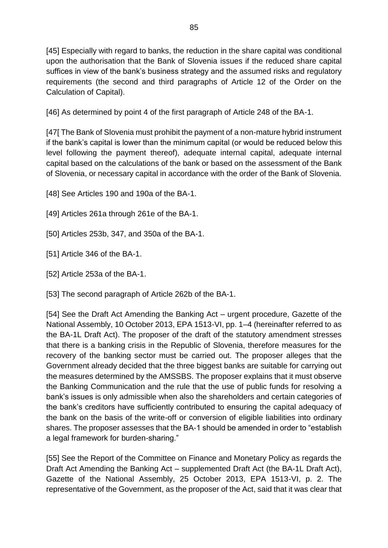[45] Especially with regard to banks, the reduction in the share capital was conditional upon the authorisation that the Bank of Slovenia issues if the reduced share capital suffices in view of the bank's business strategy and the assumed risks and regulatory requirements (the second and third paragraphs of Article 12 of the Order on the Calculation of Capital).

[\[46\]](https://usd-odlus/#_2ftnref46) As determined by point 4 of the first paragraph of Article 248 of the BA-1.

[47[ The Bank of Slovenia must prohibit the payment of a non-mature hybrid instrument if the bank's capital is lower than the minimum capital (or would be reduced below this level following the payment thereof), adequate internal capital, adequate internal capital based on the calculations of the bank or based on the assessment of the Bank of Slovenia, or necessary capital in accordance with the order of the Bank of Slovenia.

[\[48\]](https://usd-odlus/#_2ftnref48) See Articles 190 and 190a of the BA-1.

[\[49\]](https://usd-odlus/#_2ftnref49) Articles 261a through 261e of the BA-1.

[\[50\]](https://usd-odlus/#_2ftnref50) Articles 253b, 347, and 350a of the BA-1.

[\[51\]](https://usd-odlus/#_2ftnref51) Article 346 of the BA-1.

[\[52\]](https://usd-odlus/#_2ftnref52) Article 253a of the BA-1.

[\[53\]](https://usd-odlus/#_2ftnref53) The second paragraph of Article 262b of the BA-1.

[54] See the Draft Act Amending the Banking Act – urgent procedure, Gazette of the National Assembly, 10 October 2013, EPA 1513-VI, pp. 1–4 (hereinafter referred to as the BA-1L Draft Act). The proposer of the draft of the statutory amendment stresses that there is a banking crisis in the Republic of Slovenia, therefore measures for the recovery of the banking sector must be carried out. The proposer alleges that the Government already decided that the three biggest banks are suitable for carrying out the measures determined by the AMSSBS. The proposer explains that it must observe the Banking Communication and the rule that the use of public funds for resolving a bank's issues is only admissible when also the shareholders and certain categories of the bank's creditors have sufficiently contributed to ensuring the capital adequacy of the bank on the basis of the write-off or conversion of eligible liabilities into ordinary shares. The proposer assesses that the BA-1 should be amended in order to "establish a legal framework for burden-sharing."

[55] See the Report of the Committee on Finance and Monetary Policy as regards the Draft Act Amending the Banking Act – supplemented Draft Act (the BA-1L Draft Act), Gazette of the National Assembly, 25 October 2013, EPA 1513-VI, p. 2. The representative of the Government, as the proposer of the Act, said that it was clear that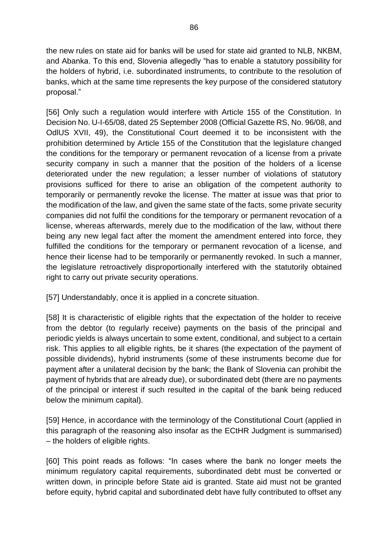the new rules on state aid for banks will be used for state aid granted to NLB, NKBM, and Abanka. To this end, Slovenia allegedly "has to enable a statutory possibility for the holders of hybrid, i.e. subordinated instruments, to contribute to the resolution of banks, which at the same time represents the key purpose of the considered statutory proposal."

[56] Only such a regulation would interfere with Article 155 of the Constitution. In Decision No. U-I-65/08, dated 25 September 2008 (Official Gazette RS, No. 96/08, and OdlUS XVII, 49), the Constitutional Court deemed it to be inconsistent with the prohibition determined by Article 155 of the Constitution that the legislature changed the conditions for the temporary or permanent revocation of a license from a private security company in such a manner that the position of the holders of a license deteriorated under the new regulation; a lesser number of violations of statutory provisions sufficed for there to arise an obligation of the competent authority to temporarily or permanently revoke the license. The matter at issue was that prior to the modification of the law, and given the same state of the facts, some private security companies did not fulfil the conditions for the temporary or permanent revocation of a license, whereas afterwards, merely due to the modification of the law, without there being any new legal fact after the moment the amendment entered into force, they fulfilled the conditions for the temporary or permanent revocation of a license, and hence their license had to be temporarily or permanently revoked. In such a manner, the legislature retroactively disproportionally interfered with the statutorily obtained right to carry out private security operations.

[\[57\]](https://usd-odlus/#_2ftnref57) Understandably, once it is applied in a concrete situation.

[58] It is characteristic of eligible rights that the expectation of the holder to receive from the debtor (to regularly receive) payments on the basis of the principal and periodic yields is always uncertain to some extent, conditional, and subject to a certain risk. This applies to all eligible rights, be it shares (the expectation of the payment of possible dividends), hybrid instruments (some of these instruments become due for payment after a unilateral decision by the bank; the Bank of Slovenia can prohibit the payment of hybrids that are already due), or subordinated debt (there are no payments of the principal or interest if such resulted in the capital of the bank being reduced below the minimum capital).

[\[59\]](https://usd-odlus/#_2ftnref59) Hence, in accordance with the terminology of the Constitutional Court (applied in this paragraph of the reasoning also insofar as the ECtHR Judgment is summarised) – the holders of eligible rights.

[60] This point reads as follows: "In cases where the bank no longer meets the minimum regulatory capital requirements, subordinated debt must be converted or written down, in principle before State aid is granted. State aid must not be granted before equity, hybrid capital and subordinated debt have fully contributed to offset any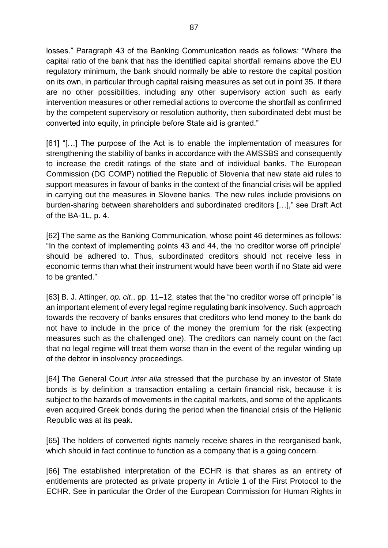losses." Paragraph 43 of the Banking Communication reads as follows: "Where the capital ratio of the bank that has the identified capital shortfall remains above the EU regulatory minimum, the bank should normally be able to restore the capital position on its own, in particular through capital raising measures as set out in point 35. If there are no other possibilities, including any other supervisory action such as early intervention measures or other remedial actions to overcome the shortfall as confirmed by the competent supervisory or resolution authority, then subordinated debt must be converted into equity, in principle before State aid is granted."

[61] "[…] The purpose of the Act is to enable the implementation of measures for strengthening the stability of banks in accordance with the AMSSBS and consequently to increase the credit ratings of the state and of individual banks. The European Commission (DG COMP) notified the Republic of Slovenia that new state aid rules to support measures in favour of banks in the context of the financial crisis will be applied in carrying out the measures in Slovene banks. The new rules include provisions on burden-sharing between shareholders and subordinated creditors […]," see Draft Act of the BA-1L, p. 4.

[62] The same as the Banking Communication, whose point 46 determines as follows: "In the context of implementing points 43 and 44, the 'no creditor worse off principle' should be adhered to. Thus, subordinated creditors should not receive less in economic terms than what their instrument would have been worth if no State aid were to be granted."

[\[63\]](https://usd-odlus/#_2ftnref63) B. J. Attinger, *op. cit*., pp. 11–12, states that the "no creditor worse off principle" is an important element of every legal regime regulating bank insolvency. Such approach towards the recovery of banks ensures that creditors who lend money to the bank do not have to include in the price of the money the premium for the risk (expecting measures such as the challenged one). The creditors can namely count on the fact that no legal regime will treat them worse than in the event of the regular winding up of the debtor in insolvency proceedings.

[64] The General Court *inter alia* stressed that the purchase by an investor of State bonds is by definition a transaction entailing a certain financial risk, because it is subject to the hazards of movements in the capital markets, and some of the applicants even acquired Greek bonds during the period when the financial crisis of the Hellenic Republic was at its peak.

[\[65\]](https://usd-odlus/#_2ftnref65) The holders of converted rights namely receive shares in the reorganised bank, which should in fact continue to function as a company that is a going concern.

[66] The established interpretation of the ECHR is that shares as an entirety of entitlements are protected as private property in Article 1 of the First Protocol to the ECHR. See in particular the Order of the European Commission for Human Rights in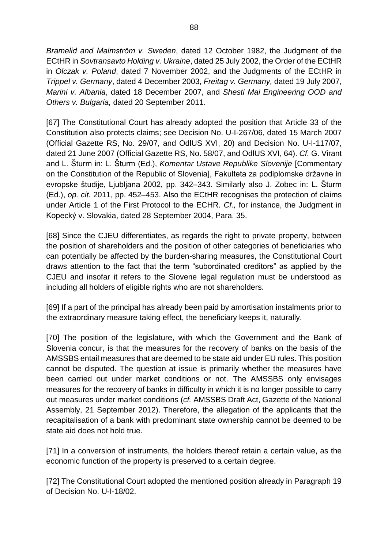*Bramelid and Malmström v. Sweden*, dated 12 October 1982, the Judgment of the ECtHR in *Sovtransavto Holding v. Ukraine*, dated 25 July 2002, the Order of the ECtHR in *Olczak v. Poland*, dated 7 November 2002, and the Judgments of the ECtHR in *Trippel v. Germany*, dated 4 December 2003, *Freitag v. Germany,* dated 19 July 2007, *Marini v. Albania*, dated 18 December 2007, and *Shesti Mai Engineering OOD and Others v. Bulgaria,* dated 20 September 2011.

[\[67\]](https://usd-odlus/#_2ftnref67) The Constitutional Court has already adopted the position that Article 33 of the Constitution also protects claims; see Decision No. U-I-267/06, dated 15 March 2007 (Official Gazette RS, No. 29/07, and OdlUS XVI, 20) and Decision No. U-I-117/07, dated 21 June 2007 (Official Gazette RS, No. 58/07, and OdlUS XVI, 64). *Cf.* G. Virant and L. Šturm in: L. Šturm (Ed.), *Komentar Ustave Republike Slovenije* [Commentary on the Constitution of the Republic of Slovenia], Fakulteta za podiplomske državne in evropske študije, Ljubljana 2002, pp. 342–343. Similarly also J. Zobec in: L. Šturm (Ed.), *op. cit.* 2011, pp. 452–453. Also the ECtHR recognises the protection of claims under Article 1 of the First Protocol to the ECHR. *Cf.,* for instance, the Judgment in Kopecký v. Slovakia, dated 28 September 2004, Para. 35.

[68] Since the CJEU differentiates, as regards the right to private property, between the position of shareholders and the position of other categories of beneficiaries who can potentially be affected by the burden-sharing measures, the Constitutional Court draws attention to the fact that the term "subordinated creditors" as applied by the CJEU and insofar it refers to the Slovene legal regulation must be understood as including all holders of eligible rights who are not shareholders.

[\[69\]](https://usd-odlus/#_2ftnref69) If a part of the principal has already been paid by amortisation instalments prior to the extraordinary measure taking effect, the beneficiary keeps it, naturally.

[70] The position of the legislature, with which the Government and the Bank of Slovenia concur, is that the measures for the recovery of banks on the basis of the AMSSBS entail measures that are deemed to be state aid under EU rules. This position cannot be disputed. The question at issue is primarily whether the measures have been carried out under market conditions or not. The AMSSBS only envisages measures for the recovery of banks in difficulty in which it is no longer possible to carry out measures under market conditions (*cf.* AMSSBS Draft Act, Gazette of the National Assembly, 21 September 2012). Therefore, the allegation of the applicants that the recapitalisation of a bank with predominant state ownership cannot be deemed to be state aid does not hold true.

[71] In a conversion of instruments, the holders thereof retain a certain value, as the economic function of the property is preserved to a certain degree.

[\[72\]](https://usd-odlus/#_2ftnref72) The Constitutional Court adopted the mentioned position already in Paragraph 19 of Decision No. U-I-18/02.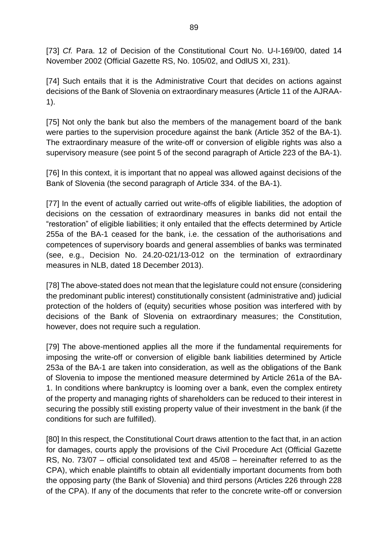[\[73\]](https://usd-odlus/#_2ftnref73) *Cf. Para.* 12 of Decision of the Constitutional Court No. U-I-169/00, dated 14 November 2002 (Official Gazette RS, No. 105/02, and OdlUS XI, 231).

[\[74\]](https://usd-odlus/#_2ftnref74) Such entails that it is the Administrative Court that decides on actions against decisions of the Bank of Slovenia on extraordinary measures (Article 11 of the AJRAA-1).

[\[75\]](https://usd-odlus/#_2ftnref75) Not only the bank but also the members of the management board of the bank were parties to the supervision procedure against the bank (Article 352 of the BA-1). The extraordinary measure of the write-off or conversion of eligible rights was also a supervisory measure (see point 5 of the second paragraph of Article 223 of the BA-1).

[\[76\]](https://usd-odlus/#_2ftnref76) In this context, it is important that no appeal was allowed against decisions of the Bank of Slovenia (the second paragraph of Article 334. of the BA-1).

[77] In the event of actually carried out write-offs of eligible liabilities, the adoption of decisions on the cessation of extraordinary measures in banks did not entail the "restoration" of eligible liabilities; it only entailed that the effects determined by Article 255a of the BA-1 ceased for the bank, i.e. the cessation of the authorisations and competences of supervisory boards and general assemblies of banks was terminated (see, e.g., Decision No. 24.20-021/13-012 on the termination of extraordinary measures in NLB, dated 18 December 2013).

[78] The above-stated does not mean that the legislature could not ensure (considering the predominant public interest) constitutionally consistent (administrative and) judicial protection of the holders of (equity) securities whose position was interfered with by decisions of the Bank of Slovenia on extraordinary measures; the Constitution, however, does not require such a regulation.

[79] The above-mentioned applies all the more if the fundamental requirements for imposing the write-off or conversion of eligible bank liabilities determined by Article 253a of the BA-1 are taken into consideration, as well as the obligations of the Bank of Slovenia to impose the mentioned measure determined by Article 261a of the BA-1. In conditions where bankruptcy is looming over a bank, even the complex entirety of the property and managing rights of shareholders can be reduced to their interest in securing the possibly still existing property value of their investment in the bank (if the conditions for such are fulfilled).

[80] In this respect, the Constitutional Court draws attention to the fact that, in an action for damages, courts apply the provisions of the Civil Procedure Act (Official Gazette RS, No. 73/07 – official consolidated text and 45/08 – hereinafter referred to as the CPA), which enable plaintiffs to obtain all evidentially important documents from both the opposing party (the Bank of Slovenia) and third persons (Articles 226 through 228 of the CPA). If any of the documents that refer to the concrete write-off or conversion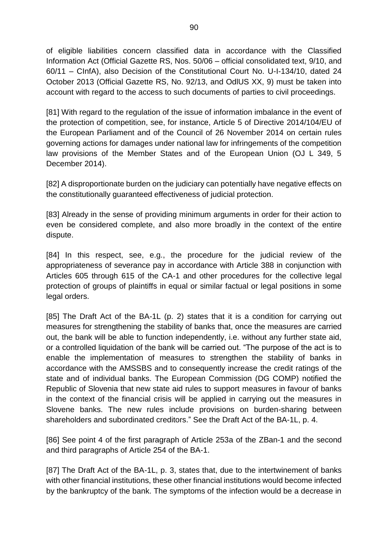of eligible liabilities concern classified data in accordance with the Classified Information Act (Official Gazette RS, Nos. 50/06 – official consolidated text, 9/10, and 60/11 – CInfA), also Decision of the Constitutional Court No. U-I-134/10, dated 24 October 2013 (Official Gazette RS, No. 92/13, and OdlUS XX, 9) must be taken into account with regard to the access to such documents of parties to civil proceedings.

[81] With regard to the regulation of the issue of information imbalance in the event of the protection of competition, see, for instance, Article 5 of Directive 2014/104/EU of the European Parliament and of the Council of 26 November 2014 on certain rules governing actions for damages under national law for infringements of the competition law provisions of the Member States and of the European Union (OJ L 349, 5 December 2014).

[82] A disproportionate burden on the judiciary can potentially have negative effects on the constitutionally guaranteed effectiveness of judicial protection.

[83] Already in the sense of providing minimum arguments in order for their action to even be considered complete, and also more broadly in the context of the entire dispute.

[84] In this respect, see, e.g., the procedure for the judicial review of the appropriateness of severance pay in accordance with Article 388 in conjunction with Articles 605 through 615 of the CA-1 and other procedures for the collective legal protection of groups of plaintiffs in equal or similar factual or legal positions in some legal orders.

[85] The Draft Act of the BA-1L (p. 2) states that it is a condition for carrying out measures for strengthening the stability of banks that, once the measures are carried out, the bank will be able to function independently, i.e. without any further state aid, or a controlled liquidation of the bank will be carried out. "The purpose of the act is to enable the implementation of measures to strengthen the stability of banks in accordance with the AMSSBS and to consequently increase the credit ratings of the state and of individual banks. The European Commission (DG COMP) notified the Republic of Slovenia that new state aid rules to support measures in favour of banks in the context of the financial crisis will be applied in carrying out the measures in Slovene banks. The new rules include provisions on burden-sharing between shareholders and subordinated creditors." See the Draft Act of the BA-1L, p. 4.

[\[86\]](https://usd-odlus/#_2ftnref86) See point 4 of the first paragraph of Article 253a of the ZBan-1 and the second and third paragraphs of Article 254 of the BA-1.

[87] The Draft Act of the BA-1L, p. 3, states that, due to the intertwinement of banks with other financial institutions, these other financial institutions would become infected by the bankruptcy of the bank. The symptoms of the infection would be a decrease in